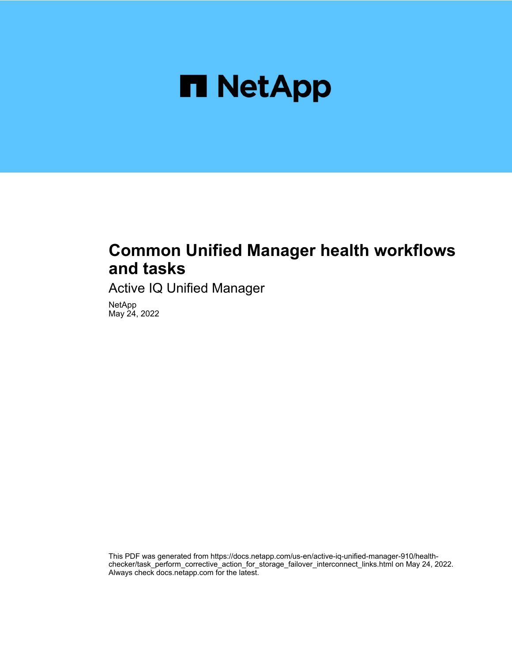

## **Common Unified Manager health workflows and tasks**

Active IQ Unified Manager

NetApp May 24, 2022

This PDF was generated from https://docs.netapp.com/us-en/active-iq-unified-manager-910/healthchecker/task\_perform\_corrective\_action\_for\_storage\_failover\_interconnect\_links.html on May 24, 2022. Always check docs.netapp.com for the latest.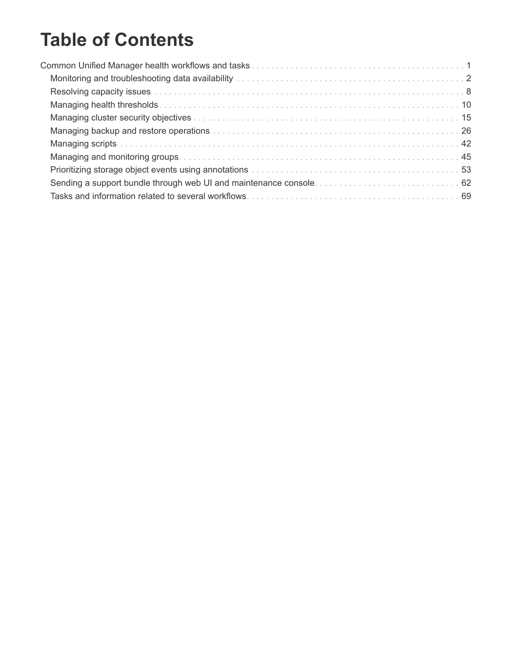# **Table of Contents**

| Prioritizing storage object events using annotations manuscription contained and subset of 53 |  |
|-----------------------------------------------------------------------------------------------|--|
|                                                                                               |  |
|                                                                                               |  |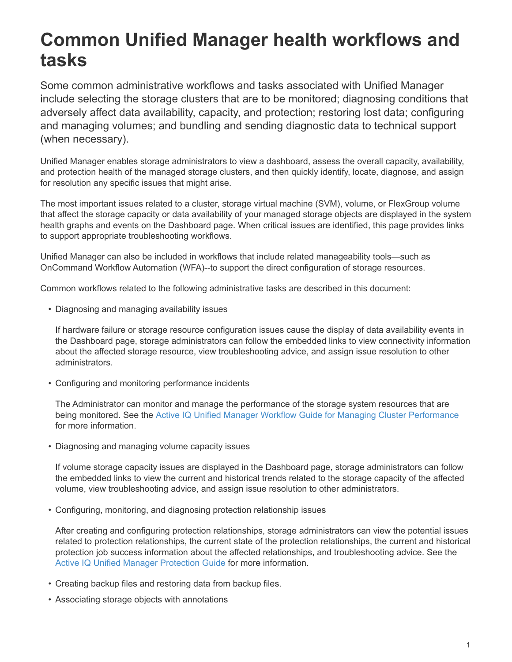# <span id="page-2-0"></span>**Common Unified Manager health workflows and tasks**

Some common administrative workflows and tasks associated with Unified Manager include selecting the storage clusters that are to be monitored; diagnosing conditions that adversely affect data availability, capacity, and protection; restoring lost data; configuring and managing volumes; and bundling and sending diagnostic data to technical support (when necessary).

Unified Manager enables storage administrators to view a dashboard, assess the overall capacity, availability, and protection health of the managed storage clusters, and then quickly identify, locate, diagnose, and assign for resolution any specific issues that might arise.

The most important issues related to a cluster, storage virtual machine (SVM), volume, or FlexGroup volume that affect the storage capacity or data availability of your managed storage objects are displayed in the system health graphs and events on the Dashboard page. When critical issues are identified, this page provides links to support appropriate troubleshooting workflows.

Unified Manager can also be included in workflows that include related manageability tools—such as OnCommand Workflow Automation (WFA)--to support the direct configuration of storage resources.

Common workflows related to the following administrative tasks are described in this document:

• Diagnosing and managing availability issues

If hardware failure or storage resource configuration issues cause the display of data availability events in the Dashboard page, storage administrators can follow the embedded links to view connectivity information about the affected storage resource, view troubleshooting advice, and assign issue resolution to other administrators.

• Configuring and monitoring performance incidents

The Administrator can monitor and manage the performance of the storage system resources that are being monitored. See the [Active IQ Unified Manager Workflow Guide for Managing Cluster Performance](https://docs.netapp.com/us-en/active-iq-unified-manager-910/performance-checker/concept_introduction_to_unified_manager_performance_monitoring.html) for more information.

• Diagnosing and managing volume capacity issues

If volume storage capacity issues are displayed in the Dashboard page, storage administrators can follow the embedded links to view the current and historical trends related to the storage capacity of the affected volume, view troubleshooting advice, and assign issue resolution to other administrators.

• Configuring, monitoring, and diagnosing protection relationship issues

After creating and configuring protection relationships, storage administrators can view the potential issues related to protection relationships, the current state of the protection relationships, the current and historical protection job success information about the affected relationships, and troubleshooting advice. See the [Active IQ Unified Manager Protection Guide](https://docs.netapp.com/us-en/active-iq-unified-manager-910/data-protection/concept_create_and_monitor_protection_relationships.html) for more information.

- Creating backup files and restoring data from backup files.
- Associating storage objects with annotations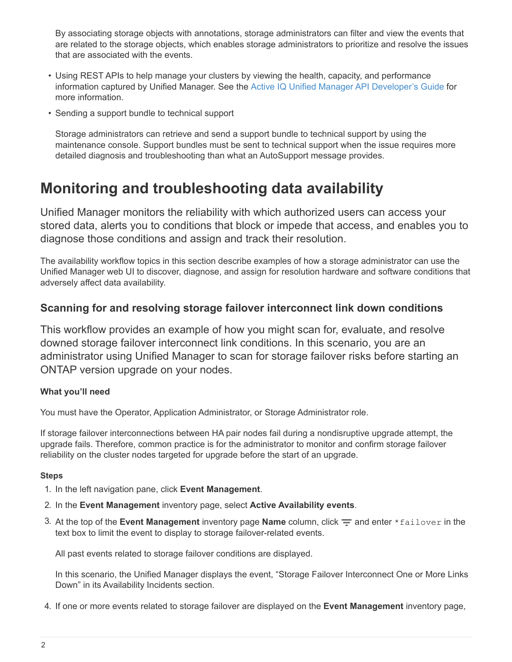By associating storage objects with annotations, storage administrators can filter and view the events that are related to the storage objects, which enables storage administrators to prioritize and resolve the issues that are associated with the events.

- Using REST APIs to help manage your clusters by viewing the health, capacity, and performance information captured by Unified Manager. See the [Active IQ Unified Manager API Developer's Guide](https://docs.netapp.com/us-en/active-iq-unified-manager-910/api-automation/concept_get_started_with_um_apis.html) for more information.
- Sending a support bundle to technical support

Storage administrators can retrieve and send a support bundle to technical support by using the maintenance console. Support bundles must be sent to technical support when the issue requires more detailed diagnosis and troubleshooting than what an AutoSupport message provides.

## <span id="page-3-0"></span>**Monitoring and troubleshooting data availability**

Unified Manager monitors the reliability with which authorized users can access your stored data, alerts you to conditions that block or impede that access, and enables you to diagnose those conditions and assign and track their resolution.

The availability workflow topics in this section describe examples of how a storage administrator can use the Unified Manager web UI to discover, diagnose, and assign for resolution hardware and software conditions that adversely affect data availability.

### **Scanning for and resolving storage failover interconnect link down conditions**

This workflow provides an example of how you might scan for, evaluate, and resolve downed storage failover interconnect link conditions. In this scenario, you are an administrator using Unified Manager to scan for storage failover risks before starting an ONTAP version upgrade on your nodes.

#### **What you'll need**

You must have the Operator, Application Administrator, or Storage Administrator role.

If storage failover interconnections between HA pair nodes fail during a nondisruptive upgrade attempt, the upgrade fails. Therefore, common practice is for the administrator to monitor and confirm storage failover reliability on the cluster nodes targeted for upgrade before the start of an upgrade.

#### **Steps**

- 1. In the left navigation pane, click **Event Management**.
- 2. In the **Event Management** inventory page, select **Active Availability events**.
- 3. At the top of the **Event Management** inventory page **Name** column, click  $\equiv$  and enter \*failover in the text box to limit the event to display to storage failover-related events.

All past events related to storage failover conditions are displayed.

In this scenario, the Unified Manager displays the event, "Storage Failover Interconnect One or More Links Down" in its Availability Incidents section.

4. If one or more events related to storage failover are displayed on the **Event Management** inventory page,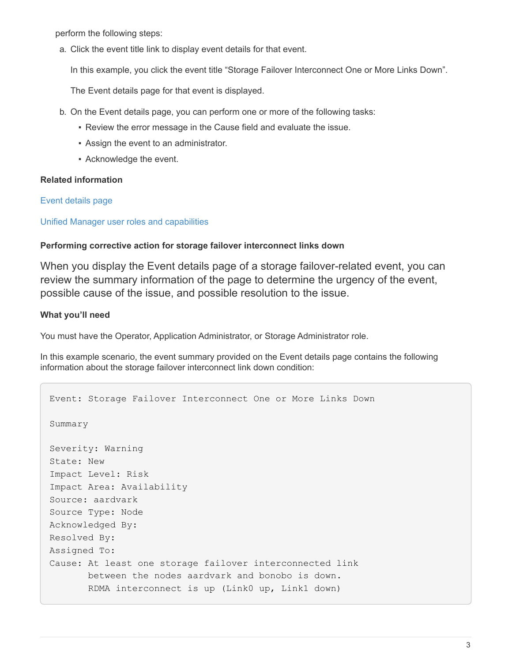perform the following steps:

a. Click the event title link to display event details for that event.

In this example, you click the event title "Storage Failover Interconnect One or More Links Down".

The Event details page for that event is displayed.

- b. On the Event details page, you can perform one or more of the following tasks:
	- **Review the error message in the Cause field and evaluate the issue.**
	- Assign the event to an administrator.
	- Acknowledge the event.

#### **Related information**

[Event details page](https://docs.netapp.com/us-en/active-iq-unified-manager-910/events/reference_event_details_page.html)

#### [Unified Manager user roles and capabilities](https://docs.netapp.com/us-en/active-iq-unified-manager-910/config/reference_unified_manager_roles_and_capabilities.html)

#### **Performing corrective action for storage failover interconnect links down**

When you display the Event details page of a storage failover-related event, you can review the summary information of the page to determine the urgency of the event, possible cause of the issue, and possible resolution to the issue.

#### **What you'll need**

You must have the Operator, Application Administrator, or Storage Administrator role.

In this example scenario, the event summary provided on the Event details page contains the following information about the storage failover interconnect link down condition:

```
Event: Storage Failover Interconnect One or More Links Down
Summary
Severity: Warning
State: New
Impact Level: Risk
Impact Area: Availability
Source: aardvark
Source Type: Node
Acknowledged By:
Resolved By:
Assigned To:
Cause: At least one storage failover interconnected link
         between the nodes aardvark and bonobo is down.
         RDMA interconnect is up (Link0 up, Link1 down)
```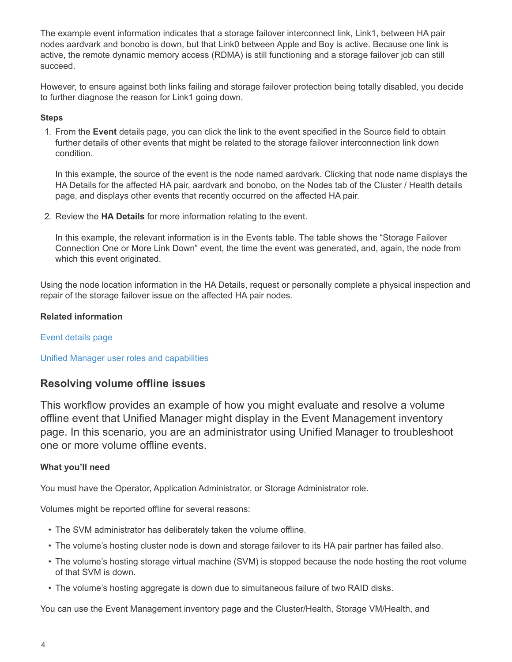The example event information indicates that a storage failover interconnect link, Link1, between HA pair nodes aardvark and bonobo is down, but that Link0 between Apple and Boy is active. Because one link is active, the remote dynamic memory access (RDMA) is still functioning and a storage failover job can still succeed.

However, to ensure against both links failing and storage failover protection being totally disabled, you decide to further diagnose the reason for Link1 going down.

#### **Steps**

1. From the **Event** details page, you can click the link to the event specified in the Source field to obtain further details of other events that might be related to the storage failover interconnection link down condition.

In this example, the source of the event is the node named aardvark. Clicking that node name displays the HA Details for the affected HA pair, aardvark and bonobo, on the Nodes tab of the Cluster / Health details page, and displays other events that recently occurred on the affected HA pair.

2. Review the **HA Details** for more information relating to the event.

In this example, the relevant information is in the Events table. The table shows the "Storage Failover Connection One or More Link Down" event, the time the event was generated, and, again, the node from which this event originated.

Using the node location information in the HA Details, request or personally complete a physical inspection and repair of the storage failover issue on the affected HA pair nodes.

#### **Related information**

[Event details page](https://docs.netapp.com/us-en/active-iq-unified-manager-910/events/reference_event_details_page.html)

[Unified Manager user roles and capabilities](https://docs.netapp.com/us-en/active-iq-unified-manager-910/config/reference_unified_manager_roles_and_capabilities.html)

#### **Resolving volume offline issues**

This workflow provides an example of how you might evaluate and resolve a volume offline event that Unified Manager might display in the Event Management inventory page. In this scenario, you are an administrator using Unified Manager to troubleshoot one or more volume offline events.

#### **What you'll need**

You must have the Operator, Application Administrator, or Storage Administrator role.

Volumes might be reported offline for several reasons:

- The SVM administrator has deliberately taken the volume offline.
- The volume's hosting cluster node is down and storage failover to its HA pair partner has failed also.
- The volume's hosting storage virtual machine (SVM) is stopped because the node hosting the root volume of that SVM is down.
- The volume's hosting aggregate is down due to simultaneous failure of two RAID disks.

You can use the Event Management inventory page and the Cluster/Health, Storage VM/Health, and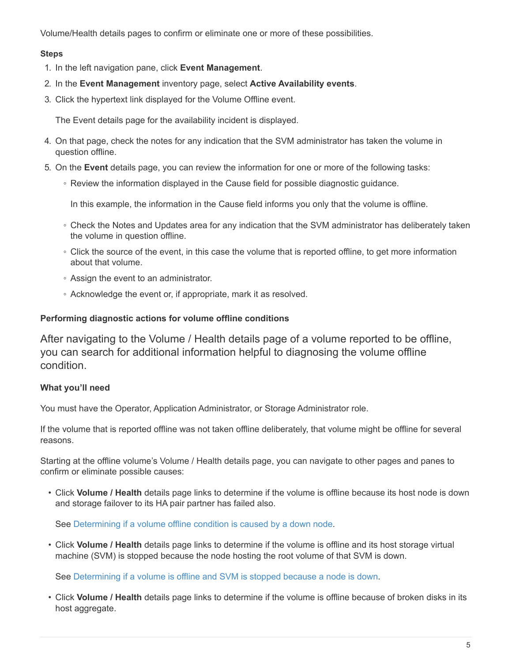Volume/Health details pages to confirm or eliminate one or more of these possibilities.

#### **Steps**

- 1. In the left navigation pane, click **Event Management**.
- 2. In the **Event Management** inventory page, select **Active Availability events**.
- 3. Click the hypertext link displayed for the Volume Offline event.

The Event details page for the availability incident is displayed.

- 4. On that page, check the notes for any indication that the SVM administrator has taken the volume in question offline.
- 5. On the **Event** details page, you can review the information for one or more of the following tasks:
	- Review the information displayed in the Cause field for possible diagnostic guidance.

In this example, the information in the Cause field informs you only that the volume is offline.

- Check the Notes and Updates area for any indication that the SVM administrator has deliberately taken the volume in question offline.
- Click the source of the event, in this case the volume that is reported offline, to get more information about that volume.
- Assign the event to an administrator.
- Acknowledge the event or, if appropriate, mark it as resolved.

#### **Performing diagnostic actions for volume offline conditions**

After navigating to the Volume / Health details page of a volume reported to be offline, you can search for additional information helpful to diagnosing the volume offline condition.

#### **What you'll need**

You must have the Operator, Application Administrator, or Storage Administrator role.

If the volume that is reported offline was not taken offline deliberately, that volume might be offline for several reasons.

Starting at the offline volume's Volume / Health details page, you can navigate to other pages and panes to confirm or eliminate possible causes:

• Click **Volume / Health** details page links to determine if the volume is offline because its host node is down and storage failover to its HA pair partner has failed also.

See [Determining if a volume offline condition is caused by a down node.](#page-7-0)

• Click **Volume / Health** details page links to determine if the volume is offline and its host storage virtual machine (SVM) is stopped because the node hosting the root volume of that SVM is down.

See [Determining if a volume is offline and SVM is stopped because a node is down](#page-8-0).

• Click **Volume / Health** details page links to determine if the volume is offline because of broken disks in its host aggregate.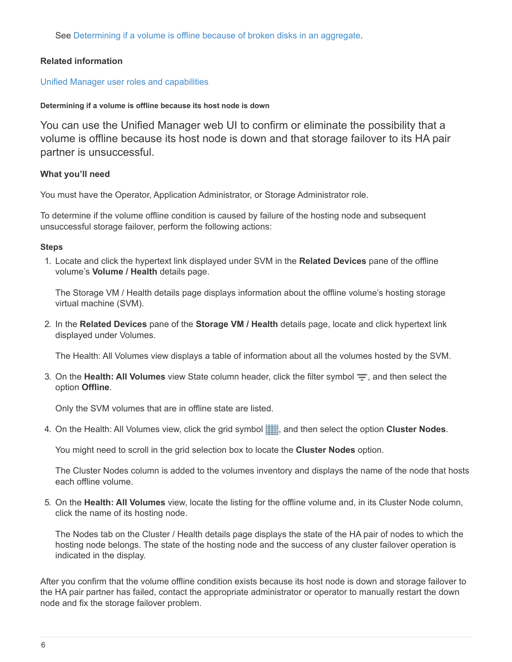See [Determining if a volume is offline because of broken disks in an aggregate](#page-9-1).

#### **Related information**

#### [Unified Manager user roles and capabilities](https://docs.netapp.com/us-en/active-iq-unified-manager-910/config/reference_unified_manager_roles_and_capabilities.html)

#### <span id="page-7-0"></span>**Determining if a volume is offline because its host node is down**

You can use the Unified Manager web UI to confirm or eliminate the possibility that a volume is offline because its host node is down and that storage failover to its HA pair partner is unsuccessful.

#### **What you'll need**

You must have the Operator, Application Administrator, or Storage Administrator role.

To determine if the volume offline condition is caused by failure of the hosting node and subsequent unsuccessful storage failover, perform the following actions:

#### **Steps**

1. Locate and click the hypertext link displayed under SVM in the **Related Devices** pane of the offline volume's **Volume / Health** details page.

The Storage VM / Health details page displays information about the offline volume's hosting storage virtual machine (SVM).

2. In the **Related Devices** pane of the **Storage VM / Health** details page, locate and click hypertext link displayed under Volumes.

The Health: All Volumes view displays a table of information about all the volumes hosted by the SVM.

3. On the **Health: All Volumes** view State column header, click the filter symbol  $\equiv$ , and then select the option **Offline**.

Only the SVM volumes that are in offline state are listed.

4. On the Health: All Volumes view, click the grid symbol , and then select the option **Cluster Nodes**.

You might need to scroll in the grid selection box to locate the **Cluster Nodes** option.

The Cluster Nodes column is added to the volumes inventory and displays the name of the node that hosts each offline volume.

5. On the **Health: All Volumes** view, locate the listing for the offline volume and, in its Cluster Node column, click the name of its hosting node.

The Nodes tab on the Cluster / Health details page displays the state of the HA pair of nodes to which the hosting node belongs. The state of the hosting node and the success of any cluster failover operation is indicated in the display.

After you confirm that the volume offline condition exists because its host node is down and storage failover to the HA pair partner has failed, contact the appropriate administrator or operator to manually restart the down node and fix the storage failover problem.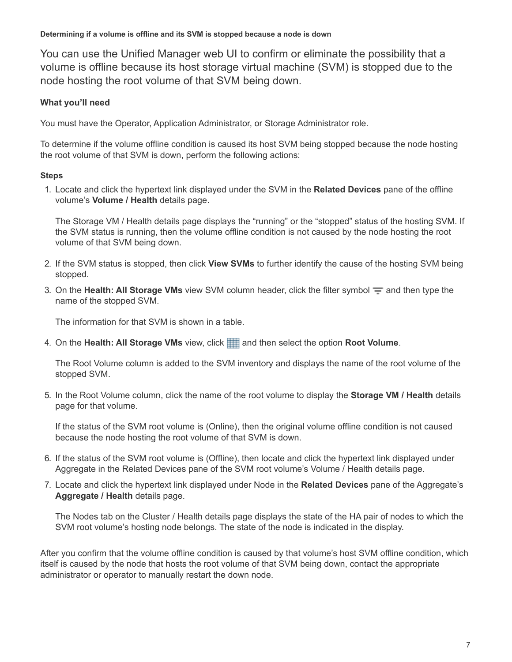<span id="page-8-0"></span>You can use the Unified Manager web UI to confirm or eliminate the possibility that a volume is offline because its host storage virtual machine (SVM) is stopped due to the node hosting the root volume of that SVM being down.

#### **What you'll need**

You must have the Operator, Application Administrator, or Storage Administrator role.

To determine if the volume offline condition is caused its host SVM being stopped because the node hosting the root volume of that SVM is down, perform the following actions:

#### **Steps**

1. Locate and click the hypertext link displayed under the SVM in the **Related Devices** pane of the offline volume's **Volume / Health** details page.

The Storage VM / Health details page displays the "running" or the "stopped" status of the hosting SVM. If the SVM status is running, then the volume offline condition is not caused by the node hosting the root volume of that SVM being down.

- 2. If the SVM status is stopped, then click **View SVMs** to further identify the cause of the hosting SVM being stopped.
- 3. On the **Health: All Storage VMs** view SVM column header, click the filter symbol  $\equiv$  and then type the name of the stopped SVM.

The information for that SVM is shown in a table.

4. On the Health: All Storage VMs view, click **and then select the option Root Volume**.

The Root Volume column is added to the SVM inventory and displays the name of the root volume of the stopped SVM.

5. In the Root Volume column, click the name of the root volume to display the **Storage VM / Health** details page for that volume.

If the status of the SVM root volume is (Online), then the original volume offline condition is not caused because the node hosting the root volume of that SVM is down.

- 6. If the status of the SVM root volume is (Offline), then locate and click the hypertext link displayed under Aggregate in the Related Devices pane of the SVM root volume's Volume / Health details page.
- 7. Locate and click the hypertext link displayed under Node in the **Related Devices** pane of the Aggregate's **Aggregate / Health** details page.

The Nodes tab on the Cluster / Health details page displays the state of the HA pair of nodes to which the SVM root volume's hosting node belongs. The state of the node is indicated in the display.

After you confirm that the volume offline condition is caused by that volume's host SVM offline condition, which itself is caused by the node that hosts the root volume of that SVM being down, contact the appropriate administrator or operator to manually restart the down node.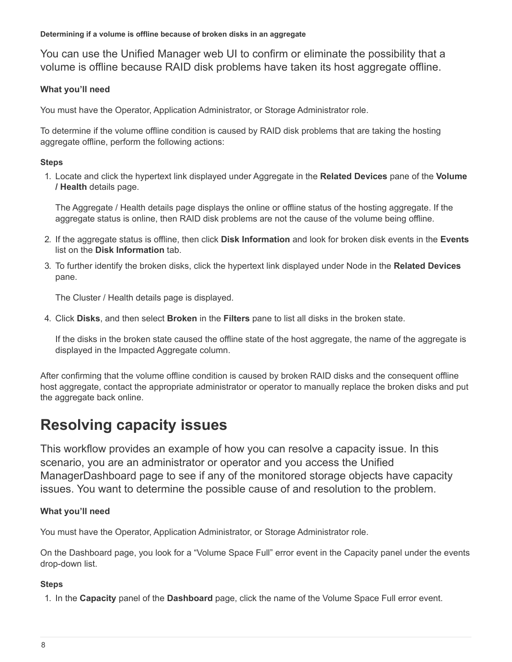<span id="page-9-1"></span>You can use the Unified Manager web UI to confirm or eliminate the possibility that a volume is offline because RAID disk problems have taken its host aggregate offline.

#### **What you'll need**

You must have the Operator, Application Administrator, or Storage Administrator role.

To determine if the volume offline condition is caused by RAID disk problems that are taking the hosting aggregate offline, perform the following actions:

#### **Steps**

1. Locate and click the hypertext link displayed under Aggregate in the **Related Devices** pane of the **Volume / Health** details page.

The Aggregate / Health details page displays the online or offline status of the hosting aggregate. If the aggregate status is online, then RAID disk problems are not the cause of the volume being offline.

- 2. If the aggregate status is offline, then click **Disk Information** and look for broken disk events in the **Events** list on the **Disk Information** tab.
- 3. To further identify the broken disks, click the hypertext link displayed under Node in the **Related Devices** pane.

The Cluster / Health details page is displayed.

4. Click **Disks**, and then select **Broken** in the **Filters** pane to list all disks in the broken state.

If the disks in the broken state caused the offline state of the host aggregate, the name of the aggregate is displayed in the Impacted Aggregate column.

After confirming that the volume offline condition is caused by broken RAID disks and the consequent offline host aggregate, contact the appropriate administrator or operator to manually replace the broken disks and put the aggregate back online.

## <span id="page-9-0"></span>**Resolving capacity issues**

This workflow provides an example of how you can resolve a capacity issue. In this scenario, you are an administrator or operator and you access the Unified ManagerDashboard page to see if any of the monitored storage objects have capacity issues. You want to determine the possible cause of and resolution to the problem.

#### **What you'll need**

You must have the Operator, Application Administrator, or Storage Administrator role.

On the Dashboard page, you look for a "Volume Space Full" error event in the Capacity panel under the events drop-down list.

#### **Steps**

1. In the **Capacity** panel of the **Dashboard** page, click the name of the Volume Space Full error event.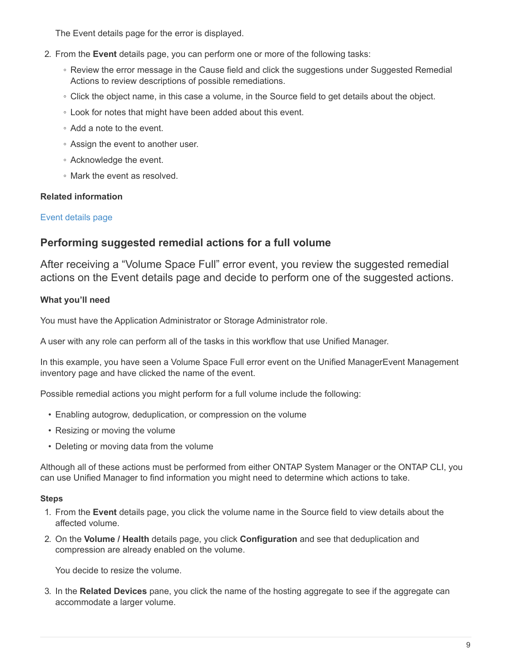The Event details page for the error is displayed.

- 2. From the **Event** details page, you can perform one or more of the following tasks:
	- Review the error message in the Cause field and click the suggestions under Suggested Remedial Actions to review descriptions of possible remediations.
	- Click the object name, in this case a volume, in the Source field to get details about the object.
	- Look for notes that might have been added about this event.
	- Add a note to the event.
	- Assign the event to another user.
	- Acknowledge the event.
	- Mark the event as resolved.

#### **Related information**

#### [Event details page](https://docs.netapp.com/us-en/active-iq-unified-manager-910/events/reference_event_details_page.html)

### **Performing suggested remedial actions for a full volume**

After receiving a "Volume Space Full" error event, you review the suggested remedial actions on the Event details page and decide to perform one of the suggested actions.

#### **What you'll need**

You must have the Application Administrator or Storage Administrator role.

A user with any role can perform all of the tasks in this workflow that use Unified Manager.

In this example, you have seen a Volume Space Full error event on the Unified ManagerEvent Management inventory page and have clicked the name of the event.

Possible remedial actions you might perform for a full volume include the following:

- Enabling autogrow, deduplication, or compression on the volume
- Resizing or moving the volume
- Deleting or moving data from the volume

Although all of these actions must be performed from either ONTAP System Manager or the ONTAP CLI, you can use Unified Manager to find information you might need to determine which actions to take.

#### **Steps**

- 1. From the **Event** details page, you click the volume name in the Source field to view details about the affected volume.
- 2. On the **Volume / Health** details page, you click **Configuration** and see that deduplication and compression are already enabled on the volume.

You decide to resize the volume.

3. In the **Related Devices** pane, you click the name of the hosting aggregate to see if the aggregate can accommodate a larger volume.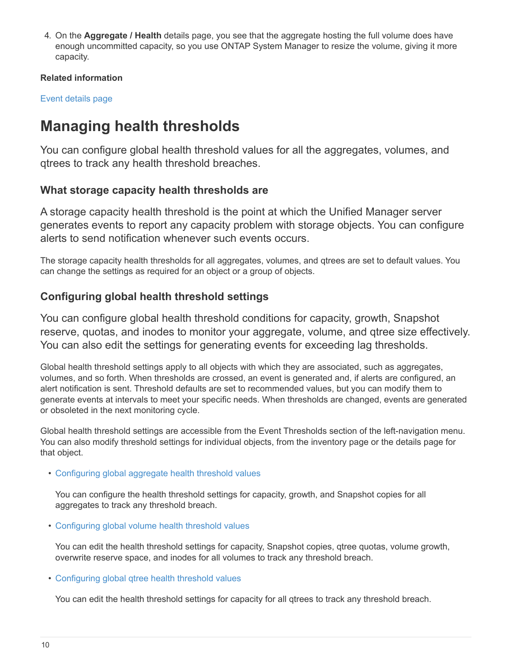4. On the **Aggregate / Health** details page, you see that the aggregate hosting the full volume does have enough uncommitted capacity, so you use ONTAP System Manager to resize the volume, giving it more capacity.

#### **Related information**

[Event details page](https://docs.netapp.com/us-en/active-iq-unified-manager-910/events/reference_event_details_page.html)

## <span id="page-11-0"></span>**Managing health thresholds**

You can configure global health threshold values for all the aggregates, volumes, and qtrees to track any health threshold breaches.

### **What storage capacity health thresholds are**

A storage capacity health threshold is the point at which the Unified Manager server generates events to report any capacity problem with storage objects. You can configure alerts to send notification whenever such events occurs.

The storage capacity health thresholds for all aggregates, volumes, and qtrees are set to default values. You can change the settings as required for an object or a group of objects.

## **Configuring global health threshold settings**

You can configure global health threshold conditions for capacity, growth, Snapshot reserve, quotas, and inodes to monitor your aggregate, volume, and qtree size effectively. You can also edit the settings for generating events for exceeding lag thresholds.

Global health threshold settings apply to all objects with which they are associated, such as aggregates, volumes, and so forth. When thresholds are crossed, an event is generated and, if alerts are configured, an alert notification is sent. Threshold defaults are set to recommended values, but you can modify them to generate events at intervals to meet your specific needs. When thresholds are changed, events are generated or obsoleted in the next monitoring cycle.

Global health threshold settings are accessible from the Event Thresholds section of the left-navigation menu. You can also modify threshold settings for individual objects, from the inventory page or the details page for that object.

• [Configuring global aggregate health threshold values](#page-12-0)

You can configure the health threshold settings for capacity, growth, and Snapshot copies for all aggregates to track any threshold breach.

• [Configuring global volume health threshold values](#page-12-1)

You can edit the health threshold settings for capacity, Snapshot copies, qtree quotas, volume growth, overwrite reserve space, and inodes for all volumes to track any threshold breach.

• [Configuring global qtree health threshold values](#page-13-0)

You can edit the health threshold settings for capacity for all qtrees to track any threshold breach.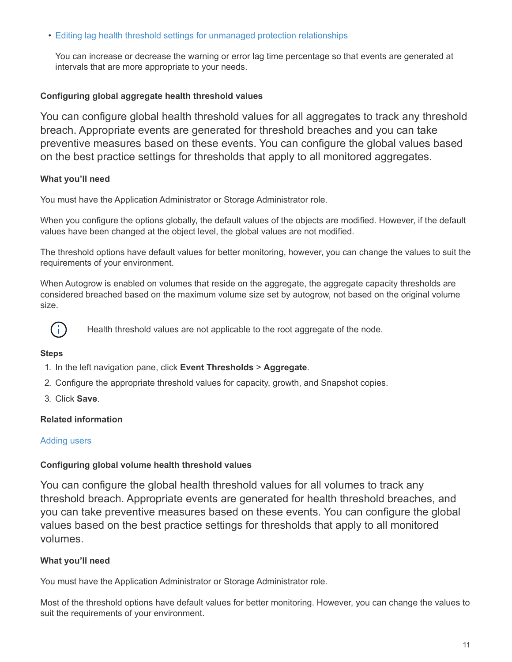• [Editing lag health threshold settings for unmanaged protection relationships](#page-13-1)

You can increase or decrease the warning or error lag time percentage so that events are generated at intervals that are more appropriate to your needs.

#### <span id="page-12-0"></span>**Configuring global aggregate health threshold values**

You can configure global health threshold values for all aggregates to track any threshold breach. Appropriate events are generated for threshold breaches and you can take preventive measures based on these events. You can configure the global values based on the best practice settings for thresholds that apply to all monitored aggregates.

#### **What you'll need**

You must have the Application Administrator or Storage Administrator role.

When you configure the options globally, the default values of the objects are modified. However, if the default values have been changed at the object level, the global values are not modified.

The threshold options have default values for better monitoring, however, you can change the values to suit the requirements of your environment.

When Autogrow is enabled on volumes that reside on the aggregate, the aggregate capacity thresholds are considered breached based on the maximum volume size set by autogrow, not based on the original volume size.



Health threshold values are not applicable to the root aggregate of the node.

#### **Steps**

- 1. In the left navigation pane, click **Event Thresholds** > **Aggregate**.
- 2. Configure the appropriate threshold values for capacity, growth, and Snapshot copies.
- 3. Click **Save**.

#### **Related information**

#### [Adding users](https://docs.netapp.com/us-en/active-iq-unified-manager-910/config/task_add_users.html)

#### <span id="page-12-1"></span>**Configuring global volume health threshold values**

You can configure the global health threshold values for all volumes to track any threshold breach. Appropriate events are generated for health threshold breaches, and you can take preventive measures based on these events. You can configure the global values based on the best practice settings for thresholds that apply to all monitored volumes.

#### **What you'll need**

You must have the Application Administrator or Storage Administrator role.

Most of the threshold options have default values for better monitoring. However, you can change the values to suit the requirements of your environment.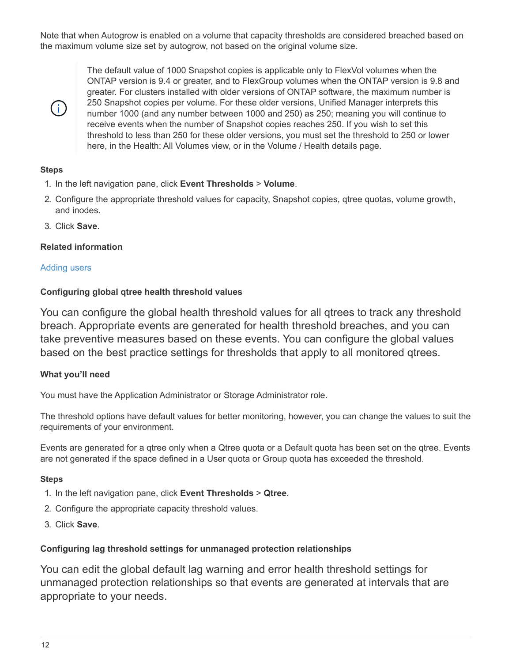Note that when Autogrow is enabled on a volume that capacity thresholds are considered breached based on the maximum volume size set by autogrow, not based on the original volume size.



The default value of 1000 Snapshot copies is applicable only to FlexVol volumes when the ONTAP version is 9.4 or greater, and to FlexGroup volumes when the ONTAP version is 9.8 and greater. For clusters installed with older versions of ONTAP software, the maximum number is 250 Snapshot copies per volume. For these older versions, Unified Manager interprets this number 1000 (and any number between 1000 and 250) as 250; meaning you will continue to receive events when the number of Snapshot copies reaches 250. If you wish to set this threshold to less than 250 for these older versions, you must set the threshold to 250 or lower here, in the Health: All Volumes view, or in the Volume / Health details page.

#### **Steps**

- 1. In the left navigation pane, click **Event Thresholds** > **Volume**.
- 2. Configure the appropriate threshold values for capacity, Snapshot copies, qtree quotas, volume growth, and inodes.
- 3. Click **Save**.

#### **Related information**

#### [Adding users](https://docs.netapp.com/us-en/active-iq-unified-manager-910/config/task_add_users.html)

#### <span id="page-13-0"></span>**Configuring global qtree health threshold values**

You can configure the global health threshold values for all qtrees to track any threshold breach. Appropriate events are generated for health threshold breaches, and you can take preventive measures based on these events. You can configure the global values based on the best practice settings for thresholds that apply to all monitored qtrees.

#### **What you'll need**

You must have the Application Administrator or Storage Administrator role.

The threshold options have default values for better monitoring, however, you can change the values to suit the requirements of your environment.

Events are generated for a qtree only when a Qtree quota or a Default quota has been set on the qtree. Events are not generated if the space defined in a User quota or Group quota has exceeded the threshold.

#### **Steps**

- 1. In the left navigation pane, click **Event Thresholds** > **Qtree**.
- 2. Configure the appropriate capacity threshold values.
- 3. Click **Save**.

#### <span id="page-13-1"></span>**Configuring lag threshold settings for unmanaged protection relationships**

You can edit the global default lag warning and error health threshold settings for unmanaged protection relationships so that events are generated at intervals that are appropriate to your needs.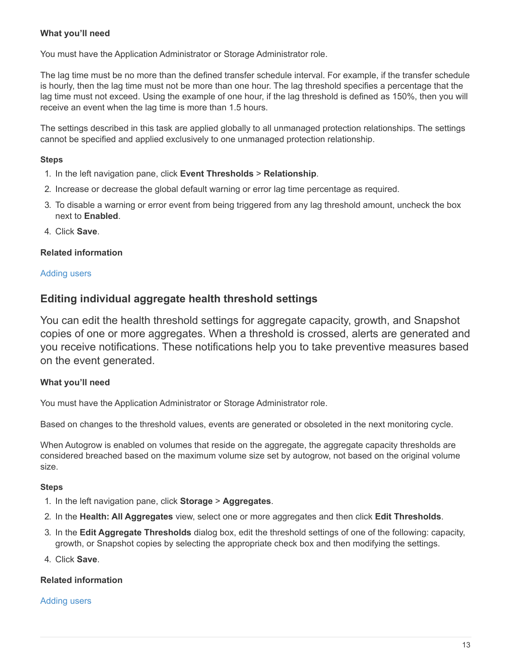#### **What you'll need**

You must have the Application Administrator or Storage Administrator role.

The lag time must be no more than the defined transfer schedule interval. For example, if the transfer schedule is hourly, then the lag time must not be more than one hour. The lag threshold specifies a percentage that the lag time must not exceed. Using the example of one hour, if the lag threshold is defined as 150%, then you will receive an event when the lag time is more than 1.5 hours.

The settings described in this task are applied globally to all unmanaged protection relationships. The settings cannot be specified and applied exclusively to one unmanaged protection relationship.

#### **Steps**

- 1. In the left navigation pane, click **Event Thresholds** > **Relationship**.
- 2. Increase or decrease the global default warning or error lag time percentage as required.
- 3. To disable a warning or error event from being triggered from any lag threshold amount, uncheck the box next to **Enabled**.
- 4. Click **Save**.

#### **Related information**

#### [Adding users](https://docs.netapp.com/us-en/active-iq-unified-manager-910/config/task_add_users.html)

#### **Editing individual aggregate health threshold settings**

You can edit the health threshold settings for aggregate capacity, growth, and Snapshot copies of one or more aggregates. When a threshold is crossed, alerts are generated and you receive notifications. These notifications help you to take preventive measures based on the event generated.

#### **What you'll need**

You must have the Application Administrator or Storage Administrator role.

Based on changes to the threshold values, events are generated or obsoleted in the next monitoring cycle.

When Autogrow is enabled on volumes that reside on the aggregate, the aggregate capacity thresholds are considered breached based on the maximum volume size set by autogrow, not based on the original volume size.

#### **Steps**

- 1. In the left navigation pane, click **Storage** > **Aggregates**.
- 2. In the **Health: All Aggregates** view, select one or more aggregates and then click **Edit Thresholds**.
- 3. In the **Edit Aggregate Thresholds** dialog box, edit the threshold settings of one of the following: capacity, growth, or Snapshot copies by selecting the appropriate check box and then modifying the settings.
- 4. Click **Save**.

#### **Related information**

#### [Adding users](https://docs.netapp.com/us-en/active-iq-unified-manager-910/config/task_add_users.html)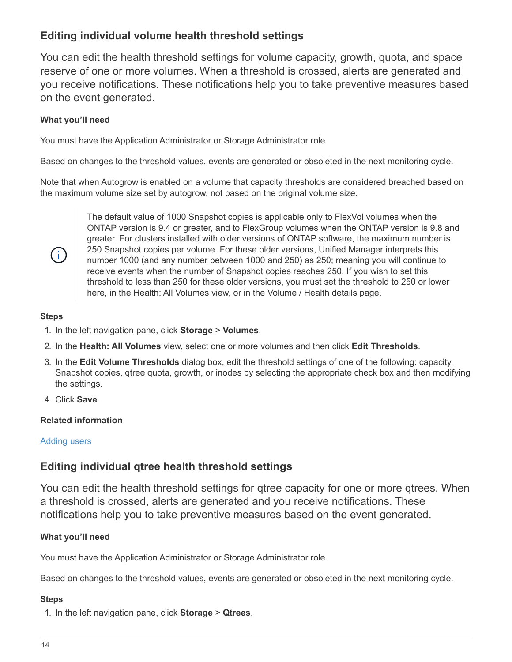## **Editing individual volume health threshold settings**

You can edit the health threshold settings for volume capacity, growth, quota, and space reserve of one or more volumes. When a threshold is crossed, alerts are generated and you receive notifications. These notifications help you to take preventive measures based on the event generated.

#### **What you'll need**

You must have the Application Administrator or Storage Administrator role.

Based on changes to the threshold values, events are generated or obsoleted in the next monitoring cycle.

Note that when Autogrow is enabled on a volume that capacity thresholds are considered breached based on the maximum volume size set by autogrow, not based on the original volume size.



The default value of 1000 Snapshot copies is applicable only to FlexVol volumes when the ONTAP version is 9.4 or greater, and to FlexGroup volumes when the ONTAP version is 9.8 and greater. For clusters installed with older versions of ONTAP software, the maximum number is 250 Snapshot copies per volume. For these older versions, Unified Manager interprets this number 1000 (and any number between 1000 and 250) as 250; meaning you will continue to receive events when the number of Snapshot copies reaches 250. If you wish to set this threshold to less than 250 for these older versions, you must set the threshold to 250 or lower here, in the Health: All Volumes view, or in the Volume / Health details page.

#### **Steps**

- 1. In the left navigation pane, click **Storage** > **Volumes**.
- 2. In the **Health: All Volumes** view, select one or more volumes and then click **Edit Thresholds**.
- 3. In the **Edit Volume Thresholds** dialog box, edit the threshold settings of one of the following: capacity, Snapshot copies, qtree quota, growth, or inodes by selecting the appropriate check box and then modifying the settings.
- 4. Click **Save**.

#### **Related information**

#### [Adding users](https://docs.netapp.com/us-en/active-iq-unified-manager-910/config/task_add_users.html)

## **Editing individual qtree health threshold settings**

You can edit the health threshold settings for qtree capacity for one or more qtrees. When a threshold is crossed, alerts are generated and you receive notifications. These notifications help you to take preventive measures based on the event generated.

#### **What you'll need**

You must have the Application Administrator or Storage Administrator role.

Based on changes to the threshold values, events are generated or obsoleted in the next monitoring cycle.

#### **Steps**

1. In the left navigation pane, click **Storage** > **Qtrees**.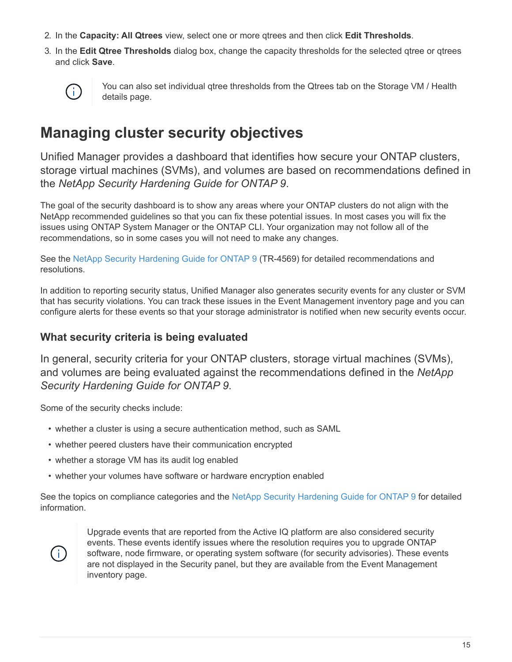- 2. In the **Capacity: All Qtrees** view, select one or more qtrees and then click **Edit Thresholds**.
- 3. In the **Edit Qtree Thresholds** dialog box, change the capacity thresholds for the selected qtree or qtrees and click **Save**.



You can also set individual qtree thresholds from the Qtrees tab on the Storage VM / Health details page.

## <span id="page-16-0"></span>**Managing cluster security objectives**

Unified Manager provides a dashboard that identifies how secure your ONTAP clusters, storage virtual machines (SVMs), and volumes are based on recommendations defined in the *NetApp Security Hardening Guide for ONTAP 9*.

The goal of the security dashboard is to show any areas where your ONTAP clusters do not align with the NetApp recommended guidelines so that you can fix these potential issues. In most cases you will fix the issues using ONTAP System Manager or the ONTAP CLI. Your organization may not follow all of the recommendations, so in some cases you will not need to make any changes.

See the [NetApp Security Hardening Guide for ONTAP 9](http://www.netapp.com/us/media/tr-4569.pdf) (TR-4569) for detailed recommendations and resolutions.

In addition to reporting security status, Unified Manager also generates security events for any cluster or SVM that has security violations. You can track these issues in the Event Management inventory page and you can configure alerts for these events so that your storage administrator is notified when new security events occur.

## **What security criteria is being evaluated**

In general, security criteria for your ONTAP clusters, storage virtual machines (SVMs), and volumes are being evaluated against the recommendations defined in the *NetApp Security Hardening Guide for ONTAP 9*.

Some of the security checks include:

- whether a cluster is using a secure authentication method, such as SAML
- whether peered clusters have their communication encrypted
- whether a storage VM has its audit log enabled
- whether your volumes have software or hardware encryption enabled

See the topics on compliance categories and the [NetApp Security Hardening Guide for ONTAP 9](http://www.netapp.com/us/media/tr-4569.pdf) for detailed information.



Upgrade events that are reported from the Active IQ platform are also considered security events. These events identify issues where the resolution requires you to upgrade ONTAP software, node firmware, or operating system software (for security advisories). These events are not displayed in the Security panel, but they are available from the Event Management inventory page.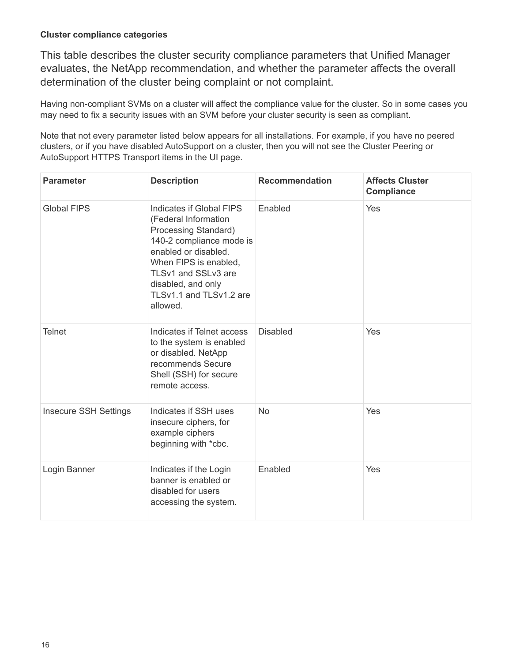#### **Cluster compliance categories**

This table describes the cluster security compliance parameters that Unified Manager evaluates, the NetApp recommendation, and whether the parameter affects the overall determination of the cluster being complaint or not complaint.

Having non-compliant SVMs on a cluster will affect the compliance value for the cluster. So in some cases you may need to fix a security issues with an SVM before your cluster security is seen as compliant.

Note that not every parameter listed below appears for all installations. For example, if you have no peered clusters, or if you have disabled AutoSupport on a cluster, then you will not see the Cluster Peering or AutoSupport HTTPS Transport items in the UI page.

| <b>Parameter</b>             | <b>Description</b>                                                                                                                                                                                                                        | <b>Recommendation</b> | <b>Affects Cluster</b><br><b>Compliance</b> |
|------------------------------|-------------------------------------------------------------------------------------------------------------------------------------------------------------------------------------------------------------------------------------------|-----------------------|---------------------------------------------|
| <b>Global FIPS</b>           | Indicates if Global FIPS<br>(Federal Information<br>Processing Standard)<br>140-2 compliance mode is<br>enabled or disabled.<br>When FIPS is enabled,<br>TLSv1 and SSLv3 are<br>disabled, and only<br>TLSv1.1 and TLSv1.2 are<br>allowed. | Enabled               | Yes                                         |
| <b>Telnet</b>                | Indicates if Telnet access<br>to the system is enabled<br>or disabled. NetApp<br>recommends Secure<br>Shell (SSH) for secure<br>remote access.                                                                                            | <b>Disabled</b>       | Yes                                         |
| <b>Insecure SSH Settings</b> | Indicates if SSH uses<br>insecure ciphers, for<br>example ciphers<br>beginning with *cbc.                                                                                                                                                 | <b>No</b>             | Yes                                         |
| Login Banner                 | Indicates if the Login<br>banner is enabled or<br>disabled for users<br>accessing the system.                                                                                                                                             | Enabled               | Yes                                         |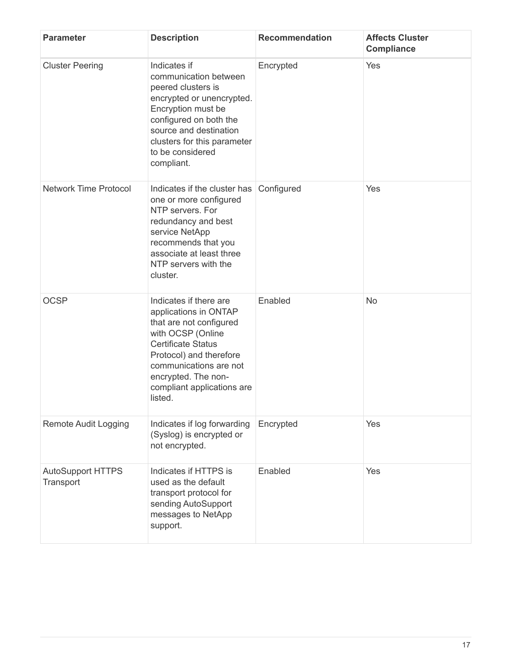| <b>Parameter</b>                      | <b>Description</b>                                                                                                                                                                                                                                | <b>Recommendation</b> | <b>Affects Cluster</b><br><b>Compliance</b> |
|---------------------------------------|---------------------------------------------------------------------------------------------------------------------------------------------------------------------------------------------------------------------------------------------------|-----------------------|---------------------------------------------|
| <b>Cluster Peering</b>                | Indicates if<br>communication between<br>peered clusters is<br>encrypted or unencrypted.<br>Encryption must be<br>configured on both the<br>source and destination<br>clusters for this parameter<br>to be considered<br>compliant.               | Encrypted             | Yes                                         |
| <b>Network Time Protocol</b>          | Indicates if the cluster has<br>one or more configured<br>NTP servers. For<br>redundancy and best<br>service NetApp<br>recommends that you<br>associate at least three<br>NTP servers with the<br>cluster.                                        | Configured            | Yes                                         |
| <b>OCSP</b>                           | Indicates if there are<br>applications in ONTAP<br>that are not configured<br>with OCSP (Online<br><b>Certificate Status</b><br>Protocol) and therefore<br>communications are not<br>encrypted. The non-<br>compliant applications are<br>listed. | Enabled               | No                                          |
| <b>Remote Audit Logging</b>           | Indicates if log forwarding<br>(Syslog) is encrypted or<br>not encrypted.                                                                                                                                                                         | Encrypted             | Yes                                         |
| <b>AutoSupport HTTPS</b><br>Transport | Indicates if HTTPS is<br>used as the default<br>transport protocol for<br>sending AutoSupport<br>messages to NetApp<br>support.                                                                                                                   | Enabled               | Yes                                         |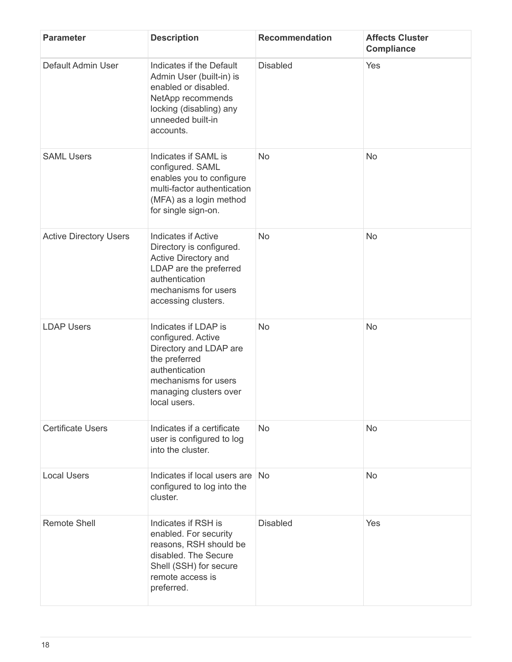| <b>Parameter</b>              | <b>Description</b>                                                                                                                                                        | <b>Recommendation</b> | <b>Affects Cluster</b><br><b>Compliance</b> |
|-------------------------------|---------------------------------------------------------------------------------------------------------------------------------------------------------------------------|-----------------------|---------------------------------------------|
| Default Admin User            | Indicates if the Default<br>Admin User (built-in) is<br>enabled or disabled.<br>NetApp recommends<br>locking (disabling) any<br>unneeded built-in<br>accounts.            | <b>Disabled</b>       | Yes                                         |
| <b>SAML Users</b>             | Indicates if SAML is<br>configured. SAML<br>enables you to configure<br>multi-factor authentication<br>(MFA) as a login method<br>for single sign-on.                     | <b>No</b>             | No                                          |
| <b>Active Directory Users</b> | <b>Indicates if Active</b><br>Directory is configured.<br>Active Directory and<br>LDAP are the preferred<br>authentication<br>mechanisms for users<br>accessing clusters. | <b>No</b>             | No                                          |
| <b>LDAP Users</b>             | Indicates if LDAP is<br>configured. Active<br>Directory and LDAP are<br>the preferred<br>authentication<br>mechanisms for users<br>managing clusters over<br>local users. | <b>No</b>             | No                                          |
| <b>Certificate Users</b>      | Indicates if a certificate<br>user is configured to log<br>into the cluster.                                                                                              | <b>No</b>             | <b>No</b>                                   |
| <b>Local Users</b>            | Indicates if local users are<br>configured to log into the<br>cluster.                                                                                                    | <b>No</b>             | <b>No</b>                                   |
| <b>Remote Shell</b>           | Indicates if RSH is<br>enabled. For security<br>reasons, RSH should be<br>disabled. The Secure<br>Shell (SSH) for secure<br>remote access is<br>preferred.                | <b>Disabled</b>       | Yes                                         |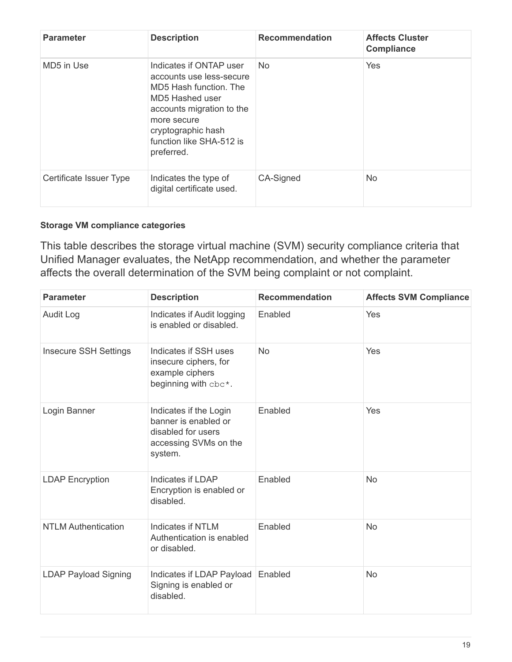| <b>Parameter</b>        | <b>Description</b>                                                                                                                                                                                           | <b>Recommendation</b> | <b>Affects Cluster</b><br><b>Compliance</b> |
|-------------------------|--------------------------------------------------------------------------------------------------------------------------------------------------------------------------------------------------------------|-----------------------|---------------------------------------------|
| MD5 in Use              | Indicates if ONTAP user<br>accounts use less-secure<br>MD5 Hash function. The<br>MD5 Hashed user<br>accounts migration to the<br>more secure<br>cryptographic hash<br>function like SHA-512 is<br>preferred. | <b>No</b>             | Yes                                         |
| Certificate Issuer Type | Indicates the type of<br>digital certificate used.                                                                                                                                                           | CA-Signed             | N <sub>o</sub>                              |

#### **Storage VM compliance categories**

This table describes the storage virtual machine (SVM) security compliance criteria that Unified Manager evaluates, the NetApp recommendation, and whether the parameter affects the overall determination of the SVM being complaint or not complaint.

| <b>Parameter</b>             | <b>Description</b>                                                                                       | <b>Recommendation</b> | <b>Affects SVM Compliance</b> |
|------------------------------|----------------------------------------------------------------------------------------------------------|-----------------------|-------------------------------|
| <b>Audit Log</b>             | Indicates if Audit logging<br>is enabled or disabled.                                                    | Enabled               | Yes                           |
| <b>Insecure SSH Settings</b> | Indicates if SSH uses<br>insecure ciphers, for<br>example ciphers<br>beginning with cbc*.                | <b>No</b>             | Yes                           |
| Login Banner                 | Indicates if the Login<br>banner is enabled or<br>disabled for users<br>accessing SVMs on the<br>system. | Enabled               | Yes                           |
| <b>LDAP Encryption</b>       | Indicates if LDAP<br>Encryption is enabled or<br>disabled.                                               | Enabled               | No                            |
| <b>NTLM Authentication</b>   | <b>Indicates if NTLM</b><br>Authentication is enabled<br>or disabled.                                    | Enabled               | No                            |
| <b>LDAP Payload Signing</b>  | Indicates if LDAP Payload<br>Signing is enabled or<br>disabled.                                          | Enabled               | <b>No</b>                     |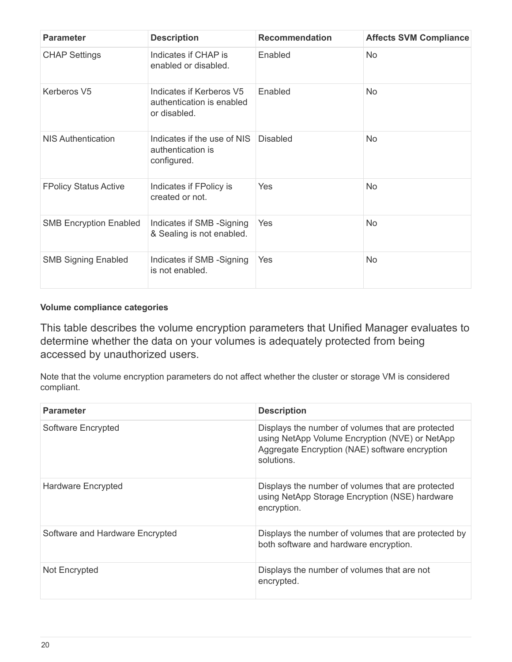| <b>Parameter</b>              | <b>Description</b>                                                    | <b>Recommendation</b> | <b>Affects SVM Compliance</b> |
|-------------------------------|-----------------------------------------------------------------------|-----------------------|-------------------------------|
| <b>CHAP Settings</b>          | Indicates if CHAP is<br>enabled or disabled.                          | Enabled               | No.                           |
| Kerberos V5                   | Indicates if Kerberos V5<br>authentication is enabled<br>or disabled. | Enabled               | No.                           |
| <b>NIS Authentication</b>     | Indicates if the use of NIS<br>authentication is<br>configured.       | <b>Disabled</b>       | <b>No</b>                     |
| <b>FPolicy Status Active</b>  | Indicates if FPolicy is<br>created or not.                            | Yes                   | <b>No</b>                     |
| <b>SMB Encryption Enabled</b> | Indicates if SMB -Signing<br>& Sealing is not enabled.                | Yes                   | <b>No</b>                     |
| <b>SMB Signing Enabled</b>    | Indicates if SMB -Signing<br>is not enabled.                          | Yes                   | <b>No</b>                     |

#### **Volume compliance categories**

This table describes the volume encryption parameters that Unified Manager evaluates to determine whether the data on your volumes is adequately protected from being accessed by unauthorized users.

Note that the volume encryption parameters do not affect whether the cluster or storage VM is considered compliant.

| <b>Parameter</b>                | <b>Description</b>                                                                                                                                                 |
|---------------------------------|--------------------------------------------------------------------------------------------------------------------------------------------------------------------|
| Software Encrypted              | Displays the number of volumes that are protected<br>using NetApp Volume Encryption (NVE) or NetApp<br>Aggregate Encryption (NAE) software encryption<br>solutions |
| Hardware Encrypted              | Displays the number of volumes that are protected<br>using NetApp Storage Encryption (NSE) hardware<br>encryption.                                                 |
| Software and Hardware Encrypted | Displays the number of volumes that are protected by<br>both software and hardware encryption.                                                                     |
| Not Encrypted                   | Displays the number of volumes that are not<br>encrypted.                                                                                                          |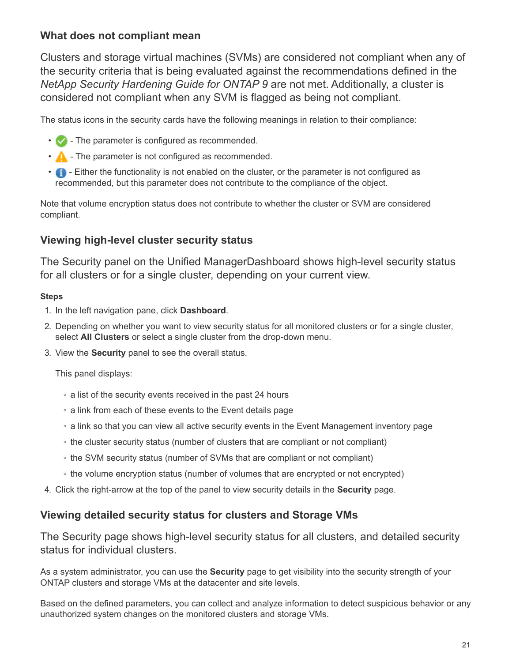## **What does not compliant mean**

Clusters and storage virtual machines (SVMs) are considered not compliant when any of the security criteria that is being evaluated against the recommendations defined in the *NetApp Security Hardening Guide for ONTAP 9* are not met. Additionally, a cluster is considered not compliant when any SVM is flagged as being not compliant.

The status icons in the security cards have the following meanings in relation to their compliance:

- The parameter is configured as recommended.
- $\cdot$   $\triangle$  The parameter is not configured as recommended.
- $\bullet$  Either the functionality is not enabled on the cluster, or the parameter is not configured as recommended, but this parameter does not contribute to the compliance of the object.

Note that volume encryption status does not contribute to whether the cluster or SVM are considered compliant.

## **Viewing high-level cluster security status**

The Security panel on the Unified ManagerDashboard shows high-level security status for all clusters or for a single cluster, depending on your current view.

#### **Steps**

- 1. In the left navigation pane, click **Dashboard**.
- 2. Depending on whether you want to view security status for all monitored clusters or for a single cluster, select **All Clusters** or select a single cluster from the drop-down menu.
- 3. View the **Security** panel to see the overall status.

This panel displays:

- a list of the security events received in the past 24 hours
- a link from each of these events to the Event details page
- a link so that you can view all active security events in the Event Management inventory page
- the cluster security status (number of clusters that are compliant or not compliant)
- the SVM security status (number of SVMs that are compliant or not compliant)
- the volume encryption status (number of volumes that are encrypted or not encrypted)
- 4. Click the right-arrow at the top of the panel to view security details in the **Security** page.

## **Viewing detailed security status for clusters and Storage VMs**

The Security page shows high-level security status for all clusters, and detailed security status for individual clusters.

As a system administrator, you can use the **Security** page to get visibility into the security strength of your ONTAP clusters and storage VMs at the datacenter and site levels.

Based on the defined parameters, you can collect and analyze information to detect suspicious behavior or any unauthorized system changes on the monitored clusters and storage VMs.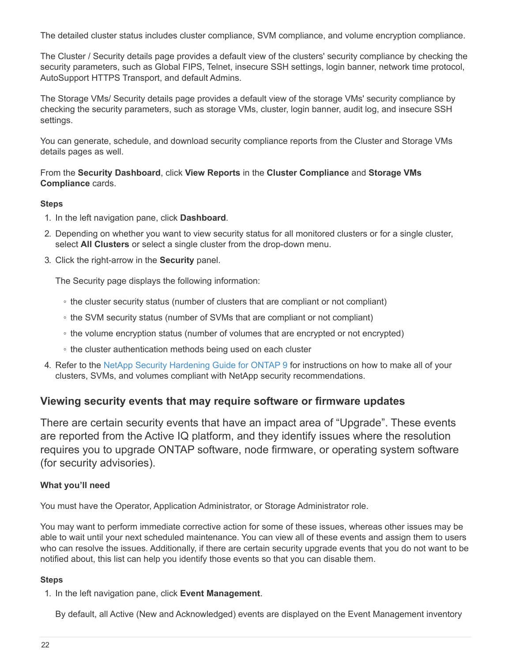The detailed cluster status includes cluster compliance, SVM compliance, and volume encryption compliance.

The Cluster / Security details page provides a default view of the clusters' security compliance by checking the security parameters, such as Global FIPS, Telnet, insecure SSH settings, login banner, network time protocol, AutoSupport HTTPS Transport, and default Admins.

The Storage VMs/ Security details page provides a default view of the storage VMs' security compliance by checking the security parameters, such as storage VMs, cluster, login banner, audit log, and insecure SSH settings.

You can generate, schedule, and download security compliance reports from the Cluster and Storage VMs details pages as well.

From the **Security Dashboard**, click **View Reports** in the **Cluster Compliance** and **Storage VMs Compliance** cards.

#### **Steps**

- 1. In the left navigation pane, click **Dashboard**.
- 2. Depending on whether you want to view security status for all monitored clusters or for a single cluster, select **All Clusters** or select a single cluster from the drop-down menu.
- 3. Click the right-arrow in the **Security** panel.

The Security page displays the following information:

- the cluster security status (number of clusters that are compliant or not compliant)
- the SVM security status (number of SVMs that are compliant or not compliant)
- the volume encryption status (number of volumes that are encrypted or not encrypted)
- the cluster authentication methods being used on each cluster
- 4. Refer to the [NetApp Security Hardening Guide for ONTAP 9](http://www.netapp.com/us/media/tr-4569.pdf) for instructions on how to make all of your clusters, SVMs, and volumes compliant with NetApp security recommendations.

#### **Viewing security events that may require software or firmware updates**

There are certain security events that have an impact area of "Upgrade". These events are reported from the Active IQ platform, and they identify issues where the resolution requires you to upgrade ONTAP software, node firmware, or operating system software (for security advisories).

#### **What you'll need**

You must have the Operator, Application Administrator, or Storage Administrator role.

You may want to perform immediate corrective action for some of these issues, whereas other issues may be able to wait until your next scheduled maintenance. You can view all of these events and assign them to users who can resolve the issues. Additionally, if there are certain security upgrade events that you do not want to be notified about, this list can help you identify those events so that you can disable them.

#### **Steps**

1. In the left navigation pane, click **Event Management**.

By default, all Active (New and Acknowledged) events are displayed on the Event Management inventory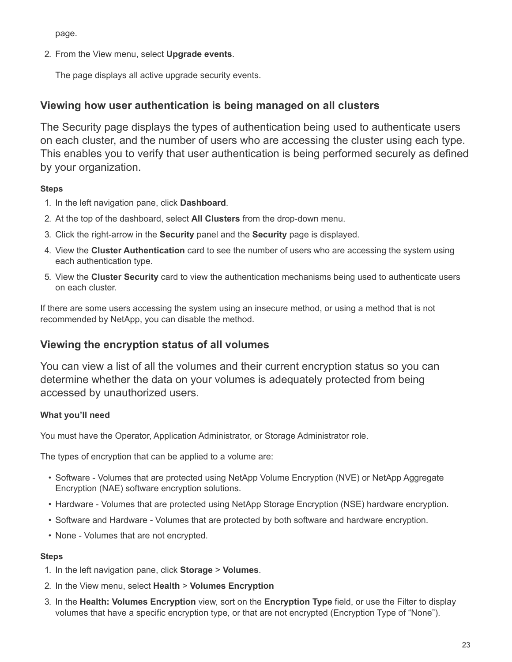page.

2. From the View menu, select **Upgrade events**.

The page displays all active upgrade security events.

### **Viewing how user authentication is being managed on all clusters**

The Security page displays the types of authentication being used to authenticate users on each cluster, and the number of users who are accessing the cluster using each type. This enables you to verify that user authentication is being performed securely as defined by your organization.

#### **Steps**

- 1. In the left navigation pane, click **Dashboard**.
- 2. At the top of the dashboard, select **All Clusters** from the drop-down menu.
- 3. Click the right-arrow in the **Security** panel and the **Security** page is displayed.
- 4. View the **Cluster Authentication** card to see the number of users who are accessing the system using each authentication type.
- 5. View the **Cluster Security** card to view the authentication mechanisms being used to authenticate users on each cluster.

If there are some users accessing the system using an insecure method, or using a method that is not recommended by NetApp, you can disable the method.

## **Viewing the encryption status of all volumes**

You can view a list of all the volumes and their current encryption status so you can determine whether the data on your volumes is adequately protected from being accessed by unauthorized users.

#### **What you'll need**

You must have the Operator, Application Administrator, or Storage Administrator role.

The types of encryption that can be applied to a volume are:

- Software Volumes that are protected using NetApp Volume Encryption (NVE) or NetApp Aggregate Encryption (NAE) software encryption solutions.
- Hardware Volumes that are protected using NetApp Storage Encryption (NSE) hardware encryption.
- Software and Hardware Volumes that are protected by both software and hardware encryption.
- None Volumes that are not encrypted.

#### **Steps**

- 1. In the left navigation pane, click **Storage** > **Volumes**.
- 2. In the View menu, select **Health** > **Volumes Encryption**
- 3. In the **Health: Volumes Encryption** view, sort on the **Encryption Type** field, or use the Filter to display volumes that have a specific encryption type, or that are not encrypted (Encryption Type of "None").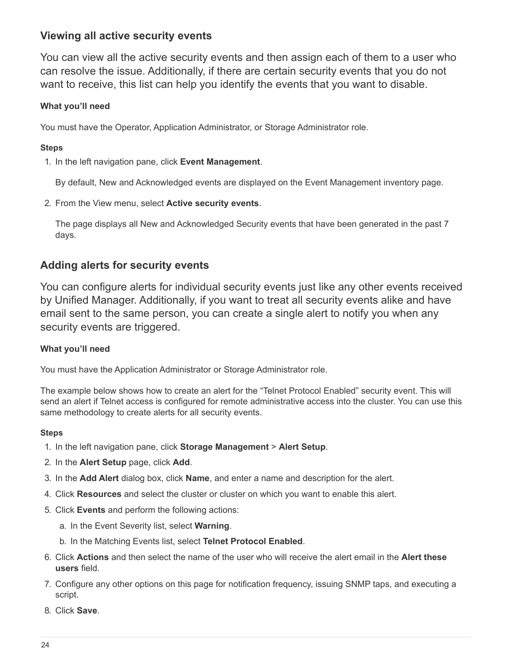## **Viewing all active security events**

You can view all the active security events and then assign each of them to a user who can resolve the issue. Additionally, if there are certain security events that you do not want to receive, this list can help you identify the events that you want to disable.

#### **What you'll need**

You must have the Operator, Application Administrator, or Storage Administrator role.

#### **Steps**

1. In the left navigation pane, click **Event Management**.

By default, New and Acknowledged events are displayed on the Event Management inventory page.

2. From the View menu, select **Active security events**.

The page displays all New and Acknowledged Security events that have been generated in the past 7 days.

## **Adding alerts for security events**

You can configure alerts for individual security events just like any other events received by Unified Manager. Additionally, if you want to treat all security events alike and have email sent to the same person, you can create a single alert to notify you when any security events are triggered.

### **What you'll need**

You must have the Application Administrator or Storage Administrator role.

The example below shows how to create an alert for the "Telnet Protocol Enabled" security event. This will send an alert if Telnet access is configured for remote administrative access into the cluster. You can use this same methodology to create alerts for all security events.

#### **Steps**

- 1. In the left navigation pane, click **Storage Management** > **Alert Setup**.
- 2. In the **Alert Setup** page, click **Add**.
- 3. In the **Add Alert** dialog box, click **Name**, and enter a name and description for the alert.
- 4. Click **Resources** and select the cluster or cluster on which you want to enable this alert.
- 5. Click **Events** and perform the following actions:
	- a. In the Event Severity list, select **Warning**.
	- b. In the Matching Events list, select **Telnet Protocol Enabled**.
- 6. Click **Actions** and then select the name of the user who will receive the alert email in the **Alert these users** field.
- 7. Configure any other options on this page for notification frequency, issuing SNMP taps, and executing a script.
- 8. Click **Save**.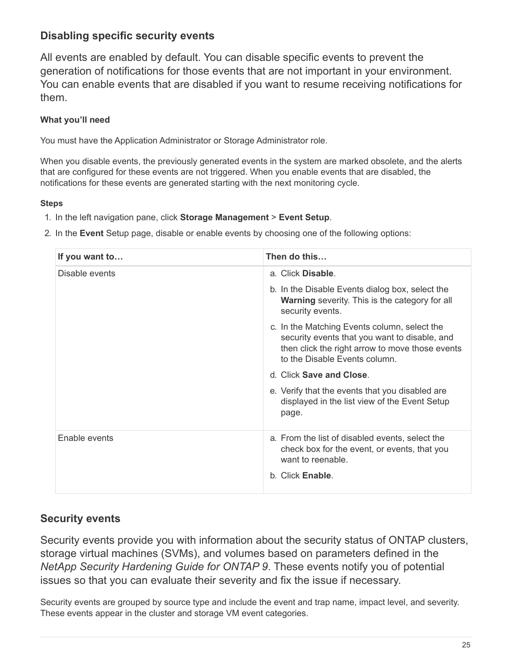## **Disabling specific security events**

All events are enabled by default. You can disable specific events to prevent the generation of notifications for those events that are not important in your environment. You can enable events that are disabled if you want to resume receiving notifications for them.

### **What you'll need**

You must have the Application Administrator or Storage Administrator role.

When you disable events, the previously generated events in the system are marked obsolete, and the alerts that are configured for these events are not triggered. When you enable events that are disabled, the notifications for these events are generated starting with the next monitoring cycle.

#### **Steps**

- 1. In the left navigation pane, click **Storage Management** > **Event Setup**.
- 2. In the **Event** Setup page, disable or enable events by choosing one of the following options:

| If you want to | Then do this                                                                                                                                                                      |
|----------------|-----------------------------------------------------------------------------------------------------------------------------------------------------------------------------------|
| Disable events | a. Click Disable.                                                                                                                                                                 |
|                | b. In the Disable Events dialog box, select the<br><b>Warning</b> severity. This is the category for all<br>security events.                                                      |
|                | c. In the Matching Events column, select the<br>security events that you want to disable, and<br>then click the right arrow to move those events<br>to the Disable Events column. |
|                | d. Click Save and Close.                                                                                                                                                          |
|                | e. Verify that the events that you disabled are<br>displayed in the list view of the Event Setup<br>page.                                                                         |
| Enable events  | a. From the list of disabled events, select the<br>check box for the event, or events, that you<br>want to reenable.<br>b. Click <b>Enable</b> .                                  |

## **Security events**

Security events provide you with information about the security status of ONTAP clusters, storage virtual machines (SVMs), and volumes based on parameters defined in the *NetApp Security Hardening Guide for ONTAP 9*. These events notify you of potential issues so that you can evaluate their severity and fix the issue if necessary.

Security events are grouped by source type and include the event and trap name, impact level, and severity. These events appear in the cluster and storage VM event categories.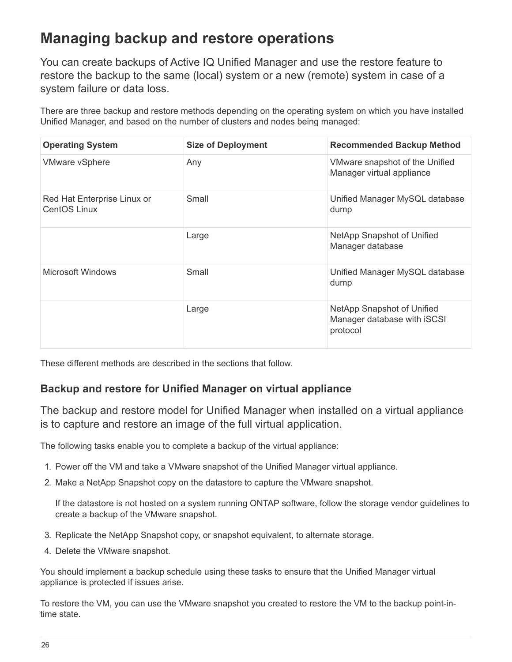## <span id="page-27-0"></span>**Managing backup and restore operations**

You can create backups of Active IQ Unified Manager and use the restore feature to restore the backup to the same (local) system or a new (remote) system in case of a system failure or data loss.

There are three backup and restore methods depending on the operating system on which you have installed Unified Manager, and based on the number of clusters and nodes being managed:

| <b>Operating System</b>                            | <b>Size of Deployment</b> | <b>Recommended Backup Method</b>                                      |
|----------------------------------------------------|---------------------------|-----------------------------------------------------------------------|
| <b>VMware vSphere</b>                              | Any                       | VMware snapshot of the Unified<br>Manager virtual appliance           |
| Red Hat Enterprise Linux or<br><b>CentOS Linux</b> | Small                     | Unified Manager MySQL database<br>dump                                |
|                                                    | Large                     | NetApp Snapshot of Unified<br>Manager database                        |
| Microsoft Windows                                  | Small                     | Unified Manager MySQL database<br>dump                                |
|                                                    | Large                     | NetApp Snapshot of Unified<br>Manager database with iSCSI<br>protocol |

These different methods are described in the sections that follow.

## **Backup and restore for Unified Manager on virtual appliance**

The backup and restore model for Unified Manager when installed on a virtual appliance is to capture and restore an image of the full virtual application.

The following tasks enable you to complete a backup of the virtual appliance:

- 1. Power off the VM and take a VMware snapshot of the Unified Manager virtual appliance.
- 2. Make a NetApp Snapshot copy on the datastore to capture the VMware snapshot.

If the datastore is not hosted on a system running ONTAP software, follow the storage vendor guidelines to create a backup of the VMware snapshot.

- 3. Replicate the NetApp Snapshot copy, or snapshot equivalent, to alternate storage.
- 4. Delete the VMware snapshot.

You should implement a backup schedule using these tasks to ensure that the Unified Manager virtual appliance is protected if issues arise.

To restore the VM, you can use the VMware snapshot you created to restore the VM to the backup point-intime state.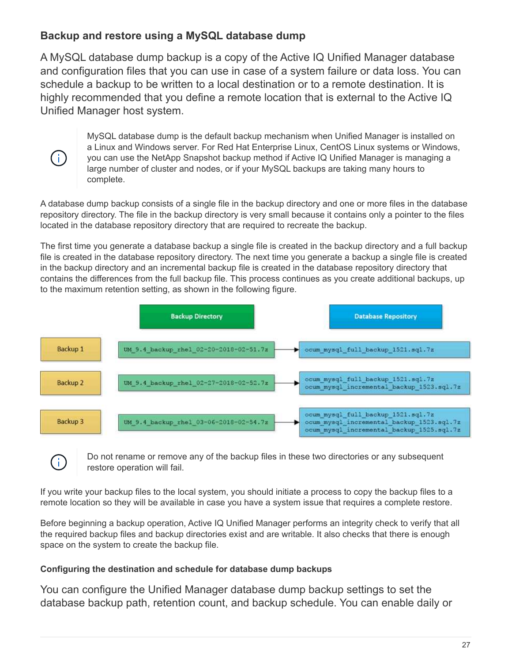## **Backup and restore using a MySQL database dump**

A MySQL database dump backup is a copy of the Active IQ Unified Manager database and configuration files that you can use in case of a system failure or data loss. You can schedule a backup to be written to a local destination or to a remote destination. It is highly recommended that you define a remote location that is external to the Active IQ Unified Manager host system.

 $\left(\mathbf{i}\right)$ 

 $\mathbf{f}$ 

MySQL database dump is the default backup mechanism when Unified Manager is installed on a Linux and Windows server. For Red Hat Enterprise Linux, CentOS Linux systems or Windows, you can use the NetApp Snapshot backup method if Active IQ Unified Manager is managing a large number of cluster and nodes, or if your MySQL backups are taking many hours to complete.

A database dump backup consists of a single file in the backup directory and one or more files in the database repository directory. The file in the backup directory is very small because it contains only a pointer to the files located in the database repository directory that are required to recreate the backup.

The first time you generate a database backup a single file is created in the backup directory and a full backup file is created in the database repository directory. The next time you generate a backup a single file is created in the backup directory and an incremental backup file is created in the database repository directory that contains the differences from the full backup file. This process continues as you create additional backups, up to the maximum retention setting, as shown in the following figure.



Do not rename or remove any of the backup files in these two directories or any subsequent restore operation will fail.

If you write your backup files to the local system, you should initiate a process to copy the backup files to a remote location so they will be available in case you have a system issue that requires a complete restore.

Before beginning a backup operation, Active IQ Unified Manager performs an integrity check to verify that all the required backup files and backup directories exist and are writable. It also checks that there is enough space on the system to create the backup file.

#### **Configuring the destination and schedule for database dump backups**

You can configure the Unified Manager database dump backup settings to set the database backup path, retention count, and backup schedule. You can enable daily or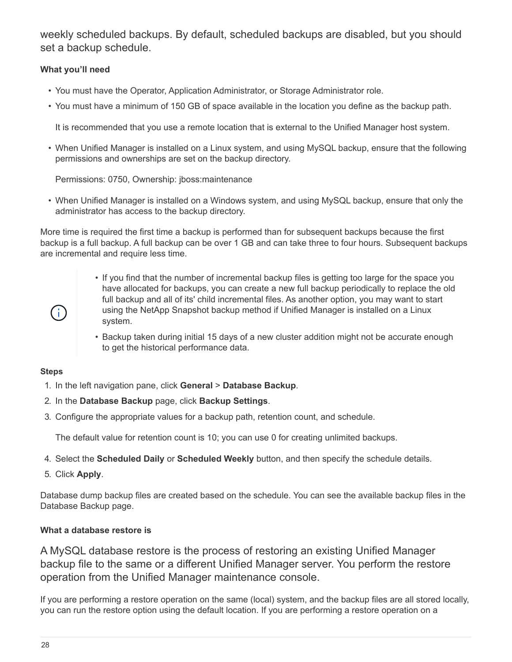weekly scheduled backups. By default, scheduled backups are disabled, but you should set a backup schedule.

#### **What you'll need**

- You must have the Operator, Application Administrator, or Storage Administrator role.
- You must have a minimum of 150 GB of space available in the location you define as the backup path.

It is recommended that you use a remote location that is external to the Unified Manager host system.

• When Unified Manager is installed on a Linux system, and using MySQL backup, ensure that the following permissions and ownerships are set on the backup directory.

Permissions: 0750, Ownership: jboss:maintenance

• When Unified Manager is installed on a Windows system, and using MySQL backup, ensure that only the administrator has access to the backup directory.

More time is required the first time a backup is performed than for subsequent backups because the first backup is a full backup. A full backup can be over 1 GB and can take three to four hours. Subsequent backups are incremental and require less time.

- If you find that the number of incremental backup files is getting too large for the space you have allocated for backups, you can create a new full backup periodically to replace the old full backup and all of its' child incremental files. As another option, you may want to start using the NetApp Snapshot backup method if Unified Manager is installed on a Linux system.
- Backup taken during initial 15 days of a new cluster addition might not be accurate enough to get the historical performance data.

#### **Steps**

 $\left( \begin{array}{c} 1 \end{array} \right)$ 

- 1. In the left navigation pane, click **General** > **Database Backup**.
- 2. In the **Database Backup** page, click **Backup Settings**.
- 3. Configure the appropriate values for a backup path, retention count, and schedule.

The default value for retention count is 10; you can use 0 for creating unlimited backups.

- 4. Select the **Scheduled Daily** or **Scheduled Weekly** button, and then specify the schedule details.
- 5. Click **Apply**.

Database dump backup files are created based on the schedule. You can see the available backup files in the Database Backup page.

#### **What a database restore is**

A MySQL database restore is the process of restoring an existing Unified Manager backup file to the same or a different Unified Manager server. You perform the restore operation from the Unified Manager maintenance console.

If you are performing a restore operation on the same (local) system, and the backup files are all stored locally, you can run the restore option using the default location. If you are performing a restore operation on a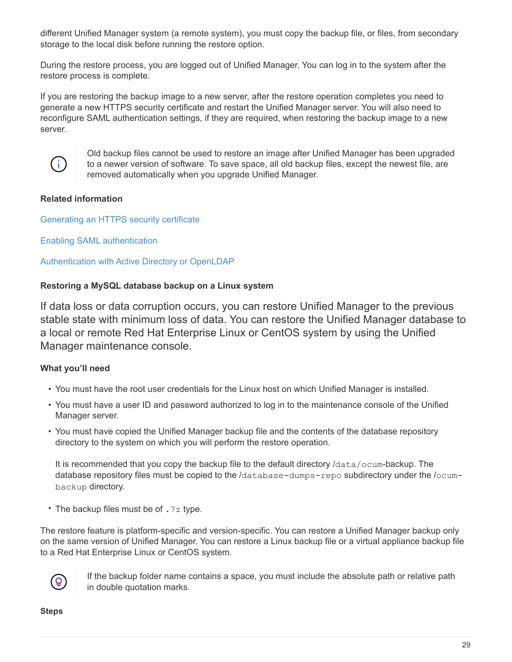different Unified Manager system (a remote system), you must copy the backup file, or files, from secondary storage to the local disk before running the restore option.

During the restore process, you are logged out of Unified Manager. You can log in to the system after the restore process is complete.

If you are restoring the backup image to a new server, after the restore operation completes you need to generate a new HTTPS security certificate and restart the Unified Manager server. You will also need to reconfigure SAML authentication settings, if they are required, when restoring the backup image to a new server.



Old backup files cannot be used to restore an image after Unified Manager has been upgraded to a newer version of software. To save space, all old backup files, except the newest file, are removed automatically when you upgrade Unified Manager.

#### **Related information**

[Generating an HTTPS security certificate](https://docs.netapp.com/us-en/active-iq-unified-manager-910/config/task_generate_an_https_security_certificate_ocf.html)

[Enabling SAML authentication](https://docs.netapp.com/us-en/active-iq-unified-manager-910/config/task_enable_saml_authentication_um.html)

[Authentication with Active Directory or OpenLDAP](https://docs.netapp.com/us-en/active-iq-unified-manager-910/config/concept_authentication_with_active_directory_or_openldap.html)

#### **Restoring a MySQL database backup on a Linux system**

If data loss or data corruption occurs, you can restore Unified Manager to the previous stable state with minimum loss of data. You can restore the Unified Manager database to a local or remote Red Hat Enterprise Linux or CentOS system by using the Unified Manager maintenance console.

#### **What you'll need**

- You must have the root user credentials for the Linux host on which Unified Manager is installed.
- You must have a user ID and password authorized to log in to the maintenance console of the Unified Manager server.
- You must have copied the Unified Manager backup file and the contents of the database repository directory to the system on which you will perform the restore operation.

It is recommended that you copy the backup file to the default directory /data/ocum-backup. The database repository files must be copied to the /database-dumps-repo subdirectory under the /ocumbackup directory.

• The backup files must be of .7z type.

The restore feature is platform-specific and version-specific. You can restore a Unified Manager backup only on the same version of Unified Manager. You can restore a Linux backup file or a virtual appliance backup file to a Red Hat Enterprise Linux or CentOS system.



If the backup folder name contains a space, you must include the absolute path or relative path in double quotation marks.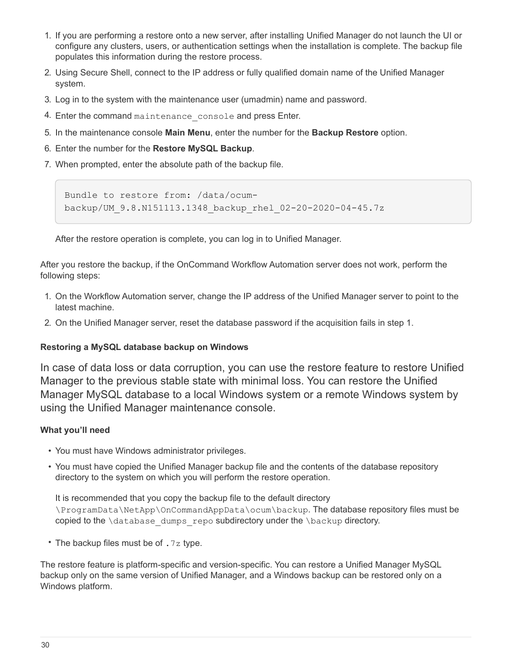- 1. If you are performing a restore onto a new server, after installing Unified Manager do not launch the UI or configure any clusters, users, or authentication settings when the installation is complete. The backup file populates this information during the restore process.
- 2. Using Secure Shell, connect to the IP address or fully qualified domain name of the Unified Manager system.
- 3. Log in to the system with the maintenance user (umadmin) name and password.
- 4. Enter the command maintenance console and press Enter.
- 5. In the maintenance console **Main Menu**, enter the number for the **Backup Restore** option.
- 6. Enter the number for the **Restore MySQL Backup**.
- 7. When prompted, enter the absolute path of the backup file.

```
Bundle to restore from: /data/ocum-
backup/UM_9.8.N151113.1348_backup_rhel_02-20-2020-04-45.7z
```
After the restore operation is complete, you can log in to Unified Manager.

After you restore the backup, if the OnCommand Workflow Automation server does not work, perform the following steps:

- 1. On the Workflow Automation server, change the IP address of the Unified Manager server to point to the latest machine.
- 2. On the Unified Manager server, reset the database password if the acquisition fails in step 1.

#### **Restoring a MySQL database backup on Windows**

In case of data loss or data corruption, you can use the restore feature to restore Unified Manager to the previous stable state with minimal loss. You can restore the Unified Manager MySQL database to a local Windows system or a remote Windows system by using the Unified Manager maintenance console.

#### **What you'll need**

- You must have Windows administrator privileges.
- You must have copied the Unified Manager backup file and the contents of the database repository directory to the system on which you will perform the restore operation.

It is recommended that you copy the backup file to the default directory \ProgramData\NetApp\OnCommandAppData\ocum\backup. The database repository files must be copied to the \database\_dumps\_repo subdirectory under the \backup directory.

• The backup files must be of .7z type.

The restore feature is platform-specific and version-specific. You can restore a Unified Manager MySQL backup only on the same version of Unified Manager, and a Windows backup can be restored only on a Windows platform.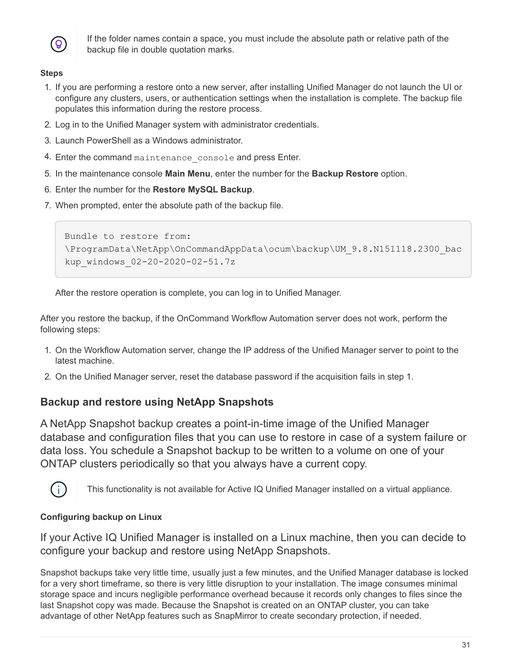

If the folder names contain a space, you must include the absolute path or relative path of the backup file in double quotation marks.

#### **Steps**

- 1. If you are performing a restore onto a new server, after installing Unified Manager do not launch the UI or configure any clusters, users, or authentication settings when the installation is complete. The backup file populates this information during the restore process.
- 2. Log in to the Unified Manager system with administrator credentials.
- 3. Launch PowerShell as a Windows administrator.
- 4. Enter the command maintenance console and press Enter.
- 5. In the maintenance console **Main Menu**, enter the number for the **Backup Restore** option.
- 6. Enter the number for the **Restore MySQL Backup**.
- 7. When prompted, enter the absolute path of the backup file.

```
Bundle to restore from:
\ProgramData\NetApp\OnCommandAppData\ocum\backup\UM_9.8.N151118.2300_bac
kup_windows_02-20-2020-02-51.7z
```
After the restore operation is complete, you can log in to Unified Manager.

After you restore the backup, if the OnCommand Workflow Automation server does not work, perform the following steps:

- 1. On the Workflow Automation server, change the IP address of the Unified Manager server to point to the latest machine.
- 2. On the Unified Manager server, reset the database password if the acquisition fails in step 1.

## **Backup and restore using NetApp Snapshots**

A NetApp Snapshot backup creates a point-in-time image of the Unified Manager database and configuration files that you can use to restore in case of a system failure or data loss. You schedule a Snapshot backup to be written to a volume on one of your ONTAP clusters periodically so that you always have a current copy.



This functionality is not available for Active IQ Unified Manager installed on a virtual appliance.

#### **Configuring backup on Linux**

If your Active IQ Unified Manager is installed on a Linux machine, then you can decide to configure your backup and restore using NetApp Snapshots.

Snapshot backups take very little time, usually just a few minutes, and the Unified Manager database is locked for a very short timeframe, so there is very little disruption to your installation. The image consumes minimal storage space and incurs negligible performance overhead because it records only changes to files since the last Snapshot copy was made. Because the Snapshot is created on an ONTAP cluster, you can take advantage of other NetApp features such as SnapMirror to create secondary protection, if needed.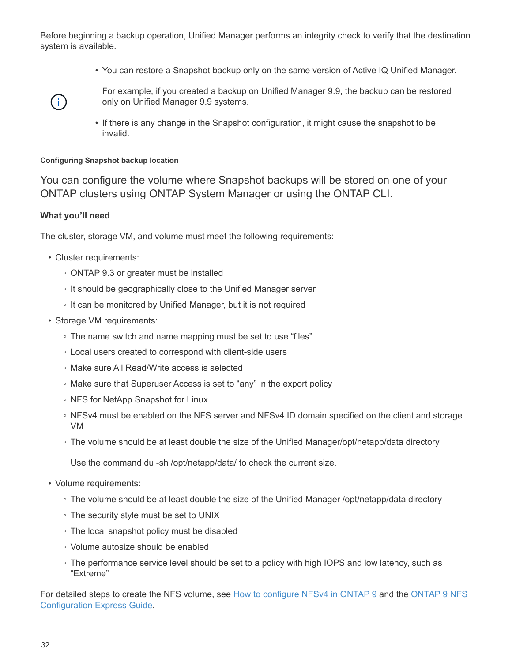Before beginning a backup operation, Unified Manager performs an integrity check to verify that the destination system is available.

• You can restore a Snapshot backup only on the same version of Active IQ Unified Manager.



For example, if you created a backup on Unified Manager 9.9, the backup can be restored only on Unified Manager 9.9 systems.

• If there is any change in the Snapshot configuration, it might cause the snapshot to be invalid.

#### **Configuring Snapshot backup location**

You can configure the volume where Snapshot backups will be stored on one of your ONTAP clusters using ONTAP System Manager or using the ONTAP CLI.

#### **What you'll need**

The cluster, storage VM, and volume must meet the following requirements:

- Cluster requirements:
	- ONTAP 9.3 or greater must be installed
	- It should be geographically close to the Unified Manager server
	- It can be monitored by Unified Manager, but it is not required
- Storage VM requirements:
	- The name switch and name mapping must be set to use "files"
	- Local users created to correspond with client-side users
	- Make sure All Read/Write access is selected
	- Make sure that Superuser Access is set to "any" in the export policy
	- NFS for NetApp Snapshot for Linux
	- NFSv4 must be enabled on the NFS server and NFSv4 ID domain specified on the client and storage VM
	- The volume should be at least double the size of the Unified Manager/opt/netapp/data directory

Use the command du -sh /opt/netapp/data/ to check the current size.

- Volume requirements:
	- The volume should be at least double the size of the Unified Manager /opt/netapp/data directory
	- The security style must be set to UNIX
	- The local snapshot policy must be disabled
	- Volume autosize should be enabled
	- The performance service level should be set to a policy with high IOPS and low latency, such as "Extreme"

For detailed steps to create the NFS volume, see [How to configure NFSv4 in ONTAP 9](https://kb.netapp.com/Advice_and_Troubleshooting/Data_Storage_Software/ONTAP_OS/How_to_configure_NFSv4_in_Cluster-Mode) and the [ONTAP 9 NFS](http://docs.netapp.com/ontap-9/topic/com.netapp.doc.exp-nfsv3-cg/home.html) [Configuration Express Guide](http://docs.netapp.com/ontap-9/topic/com.netapp.doc.exp-nfsv3-cg/home.html).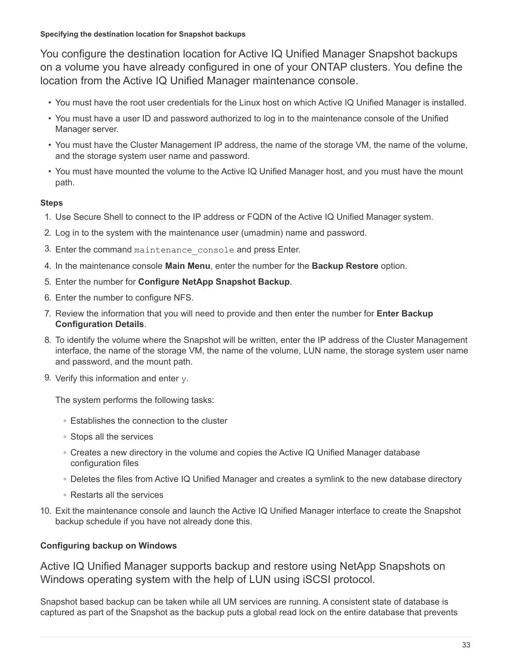**Specifying the destination location for Snapshot backups**

You configure the destination location for Active IQ Unified Manager Snapshot backups on a volume you have already configured in one of your ONTAP clusters. You define the location from the Active IQ Unified Manager maintenance console.

- You must have the root user credentials for the Linux host on which Active IQ Unified Manager is installed.
- You must have a user ID and password authorized to log in to the maintenance console of the Unified Manager server.
- You must have the Cluster Management IP address, the name of the storage VM, the name of the volume, and the storage system user name and password.
- You must have mounted the volume to the Active IQ Unified Manager host, and you must have the mount path.

#### **Steps**

- 1. Use Secure Shell to connect to the IP address or FQDN of the Active IQ Unified Manager system.
- 2. Log in to the system with the maintenance user (umadmin) name and password.
- 3. Enter the command maintenance console and press Enter.
- 4. In the maintenance console **Main Menu**, enter the number for the **Backup Restore** option.
- 5. Enter the number for **Configure NetApp Snapshot Backup**.
- 6. Enter the number to configure NFS.
- 7. Review the information that you will need to provide and then enter the number for **Enter Backup Configuration Details**.
- 8. To identify the volume where the Snapshot will be written, enter the IP address of the Cluster Management interface, the name of the storage VM, the name of the volume, LUN name, the storage system user name and password, and the mount path.
- 9. Verify this information and enter  $v$ .

The system performs the following tasks:

- Establishes the connection to the cluster
- Stops all the services
- Creates a new directory in the volume and copies the Active IQ Unified Manager database configuration files
- Deletes the files from Active IQ Unified Manager and creates a symlink to the new database directory
- Restarts all the services
- 10. Exit the maintenance console and launch the Active IQ Unified Manager interface to create the Snapshot backup schedule if you have not already done this.

#### **Configuring backup on Windows**

Active IQ Unified Manager supports backup and restore using NetApp Snapshots on Windows operating system with the help of LUN using iSCSI protocol.

Snapshot based backup can be taken while all UM services are running. A consistent state of database is captured as part of the Snapshot as the backup puts a global read lock on the entire database that prevents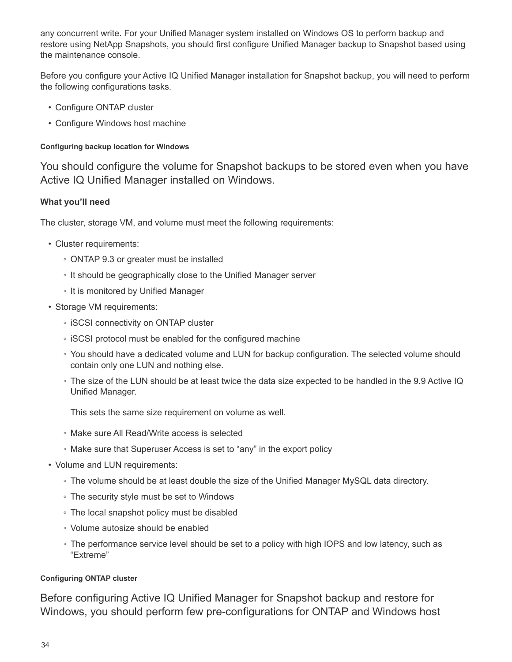any concurrent write. For your Unified Manager system installed on Windows OS to perform backup and restore using NetApp Snapshots, you should first configure Unified Manager backup to Snapshot based using the maintenance console.

Before you configure your Active IQ Unified Manager installation for Snapshot backup, you will need to perform the following configurations tasks.

- Configure ONTAP cluster
- Configure Windows host machine

#### **Configuring backup location for Windows**

You should configure the volume for Snapshot backups to be stored even when you have Active IQ Unified Manager installed on Windows.

#### **What you'll need**

The cluster, storage VM, and volume must meet the following requirements:

- Cluster requirements:
	- ONTAP 9.3 or greater must be installed
	- It should be geographically close to the Unified Manager server
	- It is monitored by Unified Manager
- Storage VM requirements:
	- iSCSI connectivity on ONTAP cluster
	- iSCSI protocol must be enabled for the configured machine
	- You should have a dedicated volume and LUN for backup configuration. The selected volume should contain only one LUN and nothing else.
	- The size of the LUN should be at least twice the data size expected to be handled in the 9.9 Active IQ Unified Manager.

This sets the same size requirement on volume as well.

- Make sure All Read/Write access is selected
- Make sure that Superuser Access is set to "any" in the export policy
- Volume and LUN requirements:
	- The volume should be at least double the size of the Unified Manager MySQL data directory.
	- The security style must be set to Windows
	- The local snapshot policy must be disabled
	- Volume autosize should be enabled
	- The performance service level should be set to a policy with high IOPS and low latency, such as "Extreme"

#### **Configuring ONTAP cluster**

Before configuring Active IQ Unified Manager for Snapshot backup and restore for Windows, you should perform few pre-configurations for ONTAP and Windows host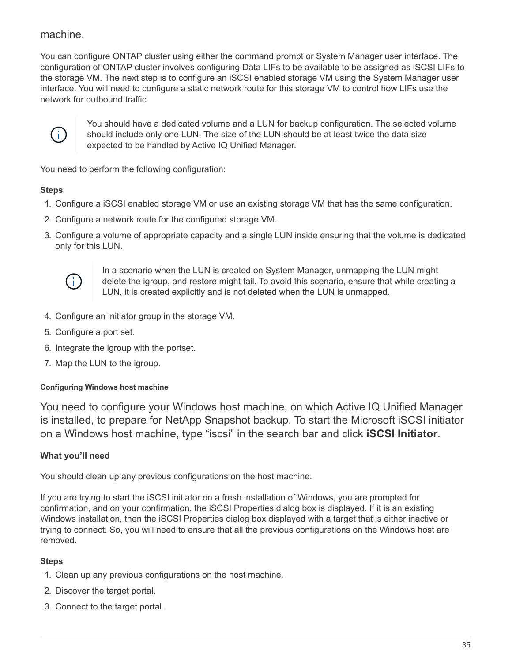## machine.

You can configure ONTAP cluster using either the command prompt or System Manager user interface. The configuration of ONTAP cluster involves configuring Data LIFs to be available to be assigned as iSCSI LIFs to the storage VM. The next step is to configure an iSCSI enabled storage VM using the System Manager user interface. You will need to configure a static network route for this storage VM to control how LIFs use the network for outbound traffic.



You should have a dedicated volume and a LUN for backup configuration. The selected volume should include only one LUN. The size of the LUN should be at least twice the data size expected to be handled by Active IQ Unified Manager.

You need to perform the following configuration:

#### **Steps**

- 1. Configure a iSCSI enabled storage VM or use an existing storage VM that has the same configuration.
- 2. Configure a network route for the configured storage VM.
- 3. Configure a volume of appropriate capacity and a single LUN inside ensuring that the volume is dedicated only for this LUN.



In a scenario when the LUN is created on System Manager, unmapping the LUN might delete the igroup, and restore might fail. To avoid this scenario, ensure that while creating a LUN, it is created explicitly and is not deleted when the LUN is unmapped.

- 4. Configure an initiator group in the storage VM.
- 5. Configure a port set.
- 6. Integrate the igroup with the portset.
- 7. Map the LUN to the igroup.

#### **Configuring Windows host machine**

You need to configure your Windows host machine, on which Active IQ Unified Manager is installed, to prepare for NetApp Snapshot backup. To start the Microsoft iSCSI initiator on a Windows host machine, type "iscsi" in the search bar and click **iSCSI Initiator**.

#### **What you'll need**

You should clean up any previous configurations on the host machine.

If you are trying to start the iSCSI initiator on a fresh installation of Windows, you are prompted for confirmation, and on your confirmation, the iSCSI Properties dialog box is displayed. If it is an existing Windows installation, then the iSCSI Properties dialog box displayed with a target that is either inactive or trying to connect. So, you will need to ensure that all the previous configurations on the Windows host are removed.

- 1. Clean up any previous configurations on the host machine.
- 2. Discover the target portal.
- 3. Connect to the target portal.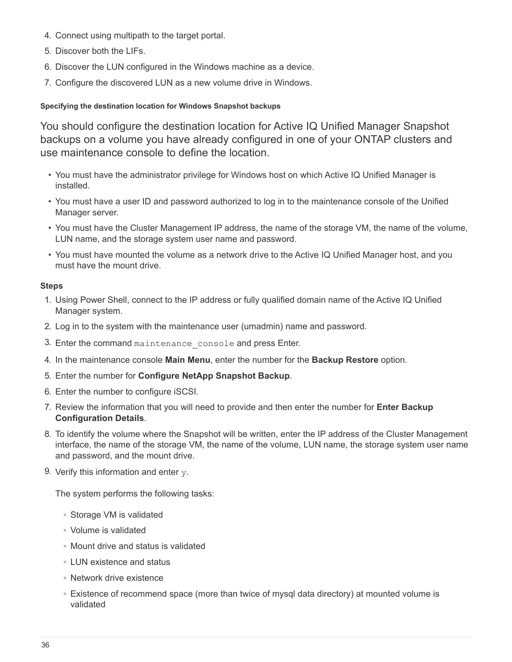- 4. Connect using multipath to the target portal.
- 5. Discover both the LIFs.
- 6. Discover the LUN configured in the Windows machine as a device.
- 7. Configure the discovered LUN as a new volume drive in Windows.

#### **Specifying the destination location for Windows Snapshot backups**

You should configure the destination location for Active IQ Unified Manager Snapshot backups on a volume you have already configured in one of your ONTAP clusters and use maintenance console to define the location.

- You must have the administrator privilege for Windows host on which Active IQ Unified Manager is installed.
- You must have a user ID and password authorized to log in to the maintenance console of the Unified Manager server.
- You must have the Cluster Management IP address, the name of the storage VM, the name of the volume, LUN name, and the storage system user name and password.
- You must have mounted the volume as a network drive to the Active IQ Unified Manager host, and you must have the mount drive.

#### **Steps**

- 1. Using Power Shell, connect to the IP address or fully qualified domain name of the Active IQ Unified Manager system.
- 2. Log in to the system with the maintenance user (umadmin) name and password.
- 3. Enter the command maintenance console and press Enter.
- 4. In the maintenance console **Main Menu**, enter the number for the **Backup Restore** option.
- 5. Enter the number for **Configure NetApp Snapshot Backup**.
- 6. Enter the number to configure iSCSI.
- 7. Review the information that you will need to provide and then enter the number for **Enter Backup Configuration Details**.
- 8. To identify the volume where the Snapshot will be written, enter the IP address of the Cluster Management interface, the name of the storage VM, the name of the volume, LUN name, the storage system user name and password, and the mount drive.
- 9. Verify this information and enter  $y$ .

The system performs the following tasks:

- Storage VM is validated
- Volume is validated
- Mount drive and status is validated
- LUN existence and status
- Network drive existence
- Existence of recommend space (more than twice of mysql data directory) at mounted volume is validated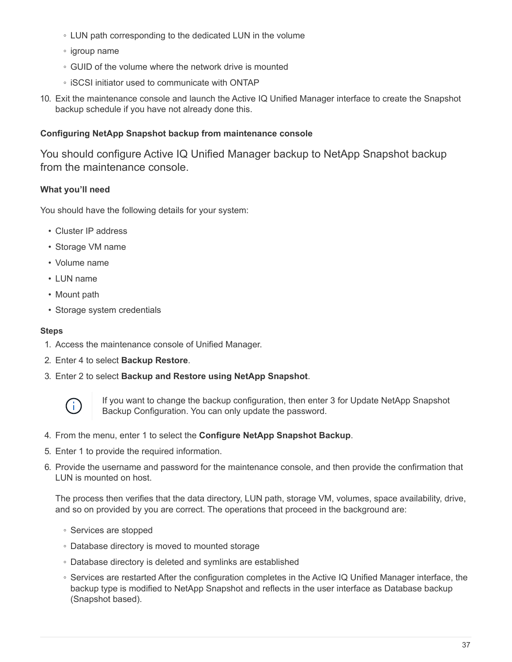- LUN path corresponding to the dedicated LUN in the volume
- igroup name
- GUID of the volume where the network drive is mounted
- iSCSI initiator used to communicate with ONTAP
- 10. Exit the maintenance console and launch the Active IQ Unified Manager interface to create the Snapshot backup schedule if you have not already done this.

#### **Configuring NetApp Snapshot backup from maintenance console**

You should configure Active IQ Unified Manager backup to NetApp Snapshot backup from the maintenance console.

## **What you'll need**

You should have the following details for your system:

- Cluster IP address
- Storage VM name
- Volume name
- LUN name
- Mount path
- Storage system credentials

#### **Steps**

- 1. Access the maintenance console of Unified Manager.
- 2. Enter 4 to select **Backup Restore**.
- 3. Enter 2 to select **Backup and Restore using NetApp Snapshot**.



If you want to change the backup configuration, then enter 3 for Update NetApp Snapshot Backup Configuration. You can only update the password.

- 4. From the menu, enter 1 to select the **Configure NetApp Snapshot Backup**.
- 5. Enter 1 to provide the required information.
- 6. Provide the username and password for the maintenance console, and then provide the confirmation that LUN is mounted on host.

The process then verifies that the data directory, LUN path, storage VM, volumes, space availability, drive, and so on provided by you are correct. The operations that proceed in the background are:

- Services are stopped
- Database directory is moved to mounted storage
- Database directory is deleted and symlinks are established
- Services are restarted After the configuration completes in the Active IQ Unified Manager interface, the backup type is modified to NetApp Snapshot and reflects in the user interface as Database backup (Snapshot based).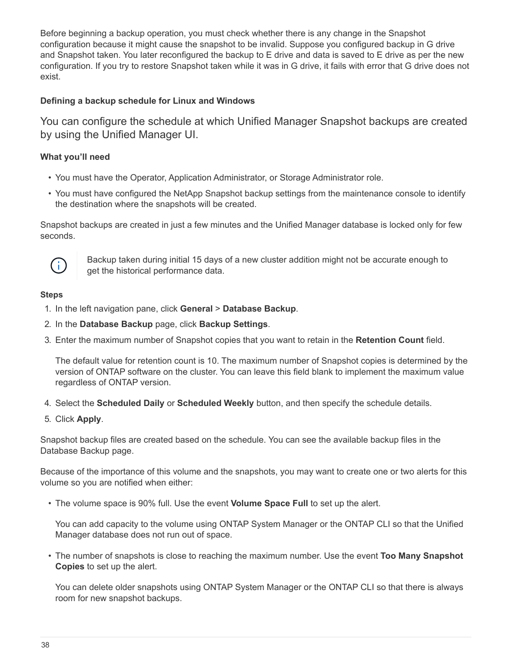Before beginning a backup operation, you must check whether there is any change in the Snapshot configuration because it might cause the snapshot to be invalid. Suppose you configured backup in G drive and Snapshot taken. You later reconfigured the backup to E drive and data is saved to E drive as per the new configuration. If you try to restore Snapshot taken while it was in G drive, it fails with error that G drive does not exist.

#### **Defining a backup schedule for Linux and Windows**

You can configure the schedule at which Unified Manager Snapshot backups are created by using the Unified Manager UI.

#### **What you'll need**

- You must have the Operator, Application Administrator, or Storage Administrator role.
- You must have configured the NetApp Snapshot backup settings from the maintenance console to identify the destination where the snapshots will be created.

Snapshot backups are created in just a few minutes and the Unified Manager database is locked only for few seconds.



Backup taken during initial 15 days of a new cluster addition might not be accurate enough to get the historical performance data.

#### **Steps**

- 1. In the left navigation pane, click **General** > **Database Backup**.
- 2. In the **Database Backup** page, click **Backup Settings**.
- 3. Enter the maximum number of Snapshot copies that you want to retain in the **Retention Count** field.

The default value for retention count is 10. The maximum number of Snapshot copies is determined by the version of ONTAP software on the cluster. You can leave this field blank to implement the maximum value regardless of ONTAP version.

- 4. Select the **Scheduled Daily** or **Scheduled Weekly** button, and then specify the schedule details.
- 5. Click **Apply**.

Snapshot backup files are created based on the schedule. You can see the available backup files in the Database Backup page.

Because of the importance of this volume and the snapshots, you may want to create one or two alerts for this volume so you are notified when either:

• The volume space is 90% full. Use the event **Volume Space Full** to set up the alert.

You can add capacity to the volume using ONTAP System Manager or the ONTAP CLI so that the Unified Manager database does not run out of space.

• The number of snapshots is close to reaching the maximum number. Use the event **Too Many Snapshot Copies** to set up the alert.

You can delete older snapshots using ONTAP System Manager or the ONTAP CLI so that there is always room for new snapshot backups.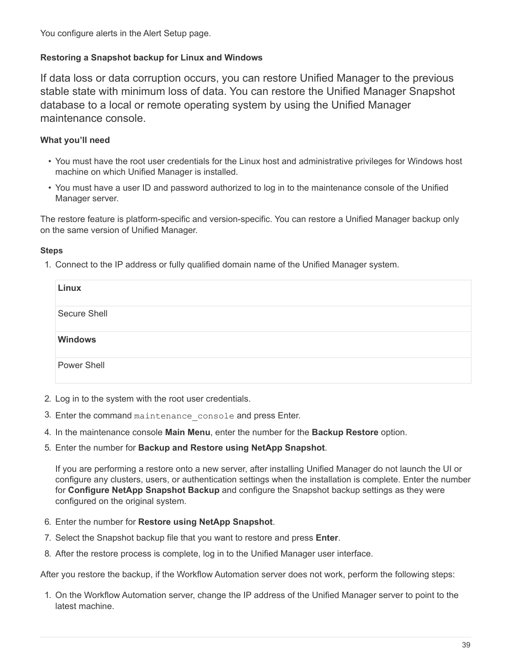You configure alerts in the Alert Setup page.

#### **Restoring a Snapshot backup for Linux and Windows**

If data loss or data corruption occurs, you can restore Unified Manager to the previous stable state with minimum loss of data. You can restore the Unified Manager Snapshot database to a local or remote operating system by using the Unified Manager maintenance console.

#### **What you'll need**

- You must have the root user credentials for the Linux host and administrative privileges for Windows host machine on which Unified Manager is installed.
- You must have a user ID and password authorized to log in to the maintenance console of the Unified Manager server.

The restore feature is platform-specific and version-specific. You can restore a Unified Manager backup only on the same version of Unified Manager.

#### **Steps**

1. Connect to the IP address or fully qualified domain name of the Unified Manager system.

| Linux          |  |
|----------------|--|
| Secure Shell   |  |
| <b>Windows</b> |  |
| Power Shell    |  |

- 2. Log in to the system with the root user credentials.
- 3. Enter the command maintenance console and press Enter.
- 4. In the maintenance console **Main Menu**, enter the number for the **Backup Restore** option.
- 5. Enter the number for **Backup and Restore using NetApp Snapshot**.

If you are performing a restore onto a new server, after installing Unified Manager do not launch the UI or configure any clusters, users, or authentication settings when the installation is complete. Enter the number for **Configure NetApp Snapshot Backup** and configure the Snapshot backup settings as they were configured on the original system.

- 6. Enter the number for **Restore using NetApp Snapshot**.
- 7. Select the Snapshot backup file that you want to restore and press **Enter**.
- 8. After the restore process is complete, log in to the Unified Manager user interface.

After you restore the backup, if the Workflow Automation server does not work, perform the following steps:

1. On the Workflow Automation server, change the IP address of the Unified Manager server to point to the latest machine.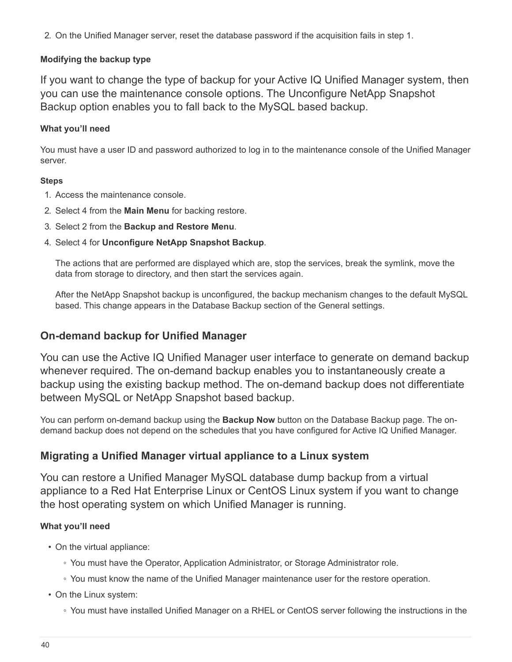2. On the Unified Manager server, reset the database password if the acquisition fails in step 1.

#### **Modifying the backup type**

If you want to change the type of backup for your Active IQ Unified Manager system, then you can use the maintenance console options. The Unconfigure NetApp Snapshot Backup option enables you to fall back to the MySQL based backup.

#### **What you'll need**

You must have a user ID and password authorized to log in to the maintenance console of the Unified Manager server.

#### **Steps**

- 1. Access the maintenance console.
- 2. Select 4 from the **Main Menu** for backing restore.
- 3. Select 2 from the **Backup and Restore Menu**.
- 4. Select 4 for **Unconfigure NetApp Snapshot Backup**.

The actions that are performed are displayed which are, stop the services, break the symlink, move the data from storage to directory, and then start the services again.

After the NetApp Snapshot backup is unconfigured, the backup mechanism changes to the default MySQL based. This change appears in the Database Backup section of the General settings.

## **On-demand backup for Unified Manager**

You can use the Active IQ Unified Manager user interface to generate on demand backup whenever required. The on-demand backup enables you to instantaneously create a backup using the existing backup method. The on-demand backup does not differentiate between MySQL or NetApp Snapshot based backup.

You can perform on-demand backup using the **Backup Now** button on the Database Backup page. The ondemand backup does not depend on the schedules that you have configured for Active IQ Unified Manager.

## **Migrating a Unified Manager virtual appliance to a Linux system**

You can restore a Unified Manager MySQL database dump backup from a virtual appliance to a Red Hat Enterprise Linux or CentOS Linux system if you want to change the host operating system on which Unified Manager is running.

## **What you'll need**

- On the virtual appliance:
	- You must have the Operator, Application Administrator, or Storage Administrator role.
	- You must know the name of the Unified Manager maintenance user for the restore operation.
- On the Linux system:
	- You must have installed Unified Manager on a RHEL or CentOS server following the instructions in the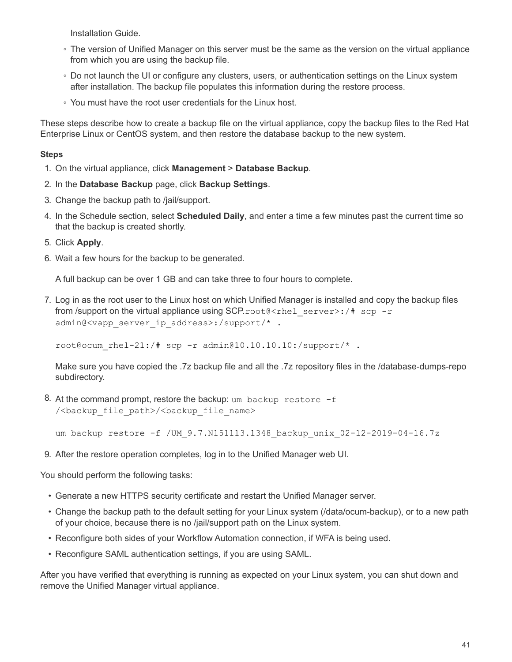Installation Guide.

- The version of Unified Manager on this server must be the same as the version on the virtual appliance from which you are using the backup file.
- Do not launch the UI or configure any clusters, users, or authentication settings on the Linux system after installation. The backup file populates this information during the restore process.
- You must have the root user credentials for the Linux host.

These steps describe how to create a backup file on the virtual appliance, copy the backup files to the Red Hat Enterprise Linux or CentOS system, and then restore the database backup to the new system.

#### **Steps**

- 1. On the virtual appliance, click **Management** > **Database Backup**.
- 2. In the **Database Backup** page, click **Backup Settings**.
- 3. Change the backup path to /jail/support.
- 4. In the Schedule section, select **Scheduled Daily**, and enter a time a few minutes past the current time so that the backup is created shortly.
- 5. Click **Apply**.
- 6. Wait a few hours for the backup to be generated.

A full backup can be over 1 GB and can take three to four hours to complete.

7. Log in as the root user to the Linux host on which Unified Manager is installed and copy the backup files from /support on the virtual appliance using SCP.root@<rhel\_server>:/# scp -r admin@<vapp\_server\_ip\_address>:/support/\* .

root@ocum\_rhel-21:/# scp -r admin@10.10.10.10:/support/\* .

Make sure you have copied the .7z backup file and all the .7z repository files in the /database-dumps-repo subdirectory.

8. At the command prompt, restore the backup: um backup restore -f /<br/>backup file path>/<br/>backup file name>

um backup restore -f / UM 9.7.N151113.1348 backup unix 02-12-2019-04-16.7z

9. After the restore operation completes, log in to the Unified Manager web UI.

You should perform the following tasks:

- Generate a new HTTPS security certificate and restart the Unified Manager server.
- Change the backup path to the default setting for your Linux system (/data/ocum-backup), or to a new path of your choice, because there is no /jail/support path on the Linux system.
- Reconfigure both sides of your Workflow Automation connection, if WFA is being used.
- Reconfigure SAML authentication settings, if you are using SAML.

After you have verified that everything is running as expected on your Linux system, you can shut down and remove the Unified Manager virtual appliance.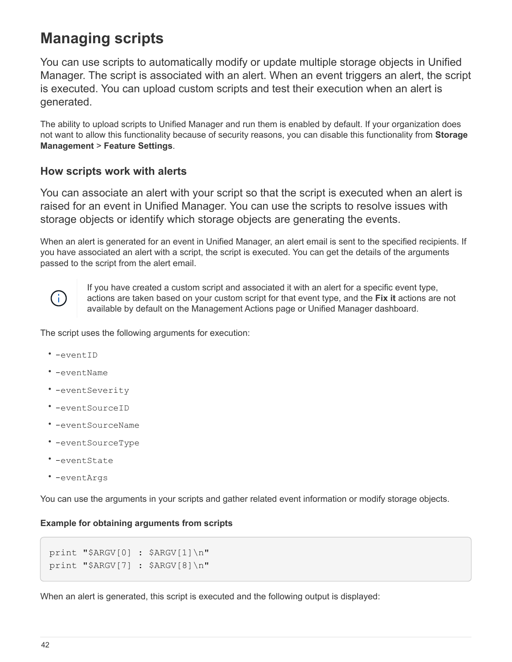# **Managing scripts**

You can use scripts to automatically modify or update multiple storage objects in Unified Manager. The script is associated with an alert. When an event triggers an alert, the script is executed. You can upload custom scripts and test their execution when an alert is generated.

The ability to upload scripts to Unified Manager and run them is enabled by default. If your organization does not want to allow this functionality because of security reasons, you can disable this functionality from **Storage Management** > **Feature Settings**.

# **How scripts work with alerts**

You can associate an alert with your script so that the script is executed when an alert is raised for an event in Unified Manager. You can use the scripts to resolve issues with storage objects or identify which storage objects are generating the events.

When an alert is generated for an event in Unified Manager, an alert email is sent to the specified recipients. If you have associated an alert with a script, the script is executed. You can get the details of the arguments passed to the script from the alert email.



If you have created a custom script and associated it with an alert for a specific event type, actions are taken based on your custom script for that event type, and the **Fix it** actions are not available by default on the Management Actions page or Unified Manager dashboard.

The script uses the following arguments for execution:

- -eventID
- -eventName
- -eventSeverity
- -eventSourceID
- -eventSourceName
- -eventSourceType
- -eventState
- -eventArgs

You can use the arguments in your scripts and gather related event information or modify storage objects.

#### **Example for obtaining arguments from scripts**

```
print "$ARGV[0] : $ARGV[1]\n"
print "$ARGV[7] : $ARGV[8]\n"
```
When an alert is generated, this script is executed and the following output is displayed: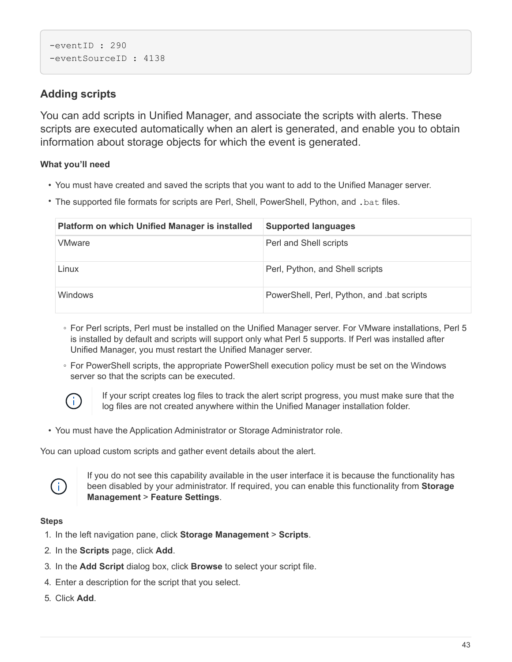```
-eventID : 290
-eventSourceID : 4138
```
# **Adding scripts**

You can add scripts in Unified Manager, and associate the scripts with alerts. These scripts are executed automatically when an alert is generated, and enable you to obtain information about storage objects for which the event is generated.

## **What you'll need**

- You must have created and saved the scripts that you want to add to the Unified Manager server.
- The supported file formats for scripts are Perl, Shell, PowerShell, Python, and .bat files.

| <b>Platform on which Unified Manager is installed</b> | <b>Supported languages</b>                 |
|-------------------------------------------------------|--------------------------------------------|
| <b>VMware</b>                                         | Perl and Shell scripts                     |
| Linux                                                 | Perl, Python, and Shell scripts            |
| <b>Windows</b>                                        | PowerShell, Perl, Python, and .bat scripts |

- For Perl scripts, Perl must be installed on the Unified Manager server. For VMware installations, Perl 5 is installed by default and scripts will support only what Perl 5 supports. If Perl was installed after Unified Manager, you must restart the Unified Manager server.
- For PowerShell scripts, the appropriate PowerShell execution policy must be set on the Windows server so that the scripts can be executed.



If your script creates log files to track the alert script progress, you must make sure that the log files are not created anywhere within the Unified Manager installation folder.

• You must have the Application Administrator or Storage Administrator role.

You can upload custom scripts and gather event details about the alert.



If you do not see this capability available in the user interface it is because the functionality has been disabled by your administrator. If required, you can enable this functionality from **Storage Management** > **Feature Settings**.

- 1. In the left navigation pane, click **Storage Management** > **Scripts**.
- 2. In the **Scripts** page, click **Add**.
- 3. In the **Add Script** dialog box, click **Browse** to select your script file.
- 4. Enter a description for the script that you select.
- 5. Click **Add**.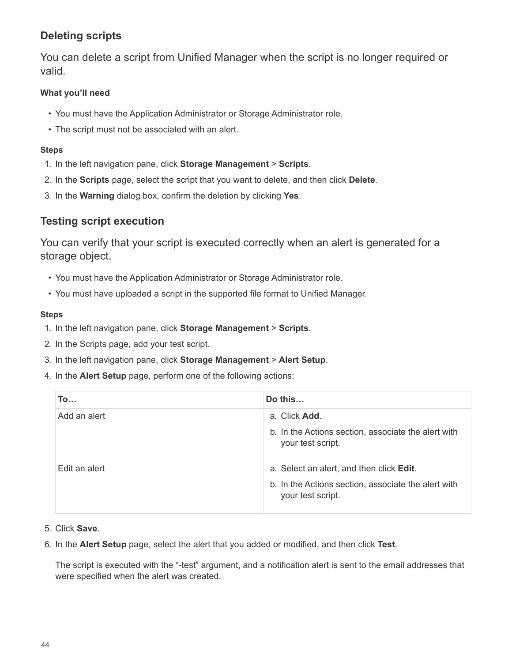# **Deleting scripts**

You can delete a script from Unified Manager when the script is no longer required or valid.

## **What you'll need**

- You must have the Application Administrator or Storage Administrator role.
- The script must not be associated with an alert.

## **Steps**

- 1. In the left navigation pane, click **Storage Management** > **Scripts**.
- 2. In the **Scripts** page, select the script that you want to delete, and then click **Delete**.
- 3. In the **Warning** dialog box, confirm the deletion by clicking **Yes**.

# **Testing script execution**

You can verify that your script is executed correctly when an alert is generated for a storage object.

- You must have the Application Administrator or Storage Administrator role.
- You must have uploaded a script in the supported file format to Unified Manager.

## **Steps**

- 1. In the left navigation pane, click **Storage Management** > **Scripts**.
- 2. In the Scripts page, add your test script.
- 3. In the left navigation pane, click **Storage Management** > **Alert Setup**.
- 4. In the **Alert Setup** page, perform one of the following actions:

| <b>To</b>     | Do this                                                                                                              |
|---------------|----------------------------------------------------------------------------------------------------------------------|
| Add an alert  | a. Click Add.<br>b. In the Actions section, associate the alert with<br>your test script.                            |
| Edit an alert | a. Select an alert, and then click Edit.<br>b. In the Actions section, associate the alert with<br>your test script. |

- 5. Click **Save**.
- 6. In the **Alert Setup** page, select the alert that you added or modified, and then click **Test**.

The script is executed with the "-test" argument, and a notification alert is sent to the email addresses that were specified when the alert was created.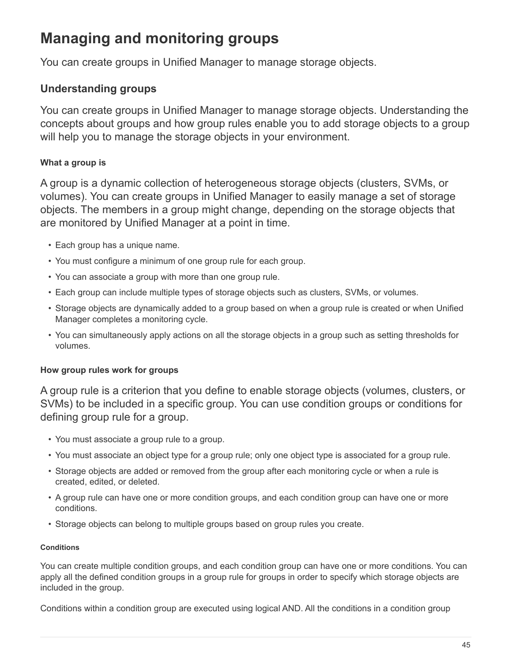# **Managing and monitoring groups**

You can create groups in Unified Manager to manage storage objects.

# **Understanding groups**

You can create groups in Unified Manager to manage storage objects. Understanding the concepts about groups and how group rules enable you to add storage objects to a group will help you to manage the storage objects in your environment.

# **What a group is**

A group is a dynamic collection of heterogeneous storage objects (clusters, SVMs, or volumes). You can create groups in Unified Manager to easily manage a set of storage objects. The members in a group might change, depending on the storage objects that are monitored by Unified Manager at a point in time.

- Each group has a unique name.
- You must configure a minimum of one group rule for each group.
- You can associate a group with more than one group rule.
- Each group can include multiple types of storage objects such as clusters, SVMs, or volumes.
- Storage objects are dynamically added to a group based on when a group rule is created or when Unified Manager completes a monitoring cycle.
- You can simultaneously apply actions on all the storage objects in a group such as setting thresholds for volumes.

# **How group rules work for groups**

A group rule is a criterion that you define to enable storage objects (volumes, clusters, or SVMs) to be included in a specific group. You can use condition groups or conditions for defining group rule for a group.

- You must associate a group rule to a group.
- You must associate an object type for a group rule; only one object type is associated for a group rule.
- Storage objects are added or removed from the group after each monitoring cycle or when a rule is created, edited, or deleted.
- A group rule can have one or more condition groups, and each condition group can have one or more conditions.
- Storage objects can belong to multiple groups based on group rules you create.

## **Conditions**

You can create multiple condition groups, and each condition group can have one or more conditions. You can apply all the defined condition groups in a group rule for groups in order to specify which storage objects are included in the group.

Conditions within a condition group are executed using logical AND. All the conditions in a condition group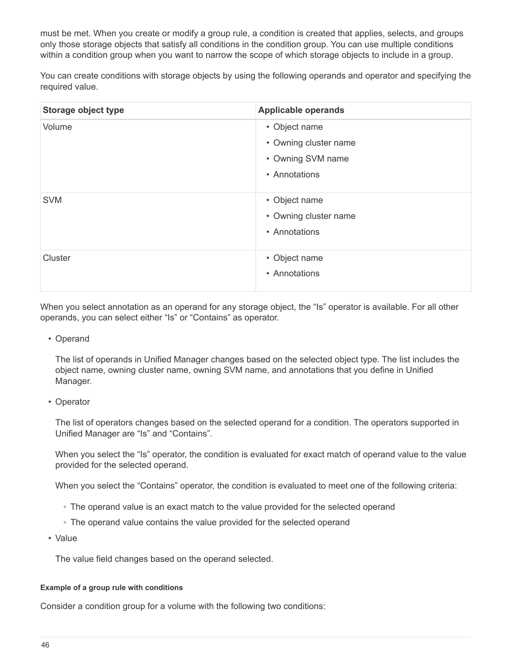must be met. When you create or modify a group rule, a condition is created that applies, selects, and groups only those storage objects that satisfy all conditions in the condition group. You can use multiple conditions within a condition group when you want to narrow the scope of which storage objects to include in a group.

You can create conditions with storage objects by using the following operands and operator and specifying the required value.

| <b>Storage object type</b> | <b>Applicable operands</b> |
|----------------------------|----------------------------|
| Volume                     | • Object name              |
|                            | • Owning cluster name      |
|                            | • Owning SVM name          |
|                            | • Annotations              |
| <b>SVM</b>                 | • Object name              |
|                            | • Owning cluster name      |
|                            | • Annotations              |
| Cluster                    | • Object name              |
|                            | • Annotations              |

When you select annotation as an operand for any storage object, the "Is" operator is available. For all other operands, you can select either "Is" or "Contains" as operator.

• Operand

The list of operands in Unified Manager changes based on the selected object type. The list includes the object name, owning cluster name, owning SVM name, and annotations that you define in Unified Manager.

• Operator

The list of operators changes based on the selected operand for a condition. The operators supported in Unified Manager are "Is" and "Contains".

When you select the "Is" operator, the condition is evaluated for exact match of operand value to the value provided for the selected operand.

When you select the "Contains" operator, the condition is evaluated to meet one of the following criteria:

- The operand value is an exact match to the value provided for the selected operand
- The operand value contains the value provided for the selected operand
- Value

The value field changes based on the operand selected.

#### **Example of a group rule with conditions**

Consider a condition group for a volume with the following two conditions: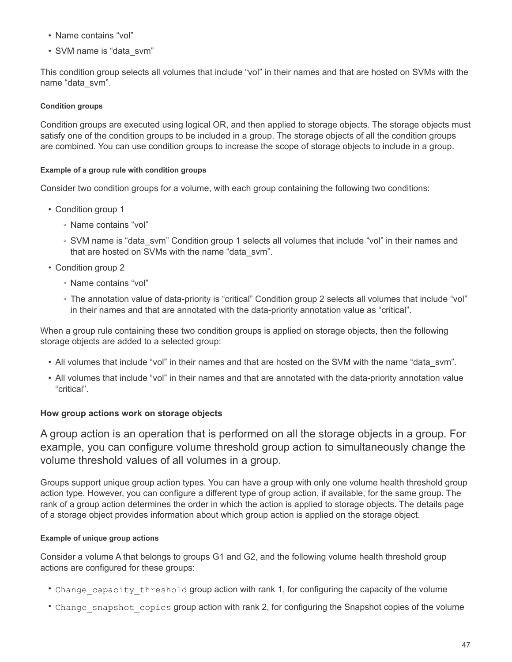- Name contains "vol"
- SVM name is "data\_svm"

This condition group selects all volumes that include "vol" in their names and that are hosted on SVMs with the name "data\_svm".

#### **Condition groups**

Condition groups are executed using logical OR, and then applied to storage objects. The storage objects must satisfy one of the condition groups to be included in a group. The storage objects of all the condition groups are combined. You can use condition groups to increase the scope of storage objects to include in a group.

#### **Example of a group rule with condition groups**

Consider two condition groups for a volume, with each group containing the following two conditions:

- Condition group 1
	- Name contains "vol"
	- SVM name is "data\_svm" Condition group 1 selects all volumes that include "vol" in their names and that are hosted on SVMs with the name "data\_svm".
- Condition group 2
	- Name contains "vol"
	- The annotation value of data-priority is "critical" Condition group 2 selects all volumes that include "vol" in their names and that are annotated with the data-priority annotation value as "critical".

When a group rule containing these two condition groups is applied on storage objects, then the following storage objects are added to a selected group:

- All volumes that include "vol" in their names and that are hosted on the SVM with the name "data\_svm".
- All volumes that include "vol" in their names and that are annotated with the data-priority annotation value "critical".

#### **How group actions work on storage objects**

A group action is an operation that is performed on all the storage objects in a group. For example, you can configure volume threshold group action to simultaneously change the volume threshold values of all volumes in a group.

Groups support unique group action types. You can have a group with only one volume health threshold group action type. However, you can configure a different type of group action, if available, for the same group. The rank of a group action determines the order in which the action is applied to storage objects. The details page of a storage object provides information about which group action is applied on the storage object.

#### **Example of unique group actions**

Consider a volume A that belongs to groups G1 and G2, and the following volume health threshold group actions are configured for these groups:

- Change capacity threshold group action with rank 1, for configuring the capacity of the volume
- Change snapshot copies group action with rank 2, for configuring the Snapshot copies of the volume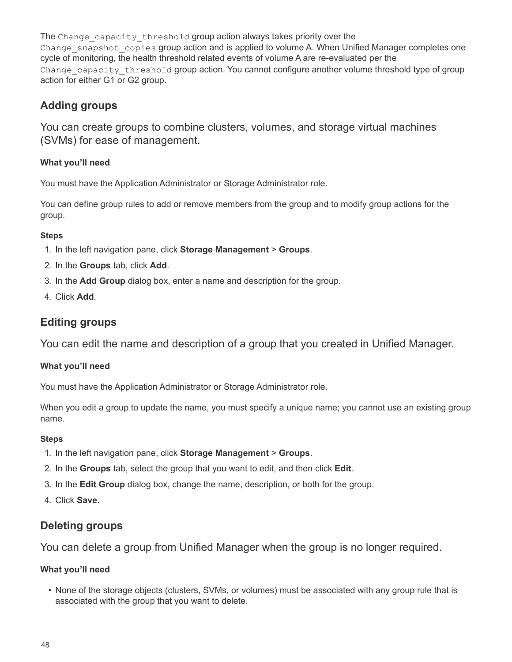The Change capacity threshold group action always takes priority over the Change snapshot copies group action and is applied to volume A. When Unified Manager completes one cycle of monitoring, the health threshold related events of volume A are re-evaluated per the Change capacity threshold group action. You cannot configure another volume threshold type of group action for either G1 or G2 group.

# **Adding groups**

You can create groups to combine clusters, volumes, and storage virtual machines (SVMs) for ease of management.

## **What you'll need**

You must have the Application Administrator or Storage Administrator role.

You can define group rules to add or remove members from the group and to modify group actions for the group.

#### **Steps**

- 1. In the left navigation pane, click **Storage Management** > **Groups**.
- 2. In the **Groups** tab, click **Add**.
- 3. In the **Add Group** dialog box, enter a name and description for the group.
- 4. Click **Add**.

# **Editing groups**

You can edit the name and description of a group that you created in Unified Manager.

## **What you'll need**

You must have the Application Administrator or Storage Administrator role.

When you edit a group to update the name, you must specify a unique name; you cannot use an existing group name.

## **Steps**

- 1. In the left navigation pane, click **Storage Management** > **Groups**.
- 2. In the **Groups** tab, select the group that you want to edit, and then click **Edit**.
- 3. In the **Edit Group** dialog box, change the name, description, or both for the group.
- 4. Click **Save**.

# **Deleting groups**

You can delete a group from Unified Manager when the group is no longer required.

## **What you'll need**

• None of the storage objects (clusters, SVMs, or volumes) must be associated with any group rule that is associated with the group that you want to delete.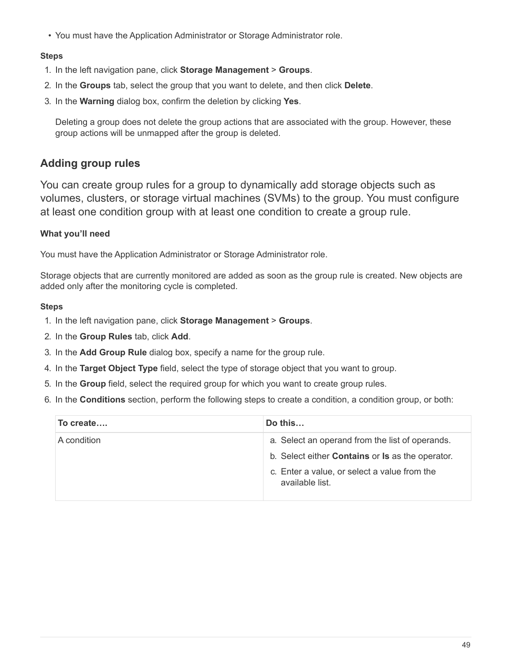• You must have the Application Administrator or Storage Administrator role.

#### **Steps**

- 1. In the left navigation pane, click **Storage Management** > **Groups**.
- 2. In the **Groups** tab, select the group that you want to delete, and then click **Delete**.
- 3. In the **Warning** dialog box, confirm the deletion by clicking **Yes**.

Deleting a group does not delete the group actions that are associated with the group. However, these group actions will be unmapped after the group is deleted.

# **Adding group rules**

You can create group rules for a group to dynamically add storage objects such as volumes, clusters, or storage virtual machines (SVMs) to the group. You must configure at least one condition group with at least one condition to create a group rule.

## **What you'll need**

You must have the Application Administrator or Storage Administrator role.

Storage objects that are currently monitored are added as soon as the group rule is created. New objects are added only after the monitoring cycle is completed.

- 1. In the left navigation pane, click **Storage Management** > **Groups**.
- 2. In the **Group Rules** tab, click **Add**.
- 3. In the **Add Group Rule** dialog box, specify a name for the group rule.
- 4. In the **Target Object Type** field, select the type of storage object that you want to group.
- 5. In the **Group** field, select the required group for which you want to create group rules.
- 6. In the **Conditions** section, perform the following steps to create a condition, a condition group, or both:

| To create   | Do this                                                                                                           |
|-------------|-------------------------------------------------------------------------------------------------------------------|
| A condition | a. Select an operand from the list of operands.<br>b. Select either <b>Contains</b> or <b>Is</b> as the operator. |
|             | c. Enter a value, or select a value from the<br>available list.                                                   |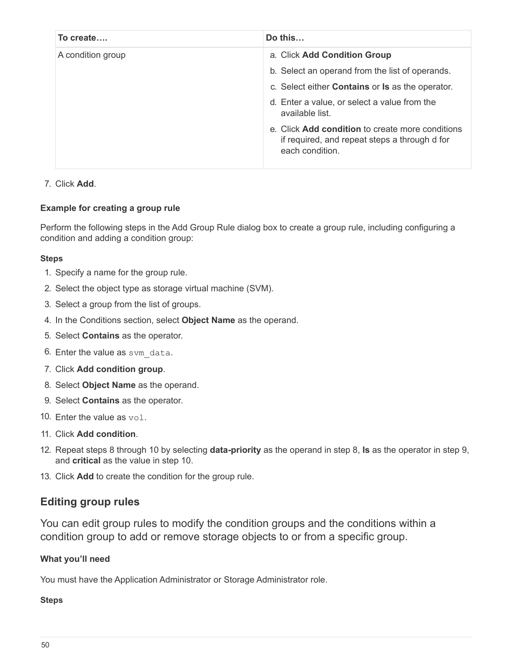| To create         | Do this                                                                                                              |
|-------------------|----------------------------------------------------------------------------------------------------------------------|
| A condition group | a. Click Add Condition Group                                                                                         |
|                   | b. Select an operand from the list of operands.                                                                      |
|                   | c. Select either <b>Contains</b> or <b>Is</b> as the operator.                                                       |
|                   | d. Enter a value, or select a value from the<br>available list.                                                      |
|                   | e. Click Add condition to create more conditions<br>if required, and repeat steps a through d for<br>each condition. |

#### 7. Click **Add**.

#### **Example for creating a group rule**

Perform the following steps in the Add Group Rule dialog box to create a group rule, including configuring a condition and adding a condition group:

#### **Steps**

- 1. Specify a name for the group rule.
- 2. Select the object type as storage virtual machine (SVM).
- 3. Select a group from the list of groups.
- 4. In the Conditions section, select **Object Name** as the operand.
- 5. Select **Contains** as the operator.
- 6. Enter the value as svm data.
- 7. Click **Add condition group**.
- 8. Select **Object Name** as the operand.
- 9. Select **Contains** as the operator.
- 10. Enter the value as  $vol.$
- 11. Click **Add condition**.
- 12. Repeat steps 8 through 10 by selecting **data-priority** as the operand in step 8, **Is** as the operator in step 9, and **critical** as the value in step 10.
- 13. Click **Add** to create the condition for the group rule.

## **Editing group rules**

You can edit group rules to modify the condition groups and the conditions within a condition group to add or remove storage objects to or from a specific group.

#### **What you'll need**

You must have the Application Administrator or Storage Administrator role.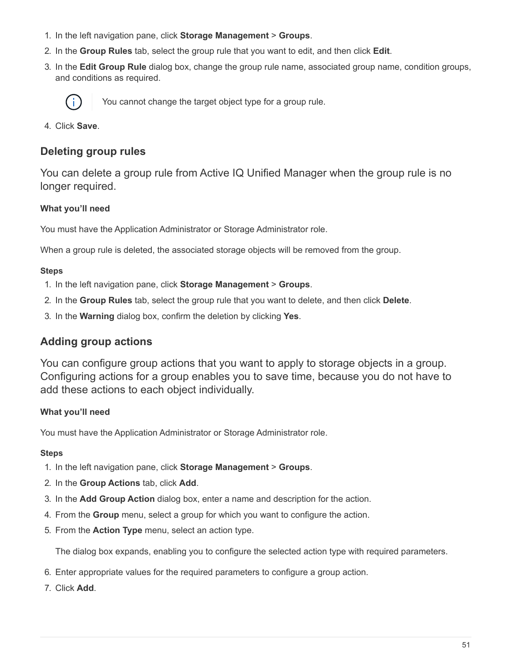- 1. In the left navigation pane, click **Storage Management** > **Groups**.
- 2. In the **Group Rules** tab, select the group rule that you want to edit, and then click **Edit**.
- 3. In the **Edit Group Rule** dialog box, change the group rule name, associated group name, condition groups, and conditions as required.



You cannot change the target object type for a group rule.

4. Click **Save**.

## **Deleting group rules**

You can delete a group rule from Active IQ Unified Manager when the group rule is no longer required.

#### **What you'll need**

You must have the Application Administrator or Storage Administrator role.

When a group rule is deleted, the associated storage objects will be removed from the group.

#### **Steps**

- 1. In the left navigation pane, click **Storage Management** > **Groups**.
- 2. In the **Group Rules** tab, select the group rule that you want to delete, and then click **Delete**.
- 3. In the **Warning** dialog box, confirm the deletion by clicking **Yes**.

## **Adding group actions**

You can configure group actions that you want to apply to storage objects in a group. Configuring actions for a group enables you to save time, because you do not have to add these actions to each object individually.

#### **What you'll need**

You must have the Application Administrator or Storage Administrator role.

#### **Steps**

- 1. In the left navigation pane, click **Storage Management** > **Groups**.
- 2. In the **Group Actions** tab, click **Add**.
- 3. In the **Add Group Action** dialog box, enter a name and description for the action.
- 4. From the **Group** menu, select a group for which you want to configure the action.
- 5. From the **Action Type** menu, select an action type.

The dialog box expands, enabling you to configure the selected action type with required parameters.

- 6. Enter appropriate values for the required parameters to configure a group action.
- 7. Click **Add**.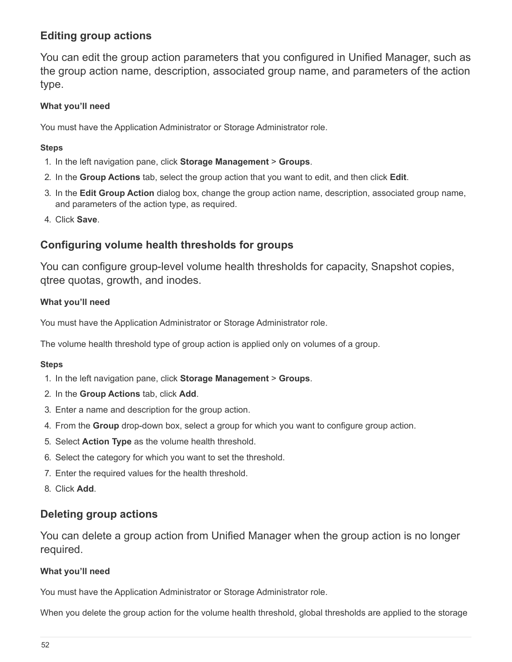# **Editing group actions**

You can edit the group action parameters that you configured in Unified Manager, such as the group action name, description, associated group name, and parameters of the action type.

## **What you'll need**

You must have the Application Administrator or Storage Administrator role.

#### **Steps**

- 1. In the left navigation pane, click **Storage Management** > **Groups**.
- 2. In the **Group Actions** tab, select the group action that you want to edit, and then click **Edit**.
- 3. In the **Edit Group Action** dialog box, change the group action name, description, associated group name, and parameters of the action type, as required.
- 4. Click **Save**.

# **Configuring volume health thresholds for groups**

You can configure group-level volume health thresholds for capacity, Snapshot copies, qtree quotas, growth, and inodes.

## **What you'll need**

You must have the Application Administrator or Storage Administrator role.

The volume health threshold type of group action is applied only on volumes of a group.

#### **Steps**

- 1. In the left navigation pane, click **Storage Management** > **Groups**.
- 2. In the **Group Actions** tab, click **Add**.
- 3. Enter a name and description for the group action.
- 4. From the **Group** drop-down box, select a group for which you want to configure group action.
- 5. Select **Action Type** as the volume health threshold.
- 6. Select the category for which you want to set the threshold.
- 7. Enter the required values for the health threshold.
- 8. Click **Add**.

# **Deleting group actions**

You can delete a group action from Unified Manager when the group action is no longer required.

## **What you'll need**

You must have the Application Administrator or Storage Administrator role.

When you delete the group action for the volume health threshold, global thresholds are applied to the storage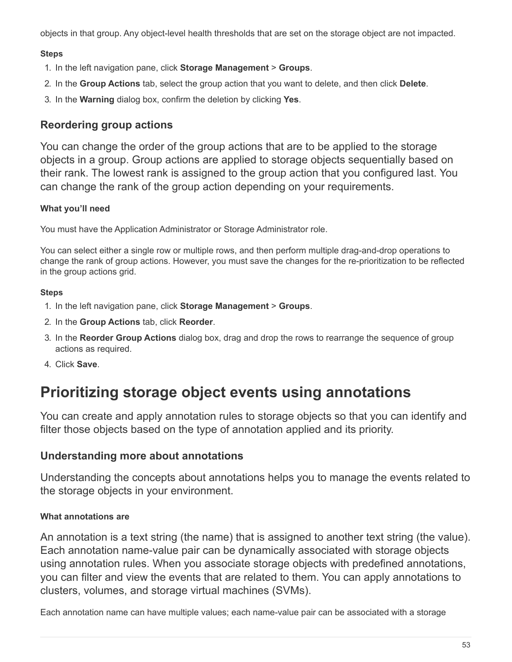objects in that group. Any object-level health thresholds that are set on the storage object are not impacted.

#### **Steps**

- 1. In the left navigation pane, click **Storage Management** > **Groups**.
- 2. In the **Group Actions** tab, select the group action that you want to delete, and then click **Delete**.
- 3. In the **Warning** dialog box, confirm the deletion by clicking **Yes**.

# **Reordering group actions**

You can change the order of the group actions that are to be applied to the storage objects in a group. Group actions are applied to storage objects sequentially based on their rank. The lowest rank is assigned to the group action that you configured last. You can change the rank of the group action depending on your requirements.

## **What you'll need**

You must have the Application Administrator or Storage Administrator role.

You can select either a single row or multiple rows, and then perform multiple drag-and-drop operations to change the rank of group actions. However, you must save the changes for the re-prioritization to be reflected in the group actions grid.

## **Steps**

- 1. In the left navigation pane, click **Storage Management** > **Groups**.
- 2. In the **Group Actions** tab, click **Reorder**.
- 3. In the **Reorder Group Actions** dialog box, drag and drop the rows to rearrange the sequence of group actions as required.
- 4. Click **Save**.

# **Prioritizing storage object events using annotations**

You can create and apply annotation rules to storage objects so that you can identify and filter those objects based on the type of annotation applied and its priority.

## **Understanding more about annotations**

Understanding the concepts about annotations helps you to manage the events related to the storage objects in your environment.

## **What annotations are**

An annotation is a text string (the name) that is assigned to another text string (the value). Each annotation name-value pair can be dynamically associated with storage objects using annotation rules. When you associate storage objects with predefined annotations, you can filter and view the events that are related to them. You can apply annotations to clusters, volumes, and storage virtual machines (SVMs).

Each annotation name can have multiple values; each name-value pair can be associated with a storage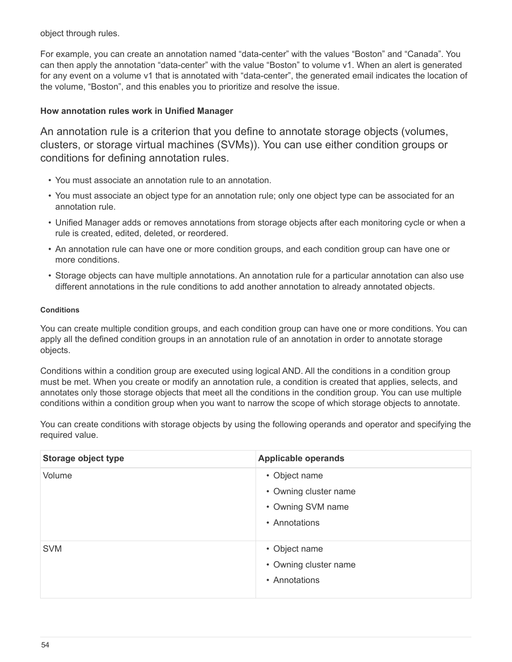object through rules.

For example, you can create an annotation named "data-center" with the values "Boston" and "Canada". You can then apply the annotation "data-center" with the value "Boston" to volume v1. When an alert is generated for any event on a volume v1 that is annotated with "data-center", the generated email indicates the location of the volume, "Boston", and this enables you to prioritize and resolve the issue.

#### **How annotation rules work in Unified Manager**

An annotation rule is a criterion that you define to annotate storage objects (volumes, clusters, or storage virtual machines (SVMs)). You can use either condition groups or conditions for defining annotation rules.

- You must associate an annotation rule to an annotation.
- You must associate an object type for an annotation rule; only one object type can be associated for an annotation rule.
- Unified Manager adds or removes annotations from storage objects after each monitoring cycle or when a rule is created, edited, deleted, or reordered.
- An annotation rule can have one or more condition groups, and each condition group can have one or more conditions.
- Storage objects can have multiple annotations. An annotation rule for a particular annotation can also use different annotations in the rule conditions to add another annotation to already annotated objects.

#### **Conditions**

You can create multiple condition groups, and each condition group can have one or more conditions. You can apply all the defined condition groups in an annotation rule of an annotation in order to annotate storage objects.

Conditions within a condition group are executed using logical AND. All the conditions in a condition group must be met. When you create or modify an annotation rule, a condition is created that applies, selects, and annotates only those storage objects that meet all the conditions in the condition group. You can use multiple conditions within a condition group when you want to narrow the scope of which storage objects to annotate.

You can create conditions with storage objects by using the following operands and operator and specifying the required value.

| Storage object type | <b>Applicable operands</b>                                                   |
|---------------------|------------------------------------------------------------------------------|
| Volume              | • Object name<br>• Owning cluster name<br>• Owning SVM name<br>• Annotations |
| <b>SVM</b>          | • Object name<br>• Owning cluster name<br>• Annotations                      |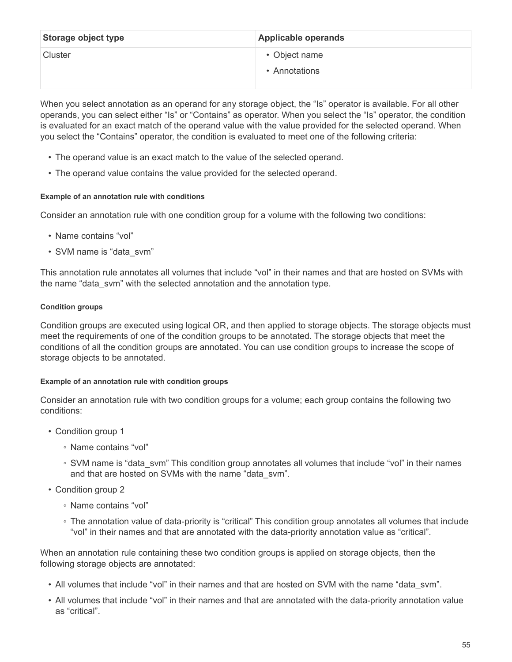| Storage object type | <b>Applicable operands</b> |
|---------------------|----------------------------|
| Cluster             | • Object name              |
|                     | • Annotations              |

When you select annotation as an operand for any storage object, the "Is" operator is available. For all other operands, you can select either "Is" or "Contains" as operator. When you select the "Is" operator, the condition is evaluated for an exact match of the operand value with the value provided for the selected operand. When you select the "Contains" operator, the condition is evaluated to meet one of the following criteria:

- The operand value is an exact match to the value of the selected operand.
- The operand value contains the value provided for the selected operand.

#### **Example of an annotation rule with conditions**

Consider an annotation rule with one condition group for a volume with the following two conditions:

- Name contains "vol"
- SVM name is "data\_svm"

This annotation rule annotates all volumes that include "vol" in their names and that are hosted on SVMs with the name "data\_svm" with the selected annotation and the annotation type.

#### **Condition groups**

Condition groups are executed using logical OR, and then applied to storage objects. The storage objects must meet the requirements of one of the condition groups to be annotated. The storage objects that meet the conditions of all the condition groups are annotated. You can use condition groups to increase the scope of storage objects to be annotated.

#### **Example of an annotation rule with condition groups**

Consider an annotation rule with two condition groups for a volume; each group contains the following two conditions:

- Condition group 1
	- Name contains "vol"
	- SVM name is "data\_svm" This condition group annotates all volumes that include "vol" in their names and that are hosted on SVMs with the name "data\_svm".
- Condition group 2
	- Name contains "vol"
	- The annotation value of data-priority is "critical" This condition group annotates all volumes that include "vol" in their names and that are annotated with the data-priority annotation value as "critical".

When an annotation rule containing these two condition groups is applied on storage objects, then the following storage objects are annotated:

- All volumes that include "vol" in their names and that are hosted on SVM with the name "data\_svm".
- All volumes that include "vol" in their names and that are annotated with the data-priority annotation value as "critical".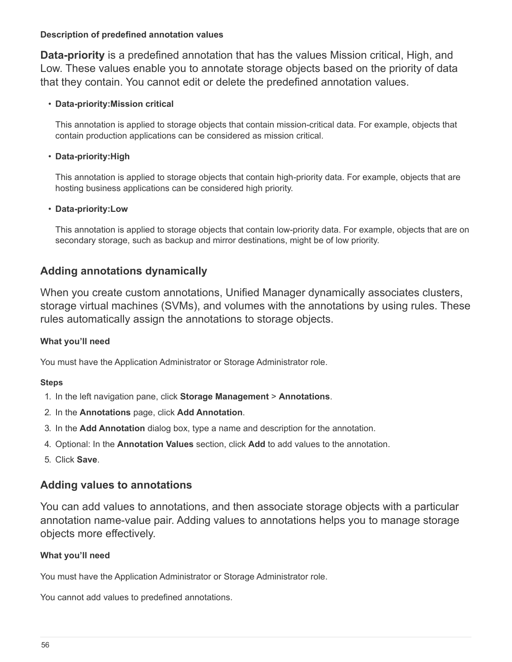#### **Description of predefined annotation values**

**Data-priority** is a predefined annotation that has the values Mission critical, High, and Low. These values enable you to annotate storage objects based on the priority of data that they contain. You cannot edit or delete the predefined annotation values.

#### • **Data-priority:Mission critical**

This annotation is applied to storage objects that contain mission-critical data. For example, objects that contain production applications can be considered as mission critical.

#### • **Data-priority:High**

This annotation is applied to storage objects that contain high-priority data. For example, objects that are hosting business applications can be considered high priority.

#### • **Data-priority:Low**

This annotation is applied to storage objects that contain low-priority data. For example, objects that are on secondary storage, such as backup and mirror destinations, might be of low priority.

# **Adding annotations dynamically**

When you create custom annotations, Unified Manager dynamically associates clusters, storage virtual machines (SVMs), and volumes with the annotations by using rules. These rules automatically assign the annotations to storage objects.

## **What you'll need**

You must have the Application Administrator or Storage Administrator role.

#### **Steps**

- 1. In the left navigation pane, click **Storage Management** > **Annotations**.
- 2. In the **Annotations** page, click **Add Annotation**.
- 3. In the **Add Annotation** dialog box, type a name and description for the annotation.
- 4. Optional: In the **Annotation Values** section, click **Add** to add values to the annotation.
- 5. Click **Save**.

## **Adding values to annotations**

You can add values to annotations, and then associate storage objects with a particular annotation name-value pair. Adding values to annotations helps you to manage storage objects more effectively.

#### **What you'll need**

You must have the Application Administrator or Storage Administrator role.

You cannot add values to predefined annotations.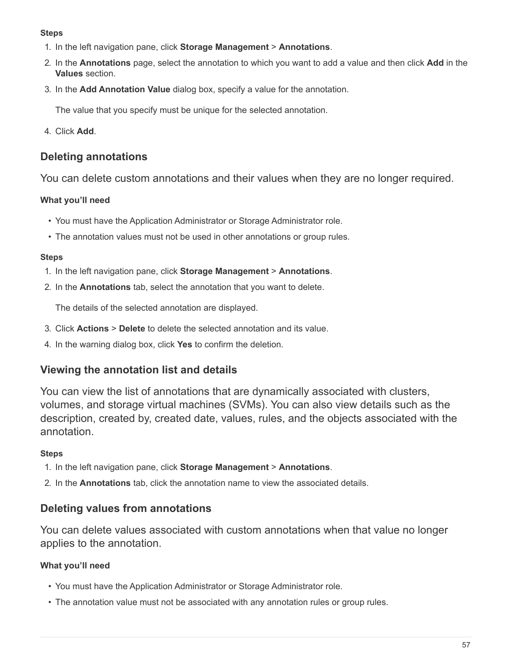#### **Steps**

- 1. In the left navigation pane, click **Storage Management** > **Annotations**.
- 2. In the **Annotations** page, select the annotation to which you want to add a value and then click **Add** in the **Values** section.
- 3. In the **Add Annotation Value** dialog box, specify a value for the annotation.

The value that you specify must be unique for the selected annotation.

4. Click **Add**.

# **Deleting annotations**

You can delete custom annotations and their values when they are no longer required.

## **What you'll need**

- You must have the Application Administrator or Storage Administrator role.
- The annotation values must not be used in other annotations or group rules.

## **Steps**

- 1. In the left navigation pane, click **Storage Management** > **Annotations**.
- 2. In the **Annotations** tab, select the annotation that you want to delete.

The details of the selected annotation are displayed.

- 3. Click **Actions** > **Delete** to delete the selected annotation and its value.
- 4. In the warning dialog box, click **Yes** to confirm the deletion.

# **Viewing the annotation list and details**

You can view the list of annotations that are dynamically associated with clusters, volumes, and storage virtual machines (SVMs). You can also view details such as the description, created by, created date, values, rules, and the objects associated with the annotation.

## **Steps**

- 1. In the left navigation pane, click **Storage Management** > **Annotations**.
- 2. In the **Annotations** tab, click the annotation name to view the associated details.

# **Deleting values from annotations**

You can delete values associated with custom annotations when that value no longer applies to the annotation.

## **What you'll need**

- You must have the Application Administrator or Storage Administrator role.
- The annotation value must not be associated with any annotation rules or group rules.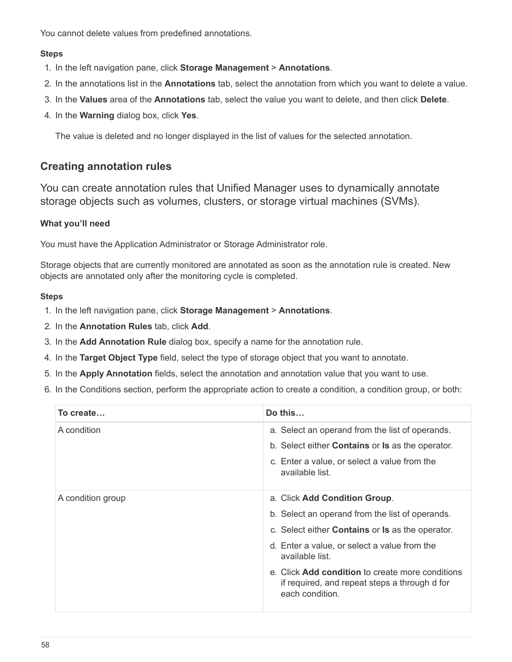You cannot delete values from predefined annotations.

#### **Steps**

- 1. In the left navigation pane, click **Storage Management** > **Annotations**.
- 2. In the annotations list in the **Annotations** tab, select the annotation from which you want to delete a value.
- 3. In the **Values** area of the **Annotations** tab, select the value you want to delete, and then click **Delete**.
- 4. In the **Warning** dialog box, click **Yes**.

The value is deleted and no longer displayed in the list of values for the selected annotation.

## **Creating annotation rules**

You can create annotation rules that Unified Manager uses to dynamically annotate storage objects such as volumes, clusters, or storage virtual machines (SVMs).

#### **What you'll need**

You must have the Application Administrator or Storage Administrator role.

Storage objects that are currently monitored are annotated as soon as the annotation rule is created. New objects are annotated only after the monitoring cycle is completed.

- 1. In the left navigation pane, click **Storage Management** > **Annotations**.
- 2. In the **Annotation Rules** tab, click **Add**.
- 3. In the **Add Annotation Rule** dialog box, specify a name for the annotation rule.
- 4. In the **Target Object Type** field, select the type of storage object that you want to annotate.
- 5. In the **Apply Annotation** fields, select the annotation and annotation value that you want to use.
- 6. In the Conditions section, perform the appropriate action to create a condition, a condition group, or both:

| To create         | Do this                                                                                                                                                                                                                                                                                                                                              |
|-------------------|------------------------------------------------------------------------------------------------------------------------------------------------------------------------------------------------------------------------------------------------------------------------------------------------------------------------------------------------------|
| A condition       | a. Select an operand from the list of operands.<br>b. Select either <b>Contains</b> or <b>Is</b> as the operator.<br>c. Enter a value, or select a value from the<br>available list.                                                                                                                                                                 |
| A condition group | a. Click Add Condition Group.<br>b. Select an operand from the list of operands.<br>c. Select either <b>Contains</b> or <b>Is</b> as the operator.<br>d. Enter a value, or select a value from the<br>available list.<br>e. Click <b>Add condition</b> to create more conditions<br>if required, and repeat steps a through d for<br>each condition. |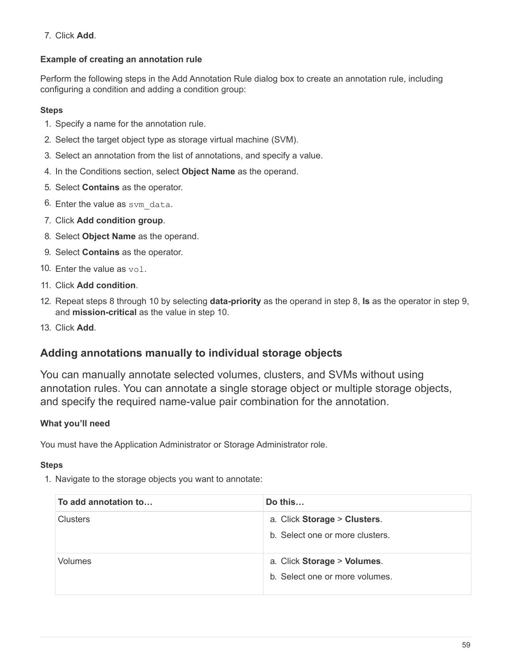#### 7. Click **Add**.

## **Example of creating an annotation rule**

Perform the following steps in the Add Annotation Rule dialog box to create an annotation rule, including configuring a condition and adding a condition group:

#### **Steps**

- 1. Specify a name for the annotation rule.
- 2. Select the target object type as storage virtual machine (SVM).
- 3. Select an annotation from the list of annotations, and specify a value.
- 4. In the Conditions section, select **Object Name** as the operand.
- 5. Select **Contains** as the operator.
- 6. Enter the value as svm data.
- 7. Click **Add condition group**.
- 8. Select **Object Name** as the operand.
- 9. Select **Contains** as the operator.
- 10. Enter the value as vol.
- 11. Click **Add condition**.
- 12. Repeat steps 8 through 10 by selecting **data-priority** as the operand in step 8, **Is** as the operator in step 9, and **mission-critical** as the value in step 10.
- 13. Click **Add**.

## **Adding annotations manually to individual storage objects**

You can manually annotate selected volumes, clusters, and SVMs without using annotation rules. You can annotate a single storage object or multiple storage objects, and specify the required name-value pair combination for the annotation.

#### **What you'll need**

You must have the Application Administrator or Storage Administrator role.

#### **Steps**

1. Navigate to the storage objects you want to annotate:

| To add annotation to | Do this                                                         |
|----------------------|-----------------------------------------------------------------|
| <b>Clusters</b>      | a. Click Storage > Clusters.<br>b. Select one or more clusters. |
| Volumes              | a. Click Storage > Volumes.<br>b. Select one or more volumes.   |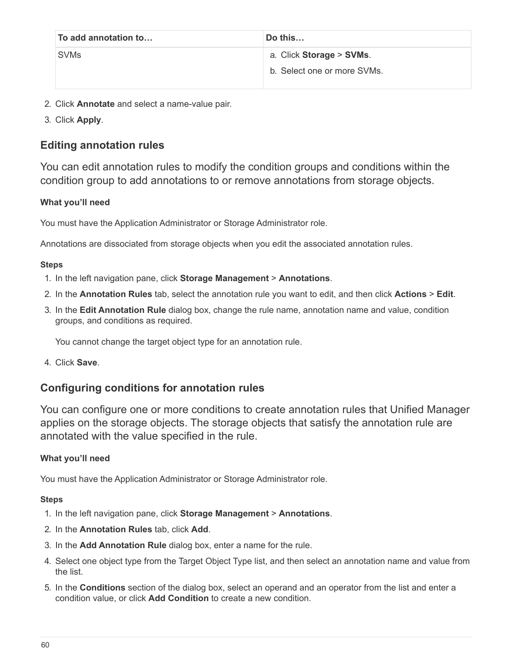| To add annotation to | Do this                     |
|----------------------|-----------------------------|
| <b>SVMs</b>          | a. Click Storage > SVMs.    |
|                      | b. Select one or more SVMs. |

- 2. Click **Annotate** and select a name-value pair.
- 3. Click **Apply**.

# **Editing annotation rules**

You can edit annotation rules to modify the condition groups and conditions within the condition group to add annotations to or remove annotations from storage objects.

#### **What you'll need**

You must have the Application Administrator or Storage Administrator role.

Annotations are dissociated from storage objects when you edit the associated annotation rules.

#### **Steps**

- 1. In the left navigation pane, click **Storage Management** > **Annotations**.
- 2. In the **Annotation Rules** tab, select the annotation rule you want to edit, and then click **Actions** > **Edit**.
- 3. In the **Edit Annotation Rule** dialog box, change the rule name, annotation name and value, condition groups, and conditions as required.

You cannot change the target object type for an annotation rule.

4. Click **Save**.

## **Configuring conditions for annotation rules**

You can configure one or more conditions to create annotation rules that Unified Manager applies on the storage objects. The storage objects that satisfy the annotation rule are annotated with the value specified in the rule.

#### **What you'll need**

You must have the Application Administrator or Storage Administrator role.

- 1. In the left navigation pane, click **Storage Management** > **Annotations**.
- 2. In the **Annotation Rules** tab, click **Add**.
- 3. In the **Add Annotation Rule** dialog box, enter a name for the rule.
- 4. Select one object type from the Target Object Type list, and then select an annotation name and value from the list.
- 5. In the **Conditions** section of the dialog box, select an operand and an operator from the list and enter a condition value, or click **Add Condition** to create a new condition.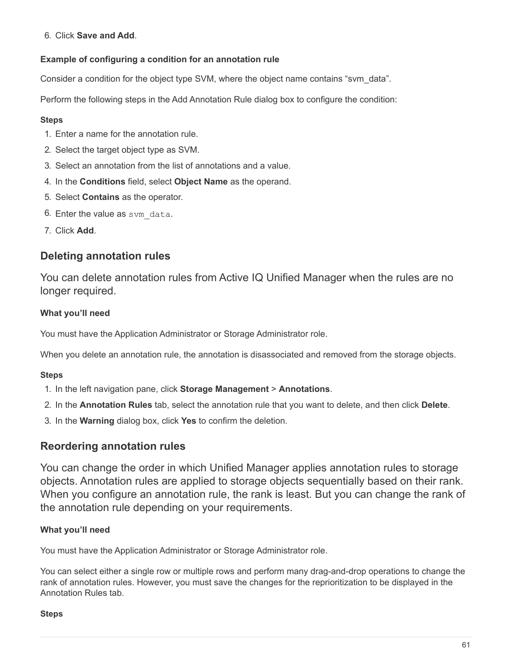#### 6. Click **Save and Add**.

#### **Example of configuring a condition for an annotation rule**

Consider a condition for the object type SVM, where the object name contains "svm\_data".

Perform the following steps in the Add Annotation Rule dialog box to configure the condition:

#### **Steps**

- 1. Enter a name for the annotation rule.
- 2. Select the target object type as SVM.
- 3. Select an annotation from the list of annotations and a value.
- 4. In the **Conditions** field, select **Object Name** as the operand.
- 5. Select **Contains** as the operator.
- 6. Enter the value as sym data.
- 7. Click **Add**.

# **Deleting annotation rules**

You can delete annotation rules from Active IQ Unified Manager when the rules are no longer required.

#### **What you'll need**

You must have the Application Administrator or Storage Administrator role.

When you delete an annotation rule, the annotation is disassociated and removed from the storage objects.

#### **Steps**

- 1. In the left navigation pane, click **Storage Management** > **Annotations**.
- 2. In the **Annotation Rules** tab, select the annotation rule that you want to delete, and then click **Delete**.
- 3. In the **Warning** dialog box, click **Yes** to confirm the deletion.

## **Reordering annotation rules**

You can change the order in which Unified Manager applies annotation rules to storage objects. Annotation rules are applied to storage objects sequentially based on their rank. When you configure an annotation rule, the rank is least. But you can change the rank of the annotation rule depending on your requirements.

#### **What you'll need**

You must have the Application Administrator or Storage Administrator role.

You can select either a single row or multiple rows and perform many drag-and-drop operations to change the rank of annotation rules. However, you must save the changes for the reprioritization to be displayed in the Annotation Rules tab.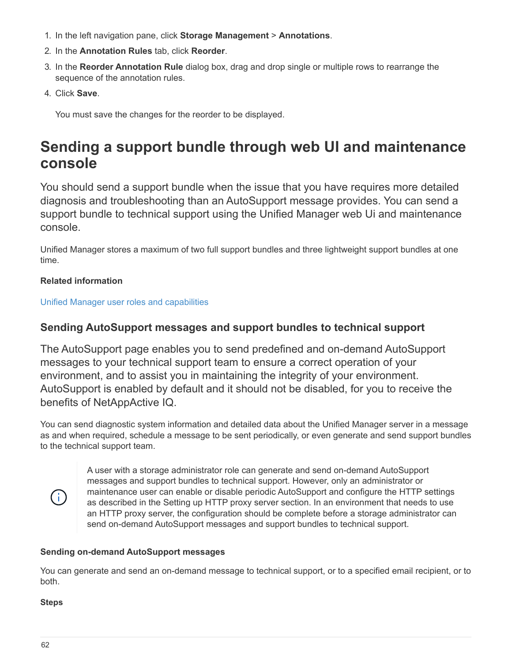- 1. In the left navigation pane, click **Storage Management** > **Annotations**.
- 2. In the **Annotation Rules** tab, click **Reorder**.
- 3. In the **Reorder Annotation Rule** dialog box, drag and drop single or multiple rows to rearrange the sequence of the annotation rules.
- 4. Click **Save**.

You must save the changes for the reorder to be displayed.

# **Sending a support bundle through web UI and maintenance console**

You should send a support bundle when the issue that you have requires more detailed diagnosis and troubleshooting than an AutoSupport message provides. You can send a support bundle to technical support using the Unified Manager web Ui and maintenance console.

Unified Manager stores a maximum of two full support bundles and three lightweight support bundles at one time.

## **Related information**

[Unified Manager user roles and capabilities](https://docs.netapp.com/us-en/active-iq-unified-manager-910/config/reference_unified_manager_roles_and_capabilities.html)

# **Sending AutoSupport messages and support bundles to technical support**

The AutoSupport page enables you to send predefined and on-demand AutoSupport messages to your technical support team to ensure a correct operation of your environment, and to assist you in maintaining the integrity of your environment. AutoSupport is enabled by default and it should not be disabled, for you to receive the benefits of NetAppActive IQ.

You can send diagnostic system information and detailed data about the Unified Manager server in a message as and when required, schedule a message to be sent periodically, or even generate and send support bundles to the technical support team.



A user with a storage administrator role can generate and send on-demand AutoSupport messages and support bundles to technical support. However, only an administrator or maintenance user can enable or disable periodic AutoSupport and configure the HTTP settings as described in the Setting up HTTP proxy server section. In an environment that needs to use an HTTP proxy server, the configuration should be complete before a storage administrator can send on-demand AutoSupport messages and support bundles to technical support.

#### **Sending on-demand AutoSupport messages**

You can generate and send an on-demand message to technical support, or to a specified email recipient, or to both.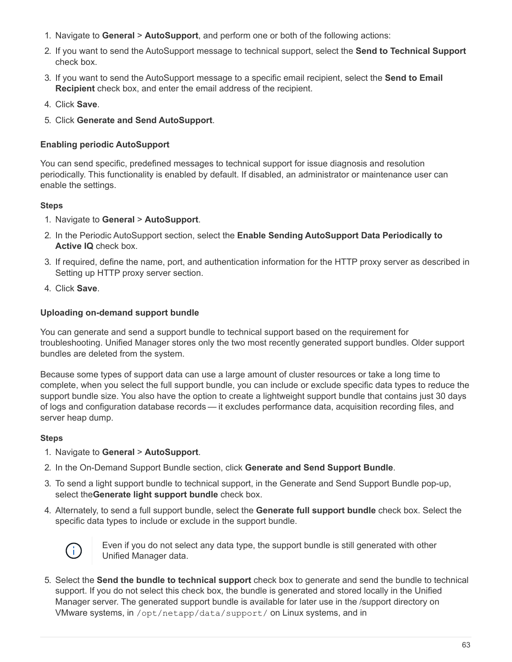- 1. Navigate to **General** > **AutoSupport**, and perform one or both of the following actions:
- 2. If you want to send the AutoSupport message to technical support, select the **Send to Technical Support** check box.
- 3. If you want to send the AutoSupport message to a specific email recipient, select the **Send to Email Recipient** check box, and enter the email address of the recipient.
- 4. Click **Save**.
- 5. Click **Generate and Send AutoSupport**.

#### **Enabling periodic AutoSupport**

You can send specific, predefined messages to technical support for issue diagnosis and resolution periodically. This functionality is enabled by default. If disabled, an administrator or maintenance user can enable the settings.

#### **Steps**

#### 1. Navigate to **General** > **AutoSupport**.

- 2. In the Periodic AutoSupport section, select the **Enable Sending AutoSupport Data Periodically to Active IQ** check box.
- 3. If required, define the name, port, and authentication information for the HTTP proxy server as described in Setting up HTTP proxy server section.
- 4. Click **Save**.

## **Uploading on-demand support bundle**

You can generate and send a support bundle to technical support based on the requirement for troubleshooting. Unified Manager stores only the two most recently generated support bundles. Older support bundles are deleted from the system.

Because some types of support data can use a large amount of cluster resources or take a long time to complete, when you select the full support bundle, you can include or exclude specific data types to reduce the support bundle size. You also have the option to create a lightweight support bundle that contains just 30 days of logs and configuration database records — it excludes performance data, acquisition recording files, and server heap dump.

#### **Steps**

- 1. Navigate to **General** > **AutoSupport**.
- 2. In the On-Demand Support Bundle section, click **Generate and Send Support Bundle**.
- 3. To send a light support bundle to technical support, in the Generate and Send Support Bundle pop-up, select the**Generate light support bundle** check box.
- 4. Alternately, to send a full support bundle, select the **Generate full support bundle** check box. Select the specific data types to include or exclude in the support bundle.



Even if you do not select any data type, the support bundle is still generated with other Unified Manager data.

5. Select the **Send the bundle to technical support** check box to generate and send the bundle to technical support. If you do not select this check box, the bundle is generated and stored locally in the Unified Manager server. The generated support bundle is available for later use in the /support directory on VMware systems, in /opt/netapp/data/support/ on Linux systems, and in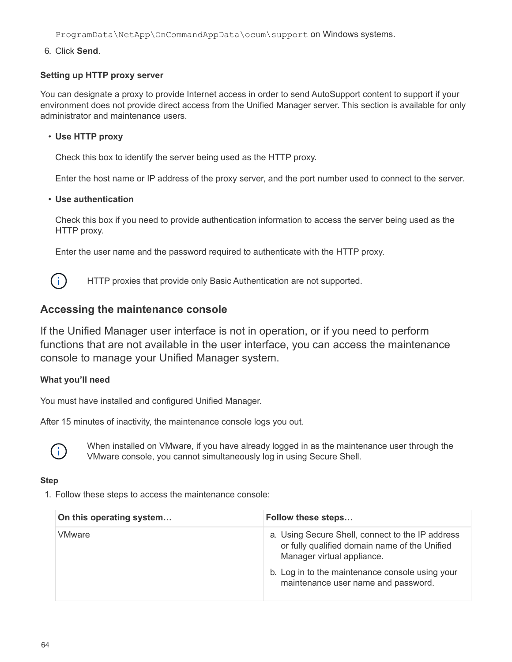ProgramData\NetApp\OnCommandAppData\ocum\support on Windows systems.

6. Click **Send**.

#### **Setting up HTTP proxy server**

You can designate a proxy to provide Internet access in order to send AutoSupport content to support if your environment does not provide direct access from the Unified Manager server. This section is available for only administrator and maintenance users.

#### • **Use HTTP proxy**

Check this box to identify the server being used as the HTTP proxy.

Enter the host name or IP address of the proxy server, and the port number used to connect to the server.

#### • **Use authentication**

Check this box if you need to provide authentication information to access the server being used as the HTTP proxy.

Enter the user name and the password required to authenticate with the HTTP proxy.



HTTP proxies that provide only Basic Authentication are not supported.

# **Accessing the maintenance console**

If the Unified Manager user interface is not in operation, or if you need to perform functions that are not available in the user interface, you can access the maintenance console to manage your Unified Manager system.

## **What you'll need**

You must have installed and configured Unified Manager.

After 15 minutes of inactivity, the maintenance console logs you out.



When installed on VMware, if you have already logged in as the maintenance user through the VMware console, you cannot simultaneously log in using Secure Shell.

#### **Step**

1. Follow these steps to access the maintenance console:

| On this operating system | Follow these steps                                                                                                                                                                                                        |
|--------------------------|---------------------------------------------------------------------------------------------------------------------------------------------------------------------------------------------------------------------------|
| VMware                   | a. Using Secure Shell, connect to the IP address<br>or fully qualified domain name of the Unified<br>Manager virtual appliance.<br>b. Log in to the maintenance console using your<br>maintenance user name and password. |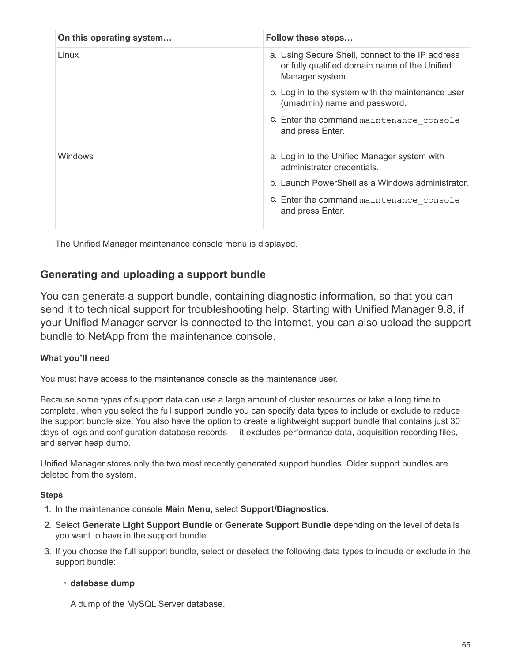| On this operating system | Follow these steps                                                                                                   |
|--------------------------|----------------------------------------------------------------------------------------------------------------------|
| Linux                    | a. Using Secure Shell, connect to the IP address<br>or fully qualified domain name of the Unified<br>Manager system. |
|                          | b. Log in to the system with the maintenance user<br>(umadmin) name and password.                                    |
|                          | C. Enter the command maintenance console<br>and press Enter.                                                         |
| <b>Windows</b>           | a. Log in to the Unified Manager system with<br>administrator credentials.                                           |
|                          | b. Launch PowerShell as a Windows administrator.                                                                     |
|                          | C. Enter the command maintenance console<br>and press Enter.                                                         |

The Unified Manager maintenance console menu is displayed.

# **Generating and uploading a support bundle**

You can generate a support bundle, containing diagnostic information, so that you can send it to technical support for troubleshooting help. Starting with Unified Manager 9.8, if your Unified Manager server is connected to the internet, you can also upload the support bundle to NetApp from the maintenance console.

## **What you'll need**

You must have access to the maintenance console as the maintenance user.

Because some types of support data can use a large amount of cluster resources or take a long time to complete, when you select the full support bundle you can specify data types to include or exclude to reduce the support bundle size. You also have the option to create a lightweight support bundle that contains just 30 days of logs and configuration database records — it excludes performance data, acquisition recording files, and server heap dump.

Unified Manager stores only the two most recently generated support bundles. Older support bundles are deleted from the system.

#### **Steps**

- 1. In the maintenance console **Main Menu**, select **Support/Diagnostics**.
- 2. Select **Generate Light Support Bundle** or **Generate Support Bundle** depending on the level of details you want to have in the support bundle.
- 3. If you choose the full support bundle, select or deselect the following data types to include or exclude in the support bundle:

## ◦ **database dump**

A dump of the MySQL Server database.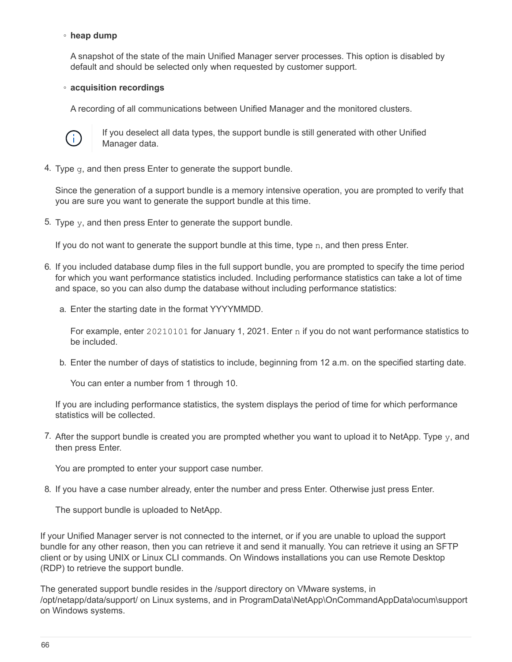#### ◦ **heap dump**

A snapshot of the state of the main Unified Manager server processes. This option is disabled by default and should be selected only when requested by customer support.

#### ◦ **acquisition recordings**

A recording of all communications between Unified Manager and the monitored clusters.



If you deselect all data types, the support bundle is still generated with other Unified Manager data.

4. Type  $q$ , and then press Enter to generate the support bundle.

Since the generation of a support bundle is a memory intensive operation, you are prompted to verify that you are sure you want to generate the support bundle at this time.

5. Type  $y$ , and then press Enter to generate the support bundle.

If you do not want to generate the support bundle at this time, type  $n$ , and then press Enter.

- 6. If you included database dump files in the full support bundle, you are prompted to specify the time period for which you want performance statistics included. Including performance statistics can take a lot of time and space, so you can also dump the database without including performance statistics:
	- a. Enter the starting date in the format YYYYMMDD.

For example, enter 20210101 for January 1, 2021. Enter n if you do not want performance statistics to be included.

b. Enter the number of days of statistics to include, beginning from 12 a.m. on the specified starting date.

You can enter a number from 1 through 10.

If you are including performance statistics, the system displays the period of time for which performance statistics will be collected.

7. After the support bundle is created you are prompted whether you want to upload it to NetApp. Type y, and then press Enter.

You are prompted to enter your support case number.

8. If you have a case number already, enter the number and press Enter. Otherwise just press Enter.

The support bundle is uploaded to NetApp.

If your Unified Manager server is not connected to the internet, or if you are unable to upload the support bundle for any other reason, then you can retrieve it and send it manually. You can retrieve it using an SFTP client or by using UNIX or Linux CLI commands. On Windows installations you can use Remote Desktop (RDP) to retrieve the support bundle.

The generated support bundle resides in the /support directory on VMware systems, in /opt/netapp/data/support/ on Linux systems, and in ProgramData\NetApp\OnCommandAppData\ocum\support on Windows systems.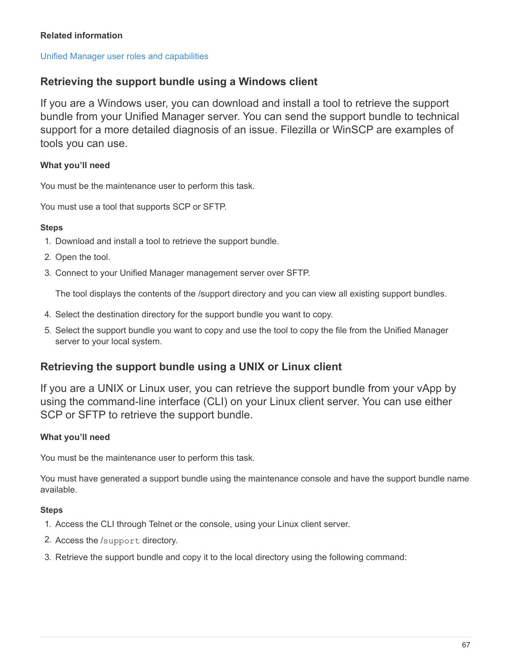#### **Related information**

#### [Unified Manager user roles and capabilities](https://docs.netapp.com/us-en/active-iq-unified-manager-910/config/reference_unified_manager_roles_and_capabilities.html)

## **Retrieving the support bundle using a Windows client**

If you are a Windows user, you can download and install a tool to retrieve the support bundle from your Unified Manager server. You can send the support bundle to technical support for a more detailed diagnosis of an issue. Filezilla or WinSCP are examples of tools you can use.

#### **What you'll need**

You must be the maintenance user to perform this task.

You must use a tool that supports SCP or SFTP.

#### **Steps**

- 1. Download and install a tool to retrieve the support bundle.
- 2. Open the tool.
- 3. Connect to your Unified Manager management server over SFTP.

The tool displays the contents of the /support directory and you can view all existing support bundles.

- 4. Select the destination directory for the support bundle you want to copy.
- 5. Select the support bundle you want to copy and use the tool to copy the file from the Unified Manager server to your local system.

## **Retrieving the support bundle using a UNIX or Linux client**

If you are a UNIX or Linux user, you can retrieve the support bundle from your vApp by using the command-line interface (CLI) on your Linux client server. You can use either SCP or SFTP to retrieve the support bundle.

## **What you'll need**

You must be the maintenance user to perform this task.

You must have generated a support bundle using the maintenance console and have the support bundle name available.

- 1. Access the CLI through Telnet or the console, using your Linux client server.
- 2. Access the /support directory.
- 3. Retrieve the support bundle and copy it to the local directory using the following command: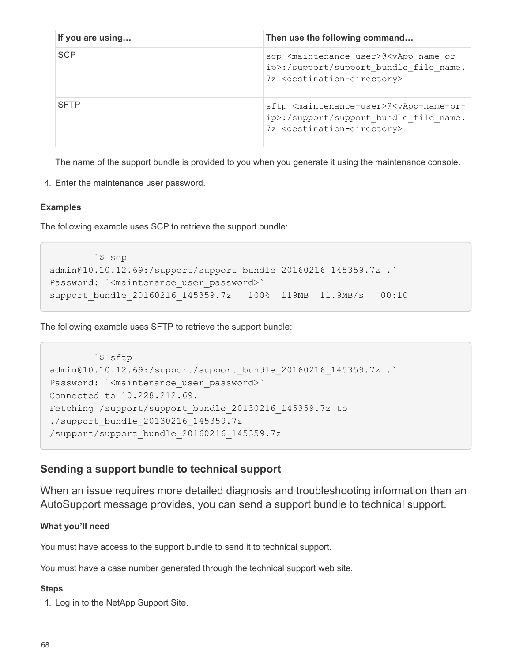| If you are using | Then use the following command                                                                                                                                                   |
|------------------|----------------------------------------------------------------------------------------------------------------------------------------------------------------------------------|
| <b>SCP</b>       | scp <maintenance-user>@<vapp-name-or-<br>ip&gt;:/support/support bundle file name.<br/>7z <destination-directory></destination-directory></vapp-name-or-<br></maintenance-user>  |
| <b>SFTP</b>      | sftp <maintenance-user>@<vapp-name-or-<br>ip&gt;:/support/support bundle file name.<br/>7z <destination-directory></destination-directory></vapp-name-or-<br></maintenance-user> |

The name of the support bundle is provided to you when you generate it using the maintenance console.

4. Enter the maintenance user password.

#### **Examples**

The following example uses SCP to retrieve the support bundle:

```
  `$ scp
admin@10.10.12.69:/support/support_bundle_20160216_145359.7z .`
Password: `<maintenance user password>`
support bundle 20160216 145359.7z 100% 119MB 11.9MB/s 00:10
```
The following example uses SFTP to retrieve the support bundle:

```
  `$ sftp
admin@10.10.12.69:/support/support_bundle_20160216_145359.7z .`
Password: `<maintenance user password>`
Connected to 10.228.212.69.
Fetching /support/support_bundle_20130216_145359.7z to
./support_bundle_20130216_145359.7z
/support/support_bundle_20160216_145359.7z
```
## **Sending a support bundle to technical support**

When an issue requires more detailed diagnosis and troubleshooting information than an AutoSupport message provides, you can send a support bundle to technical support.

#### **What you'll need**

You must have access to the support bundle to send it to technical support.

You must have a case number generated through the technical support web site.

#### **Steps**

1. Log in to the NetApp Support Site.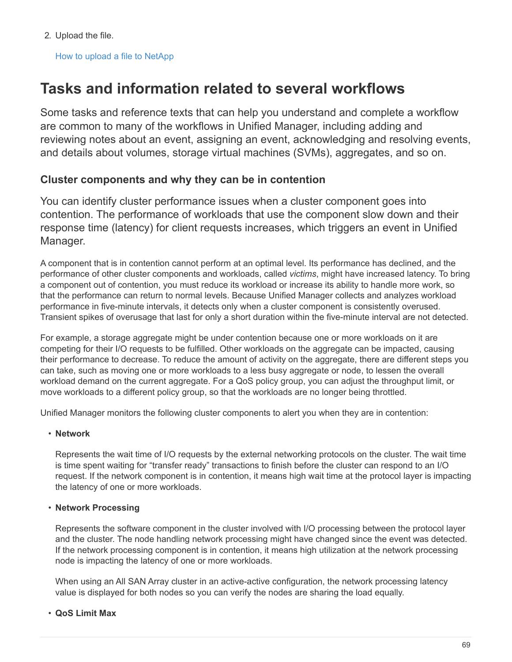2. Upload the file.

[How to upload a file to NetApp](https://kb.netapp.com/Advice_and_Troubleshooting/Miscellaneous/How_to_upload_a_file_to_NetApp)

# **Tasks and information related to several workflows**

Some tasks and reference texts that can help you understand and complete a workflow are common to many of the workflows in Unified Manager, including adding and reviewing notes about an event, assigning an event, acknowledging and resolving events, and details about volumes, storage virtual machines (SVMs), aggregates, and so on.

# **Cluster components and why they can be in contention**

You can identify cluster performance issues when a cluster component goes into contention. The performance of workloads that use the component slow down and their response time (latency) for client requests increases, which triggers an event in Unified Manager.

A component that is in contention cannot perform at an optimal level. Its performance has declined, and the performance of other cluster components and workloads, called *victims*, might have increased latency. To bring a component out of contention, you must reduce its workload or increase its ability to handle more work, so that the performance can return to normal levels. Because Unified Manager collects and analyzes workload performance in five-minute intervals, it detects only when a cluster component is consistently overused. Transient spikes of overusage that last for only a short duration within the five-minute interval are not detected.

For example, a storage aggregate might be under contention because one or more workloads on it are competing for their I/O requests to be fulfilled. Other workloads on the aggregate can be impacted, causing their performance to decrease. To reduce the amount of activity on the aggregate, there are different steps you can take, such as moving one or more workloads to a less busy aggregate or node, to lessen the overall workload demand on the current aggregate. For a QoS policy group, you can adjust the throughput limit, or move workloads to a different policy group, so that the workloads are no longer being throttled.

Unified Manager monitors the following cluster components to alert you when they are in contention:

#### • **Network**

Represents the wait time of I/O requests by the external networking protocols on the cluster. The wait time is time spent waiting for "transfer ready" transactions to finish before the cluster can respond to an I/O request. If the network component is in contention, it means high wait time at the protocol layer is impacting the latency of one or more workloads.

#### • **Network Processing**

Represents the software component in the cluster involved with I/O processing between the protocol layer and the cluster. The node handling network processing might have changed since the event was detected. If the network processing component is in contention, it means high utilization at the network processing node is impacting the latency of one or more workloads.

When using an All SAN Array cluster in an active-active configuration, the network processing latency value is displayed for both nodes so you can verify the nodes are sharing the load equally.

#### • **QoS Limit Max**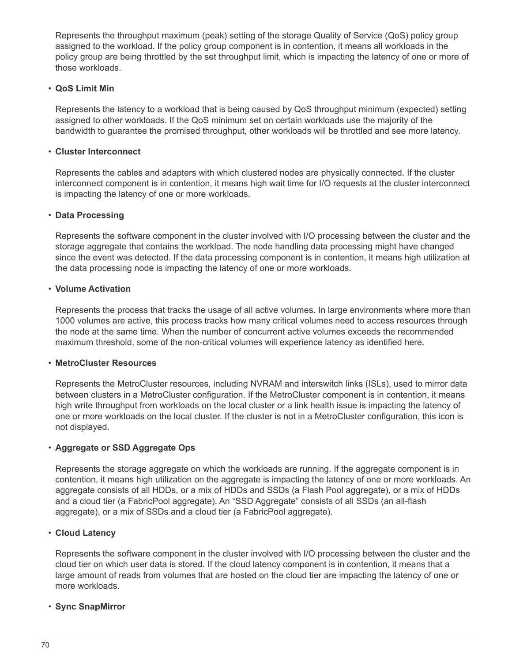Represents the throughput maximum (peak) setting of the storage Quality of Service (QoS) policy group assigned to the workload. If the policy group component is in contention, it means all workloads in the policy group are being throttled by the set throughput limit, which is impacting the latency of one or more of those workloads.

#### • **QoS Limit Min**

Represents the latency to a workload that is being caused by QoS throughput minimum (expected) setting assigned to other workloads. If the QoS minimum set on certain workloads use the majority of the bandwidth to guarantee the promised throughput, other workloads will be throttled and see more latency.

#### • **Cluster Interconnect**

Represents the cables and adapters with which clustered nodes are physically connected. If the cluster interconnect component is in contention, it means high wait time for I/O requests at the cluster interconnect is impacting the latency of one or more workloads.

#### • **Data Processing**

Represents the software component in the cluster involved with I/O processing between the cluster and the storage aggregate that contains the workload. The node handling data processing might have changed since the event was detected. If the data processing component is in contention, it means high utilization at the data processing node is impacting the latency of one or more workloads.

#### • **Volume Activation**

Represents the process that tracks the usage of all active volumes. In large environments where more than 1000 volumes are active, this process tracks how many critical volumes need to access resources through the node at the same time. When the number of concurrent active volumes exceeds the recommended maximum threshold, some of the non-critical volumes will experience latency as identified here.

#### • **MetroCluster Resources**

Represents the MetroCluster resources, including NVRAM and interswitch links (ISLs), used to mirror data between clusters in a MetroCluster configuration. If the MetroCluster component is in contention, it means high write throughput from workloads on the local cluster or a link health issue is impacting the latency of one or more workloads on the local cluster. If the cluster is not in a MetroCluster configuration, this icon is not displayed.

#### • **Aggregate or SSD Aggregate Ops**

Represents the storage aggregate on which the workloads are running. If the aggregate component is in contention, it means high utilization on the aggregate is impacting the latency of one or more workloads. An aggregate consists of all HDDs, or a mix of HDDs and SSDs (a Flash Pool aggregate), or a mix of HDDs and a cloud tier (a FabricPool aggregate). An "SSD Aggregate" consists of all SSDs (an all-flash aggregate), or a mix of SSDs and a cloud tier (a FabricPool aggregate).

#### • **Cloud Latency**

Represents the software component in the cluster involved with I/O processing between the cluster and the cloud tier on which user data is stored. If the cloud latency component is in contention, it means that a large amount of reads from volumes that are hosted on the cloud tier are impacting the latency of one or more workloads.

#### • **Sync SnapMirror**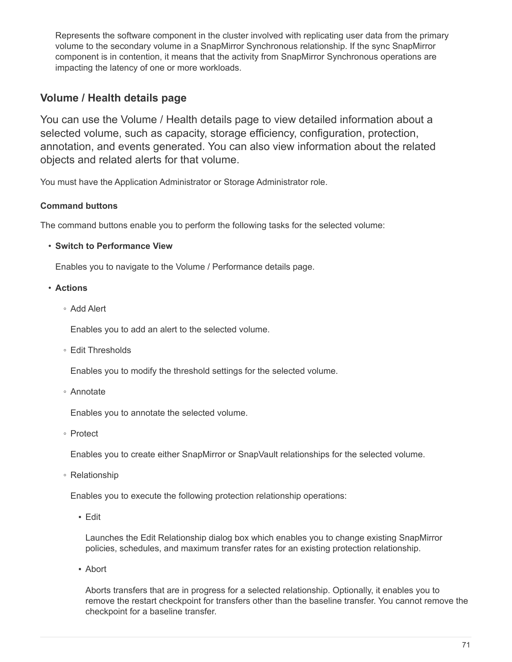Represents the software component in the cluster involved with replicating user data from the primary volume to the secondary volume in a SnapMirror Synchronous relationship. If the sync SnapMirror component is in contention, it means that the activity from SnapMirror Synchronous operations are impacting the latency of one or more workloads.

# **Volume / Health details page**

You can use the Volume / Health details page to view detailed information about a selected volume, such as capacity, storage efficiency, configuration, protection, annotation, and events generated. You can also view information about the related objects and related alerts for that volume.

You must have the Application Administrator or Storage Administrator role.

# **Command buttons**

The command buttons enable you to perform the following tasks for the selected volume:

• **Switch to Performance View**

Enables you to navigate to the Volume / Performance details page.

- **Actions**
	- Add Alert

Enables you to add an alert to the selected volume.

◦ Edit Thresholds

Enables you to modify the threshold settings for the selected volume.

◦ Annotate

Enables you to annotate the selected volume.

◦ Protect

Enables you to create either SnapMirror or SnapVault relationships for the selected volume.

◦ Relationship

Enables you to execute the following protection relationship operations:

▪ Edit

Launches the Edit Relationship dialog box which enables you to change existing SnapMirror policies, schedules, and maximum transfer rates for an existing protection relationship.

▪ Abort

Aborts transfers that are in progress for a selected relationship. Optionally, it enables you to remove the restart checkpoint for transfers other than the baseline transfer. You cannot remove the checkpoint for a baseline transfer.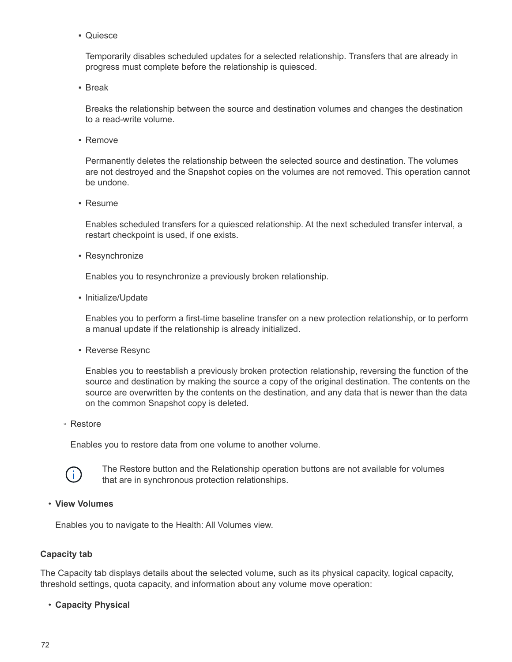▪ Quiesce

Temporarily disables scheduled updates for a selected relationship. Transfers that are already in progress must complete before the relationship is quiesced.

▪ Break

Breaks the relationship between the source and destination volumes and changes the destination to a read-write volume.

▪ Remove

Permanently deletes the relationship between the selected source and destination. The volumes are not destroyed and the Snapshot copies on the volumes are not removed. This operation cannot be undone.

▪ Resume

Enables scheduled transfers for a quiesced relationship. At the next scheduled transfer interval, a restart checkpoint is used, if one exists.

• Resynchronize

Enables you to resynchronize a previously broken relationship.

▪ Initialize/Update

Enables you to perform a first-time baseline transfer on a new protection relationship, or to perform a manual update if the relationship is already initialized.

**Reverse Resync** 

Enables you to reestablish a previously broken protection relationship, reversing the function of the source and destination by making the source a copy of the original destination. The contents on the source are overwritten by the contents on the destination, and any data that is newer than the data on the common Snapshot copy is deleted.

◦ Restore

Enables you to restore data from one volume to another volume.



The Restore button and the Relationship operation buttons are not available for volumes that are in synchronous protection relationships.

#### • **View Volumes**

Enables you to navigate to the Health: All Volumes view.

#### **Capacity tab**

The Capacity tab displays details about the selected volume, such as its physical capacity, logical capacity, threshold settings, quota capacity, and information about any volume move operation:

• **Capacity Physical**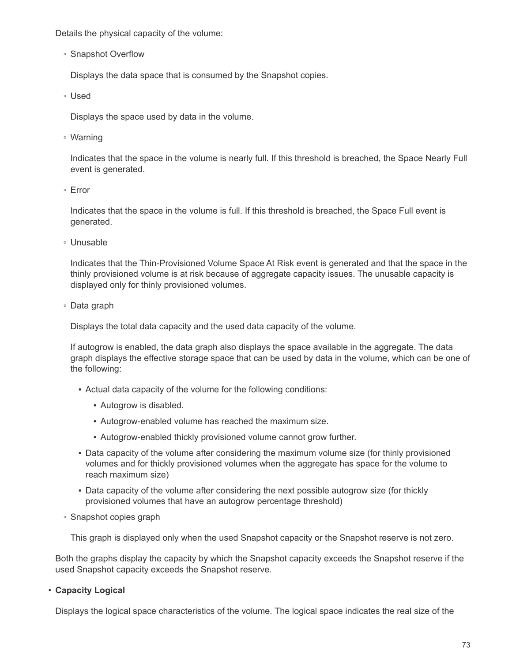Details the physical capacity of the volume:

◦ Snapshot Overflow

Displays the data space that is consumed by the Snapshot copies.

◦ Used

Displays the space used by data in the volume.

◦ Warning

Indicates that the space in the volume is nearly full. If this threshold is breached, the Space Nearly Full event is generated.

◦ Error

Indicates that the space in the volume is full. If this threshold is breached, the Space Full event is generated.

◦ Unusable

Indicates that the Thin-Provisioned Volume Space At Risk event is generated and that the space in the thinly provisioned volume is at risk because of aggregate capacity issues. The unusable capacity is displayed only for thinly provisioned volumes.

◦ Data graph

Displays the total data capacity and the used data capacity of the volume.

If autogrow is enabled, the data graph also displays the space available in the aggregate. The data graph displays the effective storage space that can be used by data in the volume, which can be one of the following:

- Actual data capacity of the volume for the following conditions:
	- Autogrow is disabled.
	- Autogrow-enabled volume has reached the maximum size.
	- Autogrow-enabled thickly provisioned volume cannot grow further.
- Data capacity of the volume after considering the maximum volume size (for thinly provisioned volumes and for thickly provisioned volumes when the aggregate has space for the volume to reach maximum size)
- Data capacity of the volume after considering the next possible autogrow size (for thickly provisioned volumes that have an autogrow percentage threshold)
- Snapshot copies graph

This graph is displayed only when the used Snapshot capacity or the Snapshot reserve is not zero.

Both the graphs display the capacity by which the Snapshot capacity exceeds the Snapshot reserve if the used Snapshot capacity exceeds the Snapshot reserve.

# • **Capacity Logical**

Displays the logical space characteristics of the volume. The logical space indicates the real size of the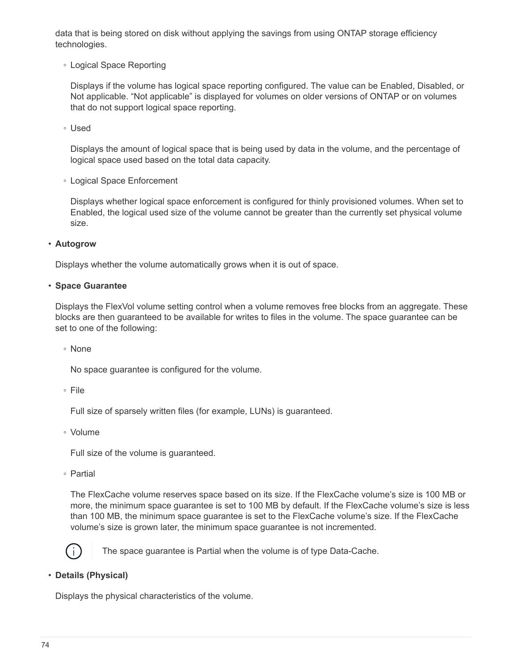data that is being stored on disk without applying the savings from using ONTAP storage efficiency technologies.

◦ Logical Space Reporting

Displays if the volume has logical space reporting configured. The value can be Enabled, Disabled, or Not applicable. "Not applicable" is displayed for volumes on older versions of ONTAP or on volumes that do not support logical space reporting.

◦ Used

Displays the amount of logical space that is being used by data in the volume, and the percentage of logical space used based on the total data capacity.

◦ Logical Space Enforcement

Displays whether logical space enforcement is configured for thinly provisioned volumes. When set to Enabled, the logical used size of the volume cannot be greater than the currently set physical volume size.

• **Autogrow**

Displays whether the volume automatically grows when it is out of space.

## • **Space Guarantee**

Displays the FlexVol volume setting control when a volume removes free blocks from an aggregate. These blocks are then guaranteed to be available for writes to files in the volume. The space guarantee can be set to one of the following:

◦ None

No space guarantee is configured for the volume.

◦ File

Full size of sparsely written files (for example, LUNs) is guaranteed.

◦ Volume

Full size of the volume is guaranteed.

◦ Partial

The FlexCache volume reserves space based on its size. If the FlexCache volume's size is 100 MB or more, the minimum space guarantee is set to 100 MB by default. If the FlexCache volume's size is less than 100 MB, the minimum space guarantee is set to the FlexCache volume's size. If the FlexCache volume's size is grown later, the minimum space guarantee is not incremented.



The space guarantee is Partial when the volume is of type Data-Cache.

# • **Details (Physical)**

Displays the physical characteristics of the volume.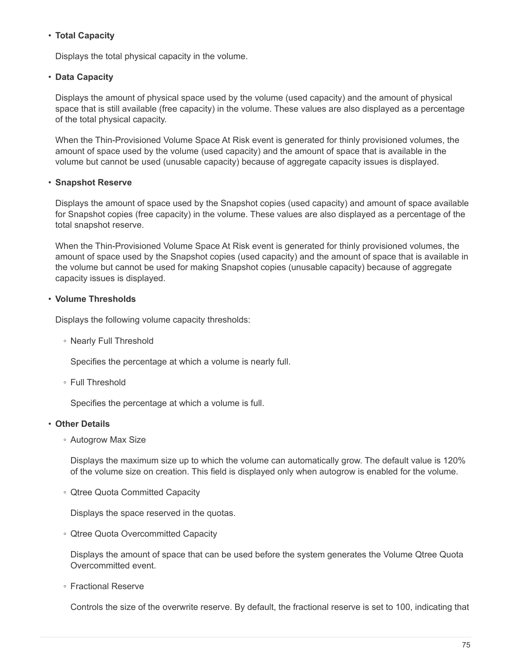# • **Total Capacity**

Displays the total physical capacity in the volume.

## • **Data Capacity**

Displays the amount of physical space used by the volume (used capacity) and the amount of physical space that is still available (free capacity) in the volume. These values are also displayed as a percentage of the total physical capacity.

When the Thin-Provisioned Volume Space At Risk event is generated for thinly provisioned volumes, the amount of space used by the volume (used capacity) and the amount of space that is available in the volume but cannot be used (unusable capacity) because of aggregate capacity issues is displayed.

## • **Snapshot Reserve**

Displays the amount of space used by the Snapshot copies (used capacity) and amount of space available for Snapshot copies (free capacity) in the volume. These values are also displayed as a percentage of the total snapshot reserve.

When the Thin-Provisioned Volume Space At Risk event is generated for thinly provisioned volumes, the amount of space used by the Snapshot copies (used capacity) and the amount of space that is available in the volume but cannot be used for making Snapshot copies (unusable capacity) because of aggregate capacity issues is displayed.

# • **Volume Thresholds**

Displays the following volume capacity thresholds:

◦ Nearly Full Threshold

Specifies the percentage at which a volume is nearly full.

◦ Full Threshold

Specifies the percentage at which a volume is full.

#### • **Other Details**

◦ Autogrow Max Size

Displays the maximum size up to which the volume can automatically grow. The default value is 120% of the volume size on creation. This field is displayed only when autogrow is enabled for the volume.

◦ Qtree Quota Committed Capacity

Displays the space reserved in the quotas.

◦ Qtree Quota Overcommitted Capacity

Displays the amount of space that can be used before the system generates the Volume Qtree Quota Overcommitted event.

◦ Fractional Reserve

Controls the size of the overwrite reserve. By default, the fractional reserve is set to 100, indicating that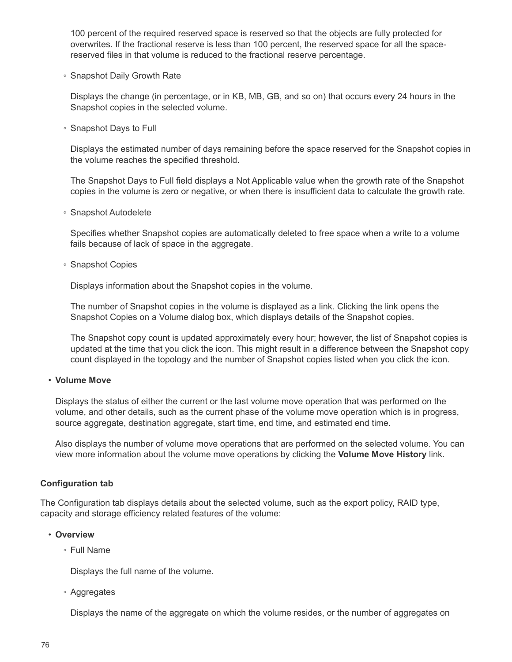100 percent of the required reserved space is reserved so that the objects are fully protected for overwrites. If the fractional reserve is less than 100 percent, the reserved space for all the spacereserved files in that volume is reduced to the fractional reserve percentage.

◦ Snapshot Daily Growth Rate

Displays the change (in percentage, or in KB, MB, GB, and so on) that occurs every 24 hours in the Snapshot copies in the selected volume.

◦ Snapshot Days to Full

Displays the estimated number of days remaining before the space reserved for the Snapshot copies in the volume reaches the specified threshold.

The Snapshot Days to Full field displays a Not Applicable value when the growth rate of the Snapshot copies in the volume is zero or negative, or when there is insufficient data to calculate the growth rate.

◦ Snapshot Autodelete

Specifies whether Snapshot copies are automatically deleted to free space when a write to a volume fails because of lack of space in the aggregate.

◦ Snapshot Copies

Displays information about the Snapshot copies in the volume.

The number of Snapshot copies in the volume is displayed as a link. Clicking the link opens the Snapshot Copies on a Volume dialog box, which displays details of the Snapshot copies.

The Snapshot copy count is updated approximately every hour; however, the list of Snapshot copies is updated at the time that you click the icon. This might result in a difference between the Snapshot copy count displayed in the topology and the number of Snapshot copies listed when you click the icon.

#### • **Volume Move**

Displays the status of either the current or the last volume move operation that was performed on the volume, and other details, such as the current phase of the volume move operation which is in progress, source aggregate, destination aggregate, start time, end time, and estimated end time.

Also displays the number of volume move operations that are performed on the selected volume. You can view more information about the volume move operations by clicking the **Volume Move History** link.

#### **Configuration tab**

The Configuration tab displays details about the selected volume, such as the export policy, RAID type, capacity and storage efficiency related features of the volume:

#### • **Overview**

◦ Full Name

Displays the full name of the volume.

◦ Aggregates

Displays the name of the aggregate on which the volume resides, or the number of aggregates on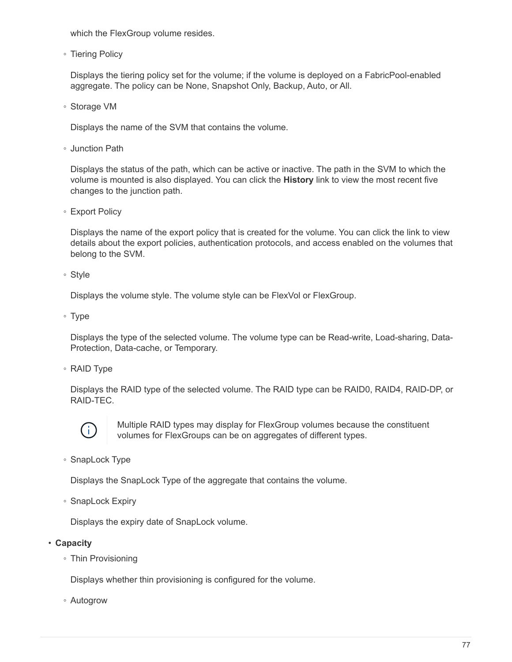which the FlexGroup volume resides.

◦ Tiering Policy

Displays the tiering policy set for the volume; if the volume is deployed on a FabricPool-enabled aggregate. The policy can be None, Snapshot Only, Backup, Auto, or All.

◦ Storage VM

Displays the name of the SVM that contains the volume.

◦ Junction Path

Displays the status of the path, which can be active or inactive. The path in the SVM to which the volume is mounted is also displayed. You can click the **History** link to view the most recent five changes to the junction path.

◦ Export Policy

Displays the name of the export policy that is created for the volume. You can click the link to view details about the export policies, authentication protocols, and access enabled on the volumes that belong to the SVM.

◦ Style

Displays the volume style. The volume style can be FlexVol or FlexGroup.

◦ Type

Displays the type of the selected volume. The volume type can be Read-write, Load-sharing, Data-Protection, Data-cache, or Temporary.

◦ RAID Type

Displays the RAID type of the selected volume. The RAID type can be RAID0, RAID4, RAID-DP, or RAID-TEC.



Multiple RAID types may display for FlexGroup volumes because the constituent volumes for FlexGroups can be on aggregates of different types.

◦ SnapLock Type

Displays the SnapLock Type of the aggregate that contains the volume.

◦ SnapLock Expiry

Displays the expiry date of SnapLock volume.

• **Capacity**

◦ Thin Provisioning

Displays whether thin provisioning is configured for the volume.

◦ Autogrow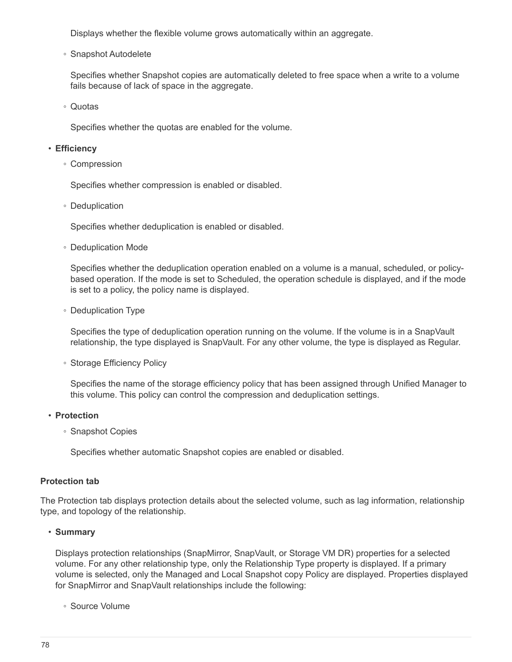Displays whether the flexible volume grows automatically within an aggregate.

◦ Snapshot Autodelete

Specifies whether Snapshot copies are automatically deleted to free space when a write to a volume fails because of lack of space in the aggregate.

◦ Quotas

Specifies whether the quotas are enabled for the volume.

#### • **Efficiency**

◦ Compression

Specifies whether compression is enabled or disabled.

◦ Deduplication

Specifies whether deduplication is enabled or disabled.

◦ Deduplication Mode

Specifies whether the deduplication operation enabled on a volume is a manual, scheduled, or policybased operation. If the mode is set to Scheduled, the operation schedule is displayed, and if the mode is set to a policy, the policy name is displayed.

◦ Deduplication Type

Specifies the type of deduplication operation running on the volume. If the volume is in a SnapVault relationship, the type displayed is SnapVault. For any other volume, the type is displayed as Regular.

◦ Storage Efficiency Policy

Specifies the name of the storage efficiency policy that has been assigned through Unified Manager to this volume. This policy can control the compression and deduplication settings.

#### • **Protection**

◦ Snapshot Copies

Specifies whether automatic Snapshot copies are enabled or disabled.

#### **Protection tab**

The Protection tab displays protection details about the selected volume, such as lag information, relationship type, and topology of the relationship.

#### • **Summary**

Displays protection relationships (SnapMirror, SnapVault, or Storage VM DR) properties for a selected volume. For any other relationship type, only the Relationship Type property is displayed. If a primary volume is selected, only the Managed and Local Snapshot copy Policy are displayed. Properties displayed for SnapMirror and SnapVault relationships include the following:

◦ Source Volume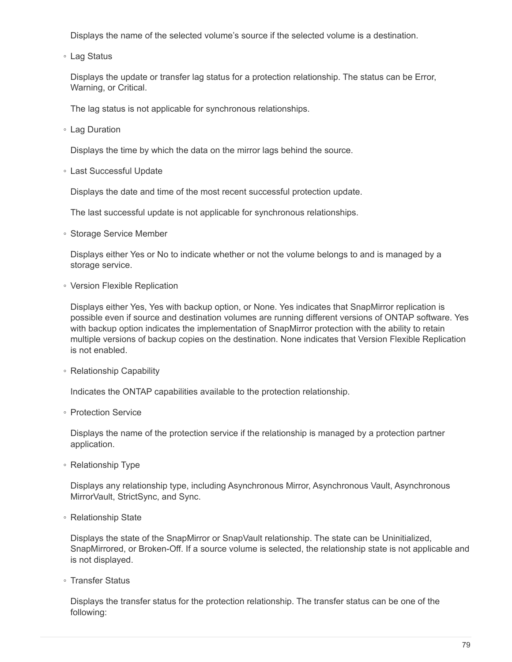Displays the name of the selected volume's source if the selected volume is a destination.

◦ Lag Status

Displays the update or transfer lag status for a protection relationship. The status can be Error, Warning, or Critical.

The lag status is not applicable for synchronous relationships.

◦ Lag Duration

Displays the time by which the data on the mirror lags behind the source.

◦ Last Successful Update

Displays the date and time of the most recent successful protection update.

The last successful update is not applicable for synchronous relationships.

◦ Storage Service Member

Displays either Yes or No to indicate whether or not the volume belongs to and is managed by a storage service.

◦ Version Flexible Replication

Displays either Yes, Yes with backup option, or None. Yes indicates that SnapMirror replication is possible even if source and destination volumes are running different versions of ONTAP software. Yes with backup option indicates the implementation of SnapMirror protection with the ability to retain multiple versions of backup copies on the destination. None indicates that Version Flexible Replication is not enabled.

◦ Relationship Capability

Indicates the ONTAP capabilities available to the protection relationship.

◦ Protection Service

Displays the name of the protection service if the relationship is managed by a protection partner application.

◦ Relationship Type

Displays any relationship type, including Asynchronous Mirror, Asynchronous Vault, Asynchronous MirrorVault, StrictSync, and Sync.

◦ Relationship State

Displays the state of the SnapMirror or SnapVault relationship. The state can be Uninitialized, SnapMirrored, or Broken-Off. If a source volume is selected, the relationship state is not applicable and is not displayed.

◦ Transfer Status

Displays the transfer status for the protection relationship. The transfer status can be one of the following: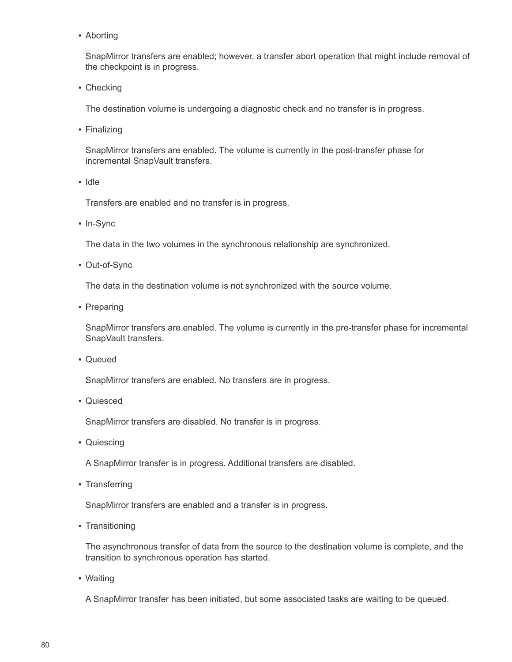• Aborting

SnapMirror transfers are enabled; however, a transfer abort operation that might include removal of the checkpoint is in progress.

• Checking

The destination volume is undergoing a diagnostic check and no transfer is in progress.

• Finalizing

SnapMirror transfers are enabled. The volume is currently in the post-transfer phase for incremental SnapVault transfers.

▪ Idle

Transfers are enabled and no transfer is in progress.

▪ In-Sync

The data in the two volumes in the synchronous relationship are synchronized.

▪ Out-of-Sync

The data in the destination volume is not synchronized with the source volume.

• Preparing

SnapMirror transfers are enabled. The volume is currently in the pre-transfer phase for incremental SnapVault transfers.

▪ Queued

SnapMirror transfers are enabled. No transfers are in progress.

▪ Quiesced

SnapMirror transfers are disabled. No transfer is in progress.

• Quiescing

A SnapMirror transfer is in progress. Additional transfers are disabled.

▪ Transferring

SnapMirror transfers are enabled and a transfer is in progress.

• Transitioning

The asynchronous transfer of data from the source to the destination volume is complete, and the transition to synchronous operation has started.

▪ Waiting

A SnapMirror transfer has been initiated, but some associated tasks are waiting to be queued.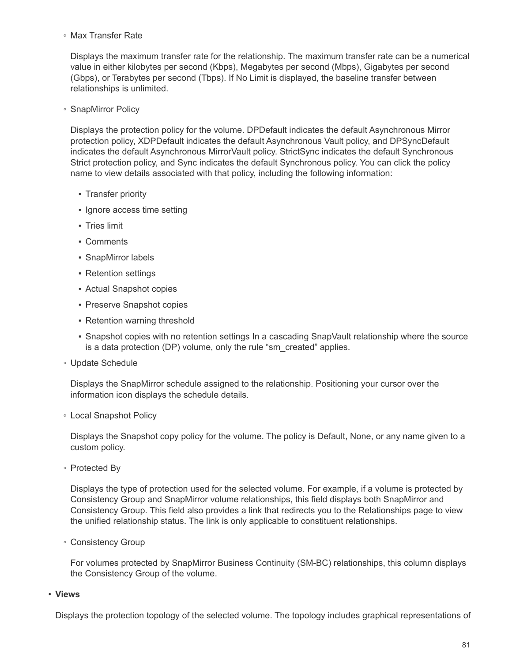◦ Max Transfer Rate

Displays the maximum transfer rate for the relationship. The maximum transfer rate can be a numerical value in either kilobytes per second (Kbps), Megabytes per second (Mbps), Gigabytes per second (Gbps), or Terabytes per second (Tbps). If No Limit is displayed, the baseline transfer between relationships is unlimited.

◦ SnapMirror Policy

Displays the protection policy for the volume. DPDefault indicates the default Asynchronous Mirror protection policy, XDPDefault indicates the default Asynchronous Vault policy, and DPSyncDefault indicates the default Asynchronous MirrorVault policy. StrictSync indicates the default Synchronous Strict protection policy, and Sync indicates the default Synchronous policy. You can click the policy name to view details associated with that policy, including the following information:

- Transfer priority
- Ignore access time setting
- Tries limit
- Comments
- SnapMirror labels
- Retention settings
- Actual Snapshot copies
- Preserve Snapshot copies
- Retention warning threshold
- Snapshot copies with no retention settings In a cascading SnapVault relationship where the source is a data protection (DP) volume, only the rule "sm\_created" applies.
- Update Schedule

Displays the SnapMirror schedule assigned to the relationship. Positioning your cursor over the information icon displays the schedule details.

◦ Local Snapshot Policy

Displays the Snapshot copy policy for the volume. The policy is Default, None, or any name given to a custom policy.

◦ Protected By

Displays the type of protection used for the selected volume. For example, if a volume is protected by Consistency Group and SnapMirror volume relationships, this field displays both SnapMirror and Consistency Group. This field also provides a link that redirects you to the Relationships page to view the unified relationship status. The link is only applicable to constituent relationships.

◦ Consistency Group

For volumes protected by SnapMirror Business Continuity (SM-BC) relationships, this column displays the Consistency Group of the volume.

• **Views**

Displays the protection topology of the selected volume. The topology includes graphical representations of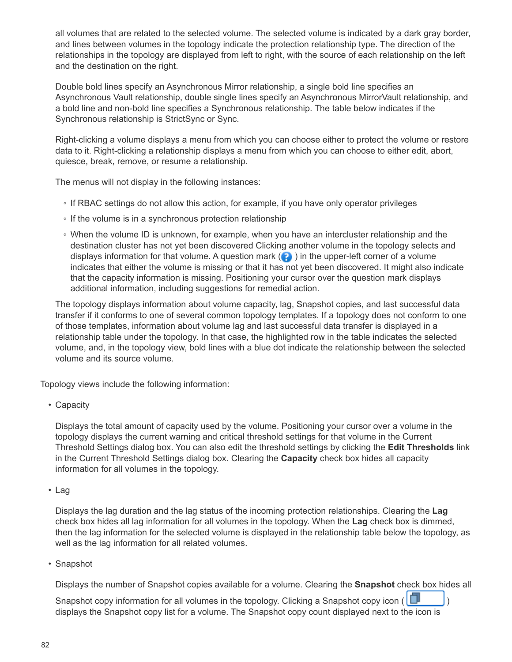all volumes that are related to the selected volume. The selected volume is indicated by a dark gray border, and lines between volumes in the topology indicate the protection relationship type. The direction of the relationships in the topology are displayed from left to right, with the source of each relationship on the left and the destination on the right.

Double bold lines specify an Asynchronous Mirror relationship, a single bold line specifies an Asynchronous Vault relationship, double single lines specify an Asynchronous MirrorVault relationship, and a bold line and non-bold line specifies a Synchronous relationship. The table below indicates if the Synchronous relationship is StrictSync or Sync.

Right-clicking a volume displays a menu from which you can choose either to protect the volume or restore data to it. Right-clicking a relationship displays a menu from which you can choose to either edit, abort, quiesce, break, remove, or resume a relationship.

The menus will not display in the following instances:

- If RBAC settings do not allow this action, for example, if you have only operator privileges
- If the volume is in a synchronous protection relationship
- When the volume ID is unknown, for example, when you have an intercluster relationship and the destination cluster has not yet been discovered Clicking another volume in the topology selects and displays information for that volume. A question mark  $\left( \bullet \right)$  in the upper-left corner of a volume indicates that either the volume is missing or that it has not yet been discovered. It might also indicate that the capacity information is missing. Positioning your cursor over the question mark displays additional information, including suggestions for remedial action.

The topology displays information about volume capacity, lag, Snapshot copies, and last successful data transfer if it conforms to one of several common topology templates. If a topology does not conform to one of those templates, information about volume lag and last successful data transfer is displayed in a relationship table under the topology. In that case, the highlighted row in the table indicates the selected volume, and, in the topology view, bold lines with a blue dot indicate the relationship between the selected volume and its source volume.

Topology views include the following information:

• Capacity

Displays the total amount of capacity used by the volume. Positioning your cursor over a volume in the topology displays the current warning and critical threshold settings for that volume in the Current Threshold Settings dialog box. You can also edit the threshold settings by clicking the **Edit Thresholds** link in the Current Threshold Settings dialog box. Clearing the **Capacity** check box hides all capacity information for all volumes in the topology.

• Lag

Displays the lag duration and the lag status of the incoming protection relationships. Clearing the **Lag** check box hides all lag information for all volumes in the topology. When the **Lag** check box is dimmed, then the lag information for the selected volume is displayed in the relationship table below the topology, as well as the lag information for all related volumes.

• Snapshot

Displays the number of Snapshot copies available for a volume. Clearing the **Snapshot** check box hides all

Snapshot copy information for all volumes in the topology. Clicking a Snapshot copy icon ( $\Box$ displays the Snapshot copy list for a volume. The Snapshot copy count displayed next to the icon is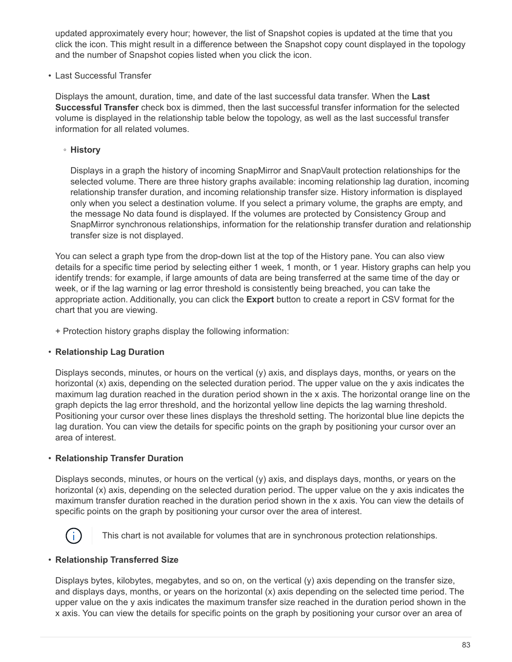updated approximately every hour; however, the list of Snapshot copies is updated at the time that you click the icon. This might result in a difference between the Snapshot copy count displayed in the topology and the number of Snapshot copies listed when you click the icon.

• Last Successful Transfer

Displays the amount, duration, time, and date of the last successful data transfer. When the **Last Successful Transfer** check box is dimmed, then the last successful transfer information for the selected volume is displayed in the relationship table below the topology, as well as the last successful transfer information for all related volumes.

◦ **History**

Displays in a graph the history of incoming SnapMirror and SnapVault protection relationships for the selected volume. There are three history graphs available: incoming relationship lag duration, incoming relationship transfer duration, and incoming relationship transfer size. History information is displayed only when you select a destination volume. If you select a primary volume, the graphs are empty, and the message No data found is displayed. If the volumes are protected by Consistency Group and SnapMirror synchronous relationships, information for the relationship transfer duration and relationship transfer size is not displayed.

You can select a graph type from the drop-down list at the top of the History pane. You can also view details for a specific time period by selecting either 1 week, 1 month, or 1 year. History graphs can help you identify trends: for example, if large amounts of data are being transferred at the same time of the day or week, or if the lag warning or lag error threshold is consistently being breached, you can take the appropriate action. Additionally, you can click the **Export** button to create a report in CSV format for the chart that you are viewing.

+ Protection history graphs display the following information:

# • **Relationship Lag Duration**

Displays seconds, minutes, or hours on the vertical (y) axis, and displays days, months, or years on the horizontal (x) axis, depending on the selected duration period. The upper value on the y axis indicates the maximum lag duration reached in the duration period shown in the x axis. The horizontal orange line on the graph depicts the lag error threshold, and the horizontal yellow line depicts the lag warning threshold. Positioning your cursor over these lines displays the threshold setting. The horizontal blue line depicts the lag duration. You can view the details for specific points on the graph by positioning your cursor over an area of interest.

# • **Relationship Transfer Duration**

Displays seconds, minutes, or hours on the vertical (y) axis, and displays days, months, or years on the horizontal (x) axis, depending on the selected duration period. The upper value on the y axis indicates the maximum transfer duration reached in the duration period shown in the x axis. You can view the details of specific points on the graph by positioning your cursor over the area of interest.



This chart is not available for volumes that are in synchronous protection relationships.

# • **Relationship Transferred Size**

Displays bytes, kilobytes, megabytes, and so on, on the vertical (y) axis depending on the transfer size, and displays days, months, or years on the horizontal (x) axis depending on the selected time period. The upper value on the y axis indicates the maximum transfer size reached in the duration period shown in the x axis. You can view the details for specific points on the graph by positioning your cursor over an area of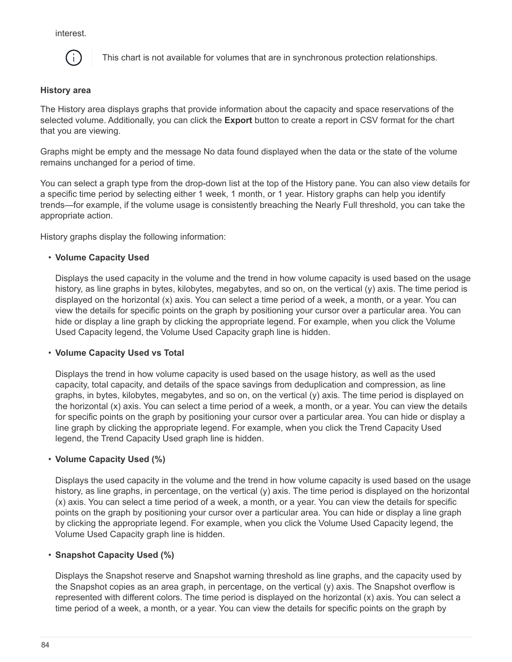interest.



This chart is not available for volumes that are in synchronous protection relationships.

## **History area**

The History area displays graphs that provide information about the capacity and space reservations of the selected volume. Additionally, you can click the **Export** button to create a report in CSV format for the chart that you are viewing.

Graphs might be empty and the message No data found displayed when the data or the state of the volume remains unchanged for a period of time.

You can select a graph type from the drop-down list at the top of the History pane. You can also view details for a specific time period by selecting either 1 week, 1 month, or 1 year. History graphs can help you identify trends—for example, if the volume usage is consistently breaching the Nearly Full threshold, you can take the appropriate action.

History graphs display the following information:

## • **Volume Capacity Used**

Displays the used capacity in the volume and the trend in how volume capacity is used based on the usage history, as line graphs in bytes, kilobytes, megabytes, and so on, on the vertical (y) axis. The time period is displayed on the horizontal (x) axis. You can select a time period of a week, a month, or a year. You can view the details for specific points on the graph by positioning your cursor over a particular area. You can hide or display a line graph by clicking the appropriate legend. For example, when you click the Volume Used Capacity legend, the Volume Used Capacity graph line is hidden.

#### • **Volume Capacity Used vs Total**

Displays the trend in how volume capacity is used based on the usage history, as well as the used capacity, total capacity, and details of the space savings from deduplication and compression, as line graphs, in bytes, kilobytes, megabytes, and so on, on the vertical (y) axis. The time period is displayed on the horizontal (x) axis. You can select a time period of a week, a month, or a year. You can view the details for specific points on the graph by positioning your cursor over a particular area. You can hide or display a line graph by clicking the appropriate legend. For example, when you click the Trend Capacity Used legend, the Trend Capacity Used graph line is hidden.

#### • **Volume Capacity Used (%)**

Displays the used capacity in the volume and the trend in how volume capacity is used based on the usage history, as line graphs, in percentage, on the vertical (y) axis. The time period is displayed on the horizontal (x) axis. You can select a time period of a week, a month, or a year. You can view the details for specific points on the graph by positioning your cursor over a particular area. You can hide or display a line graph by clicking the appropriate legend. For example, when you click the Volume Used Capacity legend, the Volume Used Capacity graph line is hidden.

# • **Snapshot Capacity Used (%)**

Displays the Snapshot reserve and Snapshot warning threshold as line graphs, and the capacity used by the Snapshot copies as an area graph, in percentage, on the vertical (y) axis. The Snapshot overflow is represented with different colors. The time period is displayed on the horizontal (x) axis. You can select a time period of a week, a month, or a year. You can view the details for specific points on the graph by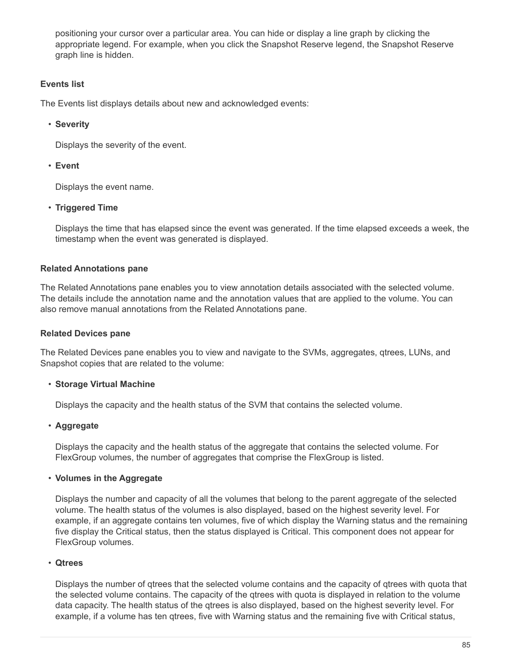positioning your cursor over a particular area. You can hide or display a line graph by clicking the appropriate legend. For example, when you click the Snapshot Reserve legend, the Snapshot Reserve graph line is hidden.

# **Events list**

The Events list displays details about new and acknowledged events:

# • **Severity**

Displays the severity of the event.

# • **Event**

Displays the event name.

# • **Triggered Time**

Displays the time that has elapsed since the event was generated. If the time elapsed exceeds a week, the timestamp when the event was generated is displayed.

# **Related Annotations pane**

The Related Annotations pane enables you to view annotation details associated with the selected volume. The details include the annotation name and the annotation values that are applied to the volume. You can also remove manual annotations from the Related Annotations pane.

# **Related Devices pane**

The Related Devices pane enables you to view and navigate to the SVMs, aggregates, qtrees, LUNs, and Snapshot copies that are related to the volume:

# • **Storage Virtual Machine**

Displays the capacity and the health status of the SVM that contains the selected volume.

# • **Aggregate**

Displays the capacity and the health status of the aggregate that contains the selected volume. For FlexGroup volumes, the number of aggregates that comprise the FlexGroup is listed.

# • **Volumes in the Aggregate**

Displays the number and capacity of all the volumes that belong to the parent aggregate of the selected volume. The health status of the volumes is also displayed, based on the highest severity level. For example, if an aggregate contains ten volumes, five of which display the Warning status and the remaining five display the Critical status, then the status displayed is Critical. This component does not appear for FlexGroup volumes.

# • **Qtrees**

Displays the number of qtrees that the selected volume contains and the capacity of qtrees with quota that the selected volume contains. The capacity of the qtrees with quota is displayed in relation to the volume data capacity. The health status of the qtrees is also displayed, based on the highest severity level. For example, if a volume has ten qtrees, five with Warning status and the remaining five with Critical status,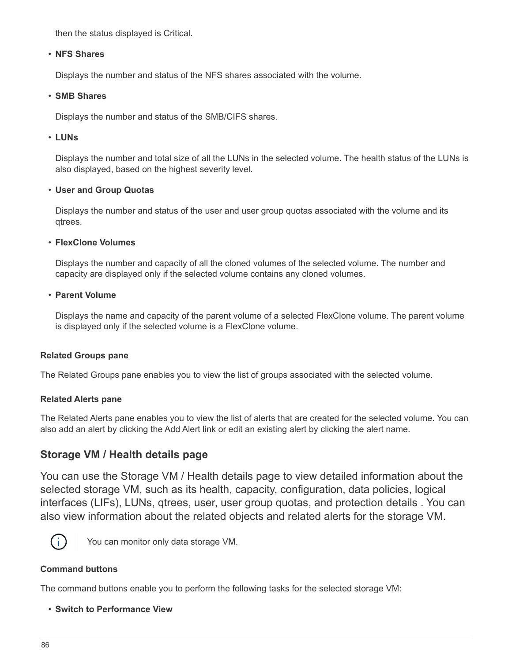then the status displayed is Critical.

## • **NFS Shares**

Displays the number and status of the NFS shares associated with the volume.

## • **SMB Shares**

Displays the number and status of the SMB/CIFS shares.

## • **LUNs**

Displays the number and total size of all the LUNs in the selected volume. The health status of the LUNs is also displayed, based on the highest severity level.

## • **User and Group Quotas**

Displays the number and status of the user and user group quotas associated with the volume and its qtrees.

## • **FlexClone Volumes**

Displays the number and capacity of all the cloned volumes of the selected volume. The number and capacity are displayed only if the selected volume contains any cloned volumes.

## • **Parent Volume**

Displays the name and capacity of the parent volume of a selected FlexClone volume. The parent volume is displayed only if the selected volume is a FlexClone volume.

# **Related Groups pane**

The Related Groups pane enables you to view the list of groups associated with the selected volume.

# **Related Alerts pane**

The Related Alerts pane enables you to view the list of alerts that are created for the selected volume. You can also add an alert by clicking the Add Alert link or edit an existing alert by clicking the alert name.

# **Storage VM / Health details page**

You can use the Storage VM / Health details page to view detailed information about the selected storage VM, such as its health, capacity, configuration, data policies, logical interfaces (LIFs), LUNs, qtrees, user, user group quotas, and protection details . You can also view information about the related objects and related alerts for the storage VM.



You can monitor only data storage VM.

# **Command buttons**

The command buttons enable you to perform the following tasks for the selected storage VM:

• **Switch to Performance View**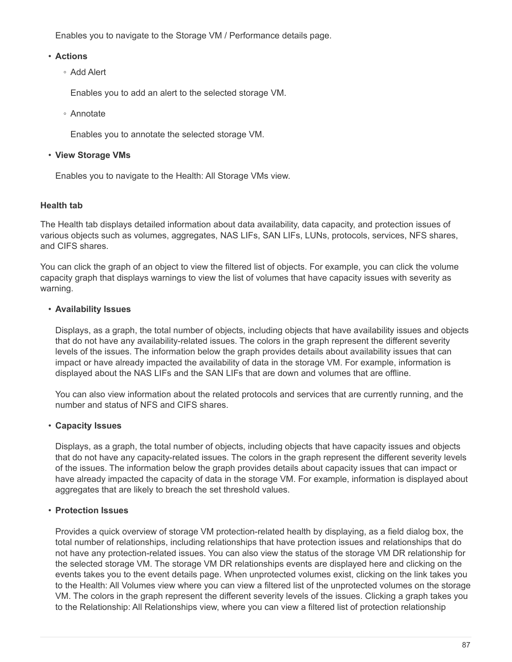Enables you to navigate to the Storage VM / Performance details page.

## • **Actions**

◦ Add Alert

Enables you to add an alert to the selected storage VM.

◦ Annotate

Enables you to annotate the selected storage VM.

## • **View Storage VMs**

Enables you to navigate to the Health: All Storage VMs view.

# **Health tab**

The Health tab displays detailed information about data availability, data capacity, and protection issues of various objects such as volumes, aggregates, NAS LIFs, SAN LIFs, LUNs, protocols, services, NFS shares, and CIFS shares.

You can click the graph of an object to view the filtered list of objects. For example, you can click the volume capacity graph that displays warnings to view the list of volumes that have capacity issues with severity as warning.

## • **Availability Issues**

Displays, as a graph, the total number of objects, including objects that have availability issues and objects that do not have any availability-related issues. The colors in the graph represent the different severity levels of the issues. The information below the graph provides details about availability issues that can impact or have already impacted the availability of data in the storage VM. For example, information is displayed about the NAS LIFs and the SAN LIFs that are down and volumes that are offline.

You can also view information about the related protocols and services that are currently running, and the number and status of NFS and CIFS shares.

# • **Capacity Issues**

Displays, as a graph, the total number of objects, including objects that have capacity issues and objects that do not have any capacity-related issues. The colors in the graph represent the different severity levels of the issues. The information below the graph provides details about capacity issues that can impact or have already impacted the capacity of data in the storage VM. For example, information is displayed about aggregates that are likely to breach the set threshold values.

# • **Protection Issues**

Provides a quick overview of storage VM protection-related health by displaying, as a field dialog box, the total number of relationships, including relationships that have protection issues and relationships that do not have any protection-related issues. You can also view the status of the storage VM DR relationship for the selected storage VM. The storage VM DR relationships events are displayed here and clicking on the events takes you to the event details page. When unprotected volumes exist, clicking on the link takes you to the Health: All Volumes view where you can view a filtered list of the unprotected volumes on the storage VM. The colors in the graph represent the different severity levels of the issues. Clicking a graph takes you to the Relationship: All Relationships view, where you can view a filtered list of protection relationship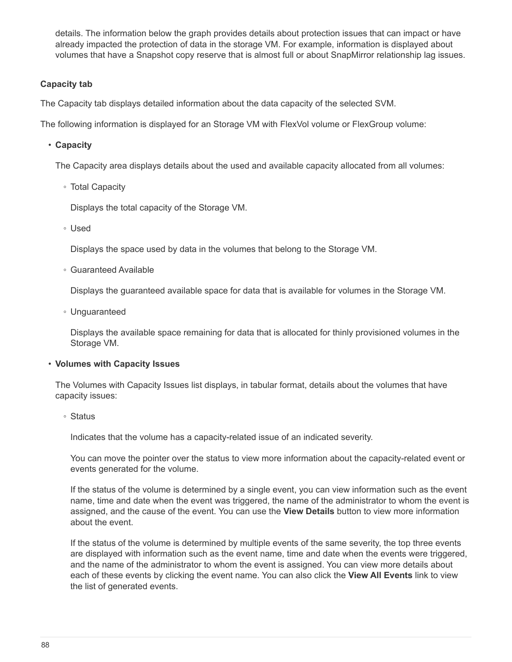details. The information below the graph provides details about protection issues that can impact or have already impacted the protection of data in the storage VM. For example, information is displayed about volumes that have a Snapshot copy reserve that is almost full or about SnapMirror relationship lag issues.

## **Capacity tab**

The Capacity tab displays detailed information about the data capacity of the selected SVM.

The following information is displayed for an Storage VM with FlexVol volume or FlexGroup volume:

• **Capacity**

The Capacity area displays details about the used and available capacity allocated from all volumes:

◦ Total Capacity

Displays the total capacity of the Storage VM.

◦ Used

Displays the space used by data in the volumes that belong to the Storage VM.

◦ Guaranteed Available

Displays the guaranteed available space for data that is available for volumes in the Storage VM.

◦ Unguaranteed

Displays the available space remaining for data that is allocated for thinly provisioned volumes in the Storage VM.

#### • **Volumes with Capacity Issues**

The Volumes with Capacity Issues list displays, in tabular format, details about the volumes that have capacity issues:

◦ Status

Indicates that the volume has a capacity-related issue of an indicated severity.

You can move the pointer over the status to view more information about the capacity-related event or events generated for the volume.

If the status of the volume is determined by a single event, you can view information such as the event name, time and date when the event was triggered, the name of the administrator to whom the event is assigned, and the cause of the event. You can use the **View Details** button to view more information about the event.

If the status of the volume is determined by multiple events of the same severity, the top three events are displayed with information such as the event name, time and date when the events were triggered, and the name of the administrator to whom the event is assigned. You can view more details about each of these events by clicking the event name. You can also click the **View All Events** link to view the list of generated events.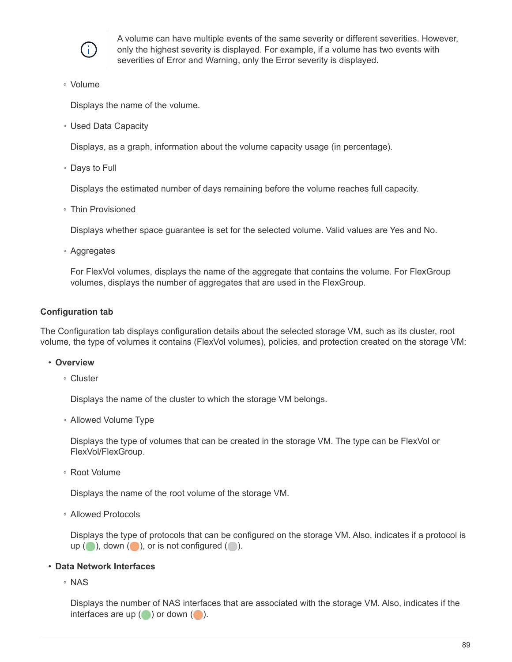

A volume can have multiple events of the same severity or different severities. However, only the highest severity is displayed. For example, if a volume has two events with severities of Error and Warning, only the Error severity is displayed.

◦ Volume

Displays the name of the volume.

◦ Used Data Capacity

Displays, as a graph, information about the volume capacity usage (in percentage).

◦ Days to Full

Displays the estimated number of days remaining before the volume reaches full capacity.

◦ Thin Provisioned

Displays whether space guarantee is set for the selected volume. Valid values are Yes and No.

◦ Aggregates

For FlexVol volumes, displays the name of the aggregate that contains the volume. For FlexGroup volumes, displays the number of aggregates that are used in the FlexGroup.

#### **Configuration tab**

The Configuration tab displays configuration details about the selected storage VM, such as its cluster, root volume, the type of volumes it contains (FlexVol volumes), policies, and protection created on the storage VM:

#### • **Overview**

◦ Cluster

Displays the name of the cluster to which the storage VM belongs.

◦ Allowed Volume Type

Displays the type of volumes that can be created in the storage VM. The type can be FlexVol or FlexVol/FlexGroup.

◦ Root Volume

Displays the name of the root volume of the storage VM.

◦ Allowed Protocols

Displays the type of protocols that can be configured on the storage VM. Also, indicates if a protocol is up  $(\bullet)$ , down  $(\bullet)$ , or is not configured  $(\bullet)$ .

#### • **Data Network Interfaces**

◦ NAS

Displays the number of NAS interfaces that are associated with the storage VM. Also, indicates if the interfaces are up  $(\bullet)$  or down  $(\bullet)$ .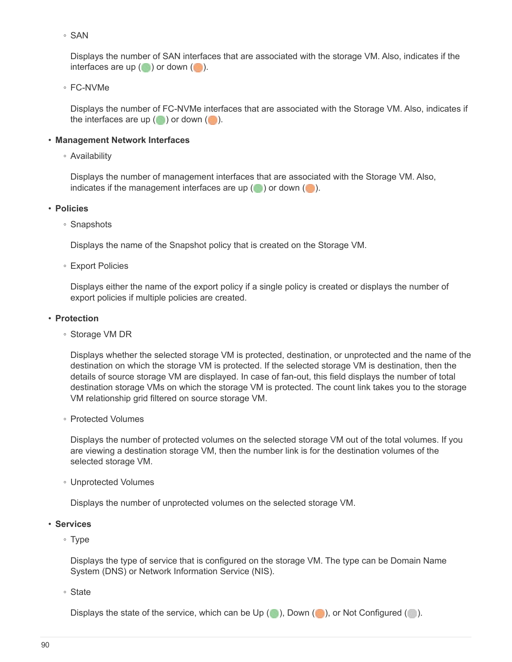◦ SAN

Displays the number of SAN interfaces that are associated with the storage VM. Also, indicates if the interfaces are up  $(\bullet)$  or down  $(\bullet)$ .

◦ FC-NVMe

Displays the number of FC-NVMe interfaces that are associated with the Storage VM. Also, indicates if the interfaces are up  $(\bullet)$  or down  $(\bullet)$ .

# • **Management Network Interfaces**

◦ Availability

Displays the number of management interfaces that are associated with the Storage VM. Also, indicates if the management interfaces are up  $( \bullet )$  or down  $( \bullet )$ .

## • **Policies**

◦ Snapshots

Displays the name of the Snapshot policy that is created on the Storage VM.

◦ Export Policies

Displays either the name of the export policy if a single policy is created or displays the number of export policies if multiple policies are created.

## • **Protection**

◦ Storage VM DR

Displays whether the selected storage VM is protected, destination, or unprotected and the name of the destination on which the storage VM is protected. If the selected storage VM is destination, then the details of source storage VM are displayed. In case of fan-out, this field displays the number of total destination storage VMs on which the storage VM is protected. The count link takes you to the storage VM relationship grid filtered on source storage VM.

◦ Protected Volumes

Displays the number of protected volumes on the selected storage VM out of the total volumes. If you are viewing a destination storage VM, then the number link is for the destination volumes of the selected storage VM.

◦ Unprotected Volumes

Displays the number of unprotected volumes on the selected storage VM.

- **Services**
	- Type

Displays the type of service that is configured on the storage VM. The type can be Domain Name System (DNS) or Network Information Service (NIS).

◦ State

Displays the state of the service, which can be Up  $(\bullet)$ , Down  $(\bullet)$ , or Not Configured  $(\bullet)$ .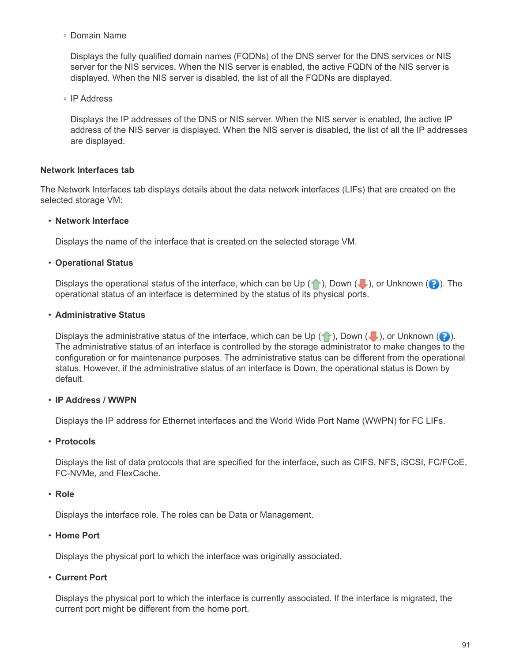◦ Domain Name

Displays the fully qualified domain names (FQDNs) of the DNS server for the DNS services or NIS server for the NIS services. When the NIS server is enabled, the active FQDN of the NIS server is displayed. When the NIS server is disabled, the list of all the FQDNs are displayed.

◦ IP Address

Displays the IP addresses of the DNS or NIS server. When the NIS server is enabled, the active IP address of the NIS server is displayed. When the NIS server is disabled, the list of all the IP addresses are displayed.

# **Network Interfaces tab**

The Network Interfaces tab displays details about the data network interfaces (LIFs) that are created on the selected storage VM:

#### • **Network Interface**

Displays the name of the interface that is created on the selected storage VM.

## • **Operational Status**

Displays the operational status of the interface, which can be Up  $(\bullet)$ , Down  $(\bullet)$ , or Unknown  $(\bullet)$ . The operational status of an interface is determined by the status of its physical ports.

## • **Administrative Status**

Displays the administrative status of the interface, which can be Up  $(\bullet)$ , Down  $(\bullet)$ , or Unknown  $(\bullet)$ . The administrative status of an interface is controlled by the storage administrator to make changes to the configuration or for maintenance purposes. The administrative status can be different from the operational status. However, if the administrative status of an interface is Down, the operational status is Down by default.

# • **IP Address / WWPN**

Displays the IP address for Ethernet interfaces and the World Wide Port Name (WWPN) for FC LIFs.

#### • **Protocols**

Displays the list of data protocols that are specified for the interface, such as CIFS, NFS, iSCSI, FC/FCoE, FC-NVMe, and FlexCache.

#### • **Role**

Displays the interface role. The roles can be Data or Management.

#### • **Home Port**

Displays the physical port to which the interface was originally associated.

• **Current Port**

Displays the physical port to which the interface is currently associated. If the interface is migrated, the current port might be different from the home port.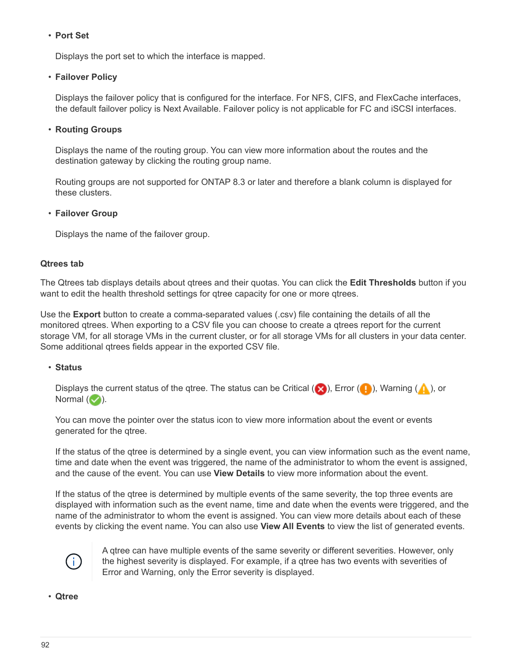## • **Port Set**

Displays the port set to which the interface is mapped.

#### • **Failover Policy**

Displays the failover policy that is configured for the interface. For NFS, CIFS, and FlexCache interfaces, the default failover policy is Next Available. Failover policy is not applicable for FC and iSCSI interfaces.

## • **Routing Groups**

Displays the name of the routing group. You can view more information about the routes and the destination gateway by clicking the routing group name.

Routing groups are not supported for ONTAP 8.3 or later and therefore a blank column is displayed for these clusters.

#### • **Failover Group**

Displays the name of the failover group.

#### **Qtrees tab**

The Qtrees tab displays details about qtrees and their quotas. You can click the **Edit Thresholds** button if you want to edit the health threshold settings for gtree capacity for one or more gtrees.

Use the **Export** button to create a comma-separated values (.csv) file containing the details of all the monitored qtrees. When exporting to a CSV file you can choose to create a qtrees report for the current storage VM, for all storage VMs in the current cluster, or for all storage VMs for all clusters in your data center. Some additional qtrees fields appear in the exported CSV file.

#### • **Status**

Displays the current status of the qtree. The status can be Critical ( $\otimes$ ), Error ( $\bullet$ ), Warning ( $\bullet$ ), or Normal  $(\vee)$ .

You can move the pointer over the status icon to view more information about the event or events generated for the qtree.

If the status of the qtree is determined by a single event, you can view information such as the event name, time and date when the event was triggered, the name of the administrator to whom the event is assigned, and the cause of the event. You can use **View Details** to view more information about the event.

If the status of the qtree is determined by multiple events of the same severity, the top three events are displayed with information such as the event name, time and date when the events were triggered, and the name of the administrator to whom the event is assigned. You can view more details about each of these events by clicking the event name. You can also use **View All Events** to view the list of generated events.



A qtree can have multiple events of the same severity or different severities. However, only the highest severity is displayed. For example, if a gtree has two events with severities of Error and Warning, only the Error severity is displayed.

• **Qtree**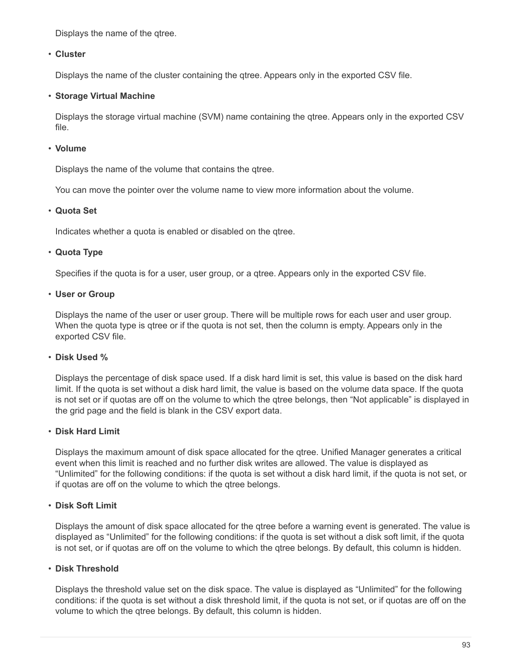Displays the name of the qtree.

## • **Cluster**

Displays the name of the cluster containing the qtree. Appears only in the exported CSV file.

## • **Storage Virtual Machine**

Displays the storage virtual machine (SVM) name containing the qtree. Appears only in the exported CSV file.

## • **Volume**

Displays the name of the volume that contains the qtree.

You can move the pointer over the volume name to view more information about the volume.

## • **Quota Set**

Indicates whether a quota is enabled or disabled on the qtree.

# • **Quota Type**

Specifies if the quota is for a user, user group, or a qtree. Appears only in the exported CSV file.

• **User or Group**

Displays the name of the user or user group. There will be multiple rows for each user and user group. When the quota type is qtree or if the quota is not set, then the column is empty. Appears only in the exported CSV file.

# • **Disk Used %**

Displays the percentage of disk space used. If a disk hard limit is set, this value is based on the disk hard limit. If the quota is set without a disk hard limit, the value is based on the volume data space. If the quota is not set or if quotas are off on the volume to which the qtree belongs, then "Not applicable" is displayed in the grid page and the field is blank in the CSV export data.

# • **Disk Hard Limit**

Displays the maximum amount of disk space allocated for the qtree. Unified Manager generates a critical event when this limit is reached and no further disk writes are allowed. The value is displayed as "Unlimited" for the following conditions: if the quota is set without a disk hard limit, if the quota is not set, or if quotas are off on the volume to which the qtree belongs.

# • **Disk Soft Limit**

Displays the amount of disk space allocated for the gtree before a warning event is generated. The value is displayed as "Unlimited" for the following conditions: if the quota is set without a disk soft limit, if the quota is not set, or if quotas are off on the volume to which the qtree belongs. By default, this column is hidden.

#### • **Disk Threshold**

Displays the threshold value set on the disk space. The value is displayed as "Unlimited" for the following conditions: if the quota is set without a disk threshold limit, if the quota is not set, or if quotas are off on the volume to which the qtree belongs. By default, this column is hidden.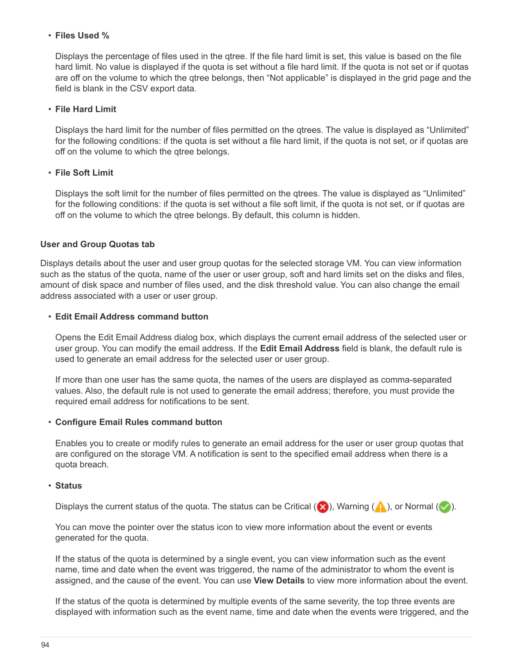## • **Files Used %**

Displays the percentage of files used in the qtree. If the file hard limit is set, this value is based on the file hard limit. No value is displayed if the quota is set without a file hard limit. If the quota is not set or if quotas are off on the volume to which the qtree belongs, then "Not applicable" is displayed in the grid page and the field is blank in the CSV export data.

#### • **File Hard Limit**

Displays the hard limit for the number of files permitted on the qtrees. The value is displayed as "Unlimited" for the following conditions: if the quota is set without a file hard limit, if the quota is not set, or if quotas are off on the volume to which the qtree belongs.

## • **File Soft Limit**

Displays the soft limit for the number of files permitted on the qtrees. The value is displayed as "Unlimited" for the following conditions: if the quota is set without a file soft limit, if the quota is not set, or if quotas are off on the volume to which the qtree belongs. By default, this column is hidden.

## **User and Group Quotas tab**

Displays details about the user and user group quotas for the selected storage VM. You can view information such as the status of the quota, name of the user or user group, soft and hard limits set on the disks and files, amount of disk space and number of files used, and the disk threshold value. You can also change the email address associated with a user or user group.

## • **Edit Email Address command button**

Opens the Edit Email Address dialog box, which displays the current email address of the selected user or user group. You can modify the email address. If the **Edit Email Address** field is blank, the default rule is used to generate an email address for the selected user or user group.

If more than one user has the same quota, the names of the users are displayed as comma-separated values. Also, the default rule is not used to generate the email address; therefore, you must provide the required email address for notifications to be sent.

#### • **Configure Email Rules command button**

Enables you to create or modify rules to generate an email address for the user or user group quotas that are configured on the storage VM. A notification is sent to the specified email address when there is a quota breach.

#### • **Status**

Displays the current status of the quota. The status can be Critical ( $\blacktriangleright$ ), Warning ( $\blacktriangle$ ), or Normal ( $\blacktriangleright$ ).

You can move the pointer over the status icon to view more information about the event or events generated for the quota.

If the status of the quota is determined by a single event, you can view information such as the event name, time and date when the event was triggered, the name of the administrator to whom the event is assigned, and the cause of the event. You can use **View Details** to view more information about the event.

If the status of the quota is determined by multiple events of the same severity, the top three events are displayed with information such as the event name, time and date when the events were triggered, and the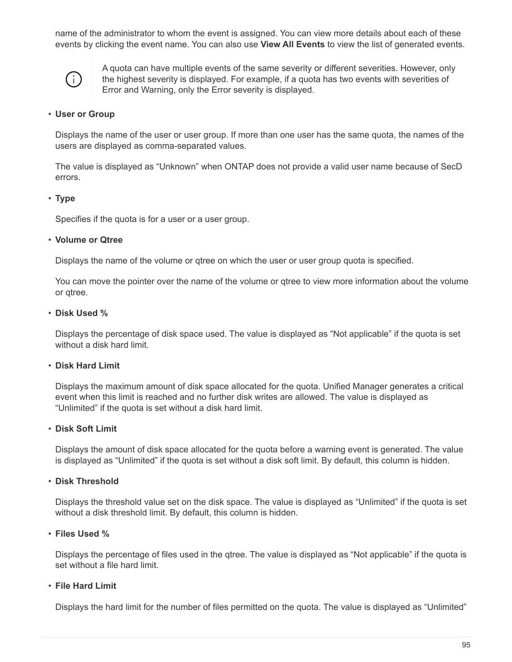name of the administrator to whom the event is assigned. You can view more details about each of these events by clicking the event name. You can also use **View All Events** to view the list of generated events.



A quota can have multiple events of the same severity or different severities. However, only the highest severity is displayed. For example, if a quota has two events with severities of Error and Warning, only the Error severity is displayed.

#### • **User or Group**

Displays the name of the user or user group. If more than one user has the same quota, the names of the users are displayed as comma-separated values.

The value is displayed as "Unknown" when ONTAP does not provide a valid user name because of SecD errors.

#### • **Type**

Specifies if the quota is for a user or a user group.

#### • **Volume or Qtree**

Displays the name of the volume or qtree on which the user or user group quota is specified.

You can move the pointer over the name of the volume or qtree to view more information about the volume or qtree.

#### • **Disk Used %**

Displays the percentage of disk space used. The value is displayed as "Not applicable" if the quota is set without a disk hard limit.

#### • **Disk Hard Limit**

Displays the maximum amount of disk space allocated for the quota. Unified Manager generates a critical event when this limit is reached and no further disk writes are allowed. The value is displayed as "Unlimited" if the quota is set without a disk hard limit.

#### • **Disk Soft Limit**

Displays the amount of disk space allocated for the quota before a warning event is generated. The value is displayed as "Unlimited" if the quota is set without a disk soft limit. By default, this column is hidden.

#### • **Disk Threshold**

Displays the threshold value set on the disk space. The value is displayed as "Unlimited" if the quota is set without a disk threshold limit. By default, this column is hidden.

#### • **Files Used %**

Displays the percentage of files used in the qtree. The value is displayed as "Not applicable" if the quota is set without a file hard limit.

#### • **File Hard Limit**

Displays the hard limit for the number of files permitted on the quota. The value is displayed as "Unlimited"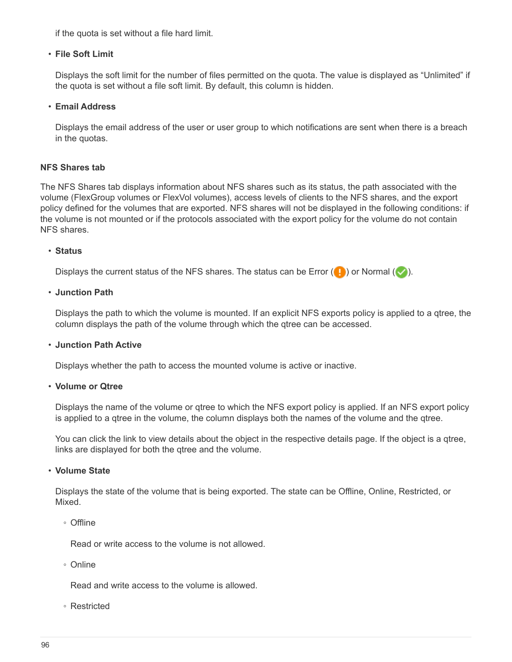if the quota is set without a file hard limit.

#### • **File Soft Limit**

Displays the soft limit for the number of files permitted on the quota. The value is displayed as "Unlimited" if the quota is set without a file soft limit. By default, this column is hidden.

#### • **Email Address**

Displays the email address of the user or user group to which notifications are sent when there is a breach in the quotas.

#### **NFS Shares tab**

The NFS Shares tab displays information about NFS shares such as its status, the path associated with the volume (FlexGroup volumes or FlexVol volumes), access levels of clients to the NFS shares, and the export policy defined for the volumes that are exported. NFS shares will not be displayed in the following conditions: if the volume is not mounted or if the protocols associated with the export policy for the volume do not contain NFS shares.

#### • **Status**

Displays the current status of the NFS shares. The status can be Error  $(\Box)$  or Normal  $(\Box)$ .

#### • **Junction Path**

Displays the path to which the volume is mounted. If an explicit NFS exports policy is applied to a qtree, the column displays the path of the volume through which the qtree can be accessed.

#### • **Junction Path Active**

Displays whether the path to access the mounted volume is active or inactive.

#### • **Volume or Qtree**

Displays the name of the volume or qtree to which the NFS export policy is applied. If an NFS export policy is applied to a qtree in the volume, the column displays both the names of the volume and the qtree.

You can click the link to view details about the object in the respective details page. If the object is a gtree, links are displayed for both the qtree and the volume.

#### • **Volume State**

Displays the state of the volume that is being exported. The state can be Offline, Online, Restricted, or Mixed.

◦ Offline

Read or write access to the volume is not allowed.

◦ Online

Read and write access to the volume is allowed.

◦ Restricted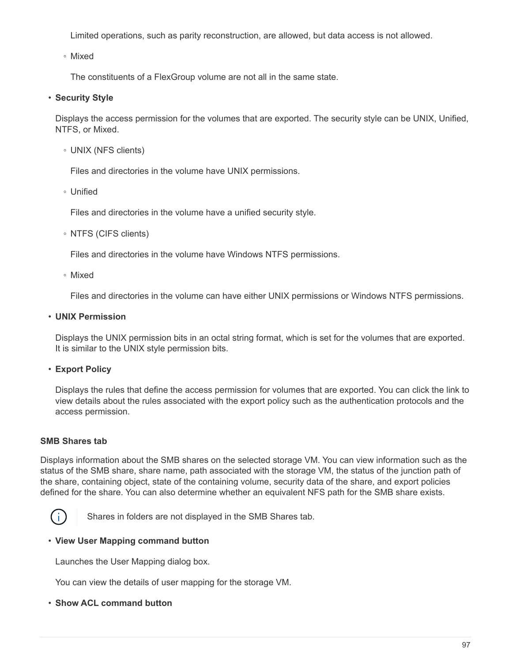Limited operations, such as parity reconstruction, are allowed, but data access is not allowed.

◦ Mixed

The constituents of a FlexGroup volume are not all in the same state.

# • **Security Style**

Displays the access permission for the volumes that are exported. The security style can be UNIX, Unified, NTFS, or Mixed.

◦ UNIX (NFS clients)

Files and directories in the volume have UNIX permissions.

◦ Unified

Files and directories in the volume have a unified security style.

◦ NTFS (CIFS clients)

Files and directories in the volume have Windows NTFS permissions.

◦ Mixed

Files and directories in the volume can have either UNIX permissions or Windows NTFS permissions.

• **UNIX Permission**

Displays the UNIX permission bits in an octal string format, which is set for the volumes that are exported. It is similar to the UNIX style permission bits.

# • **Export Policy**

Displays the rules that define the access permission for volumes that are exported. You can click the link to view details about the rules associated with the export policy such as the authentication protocols and the access permission.

# **SMB Shares tab**

Displays information about the SMB shares on the selected storage VM. You can view information such as the status of the SMB share, share name, path associated with the storage VM, the status of the junction path of the share, containing object, state of the containing volume, security data of the share, and export policies defined for the share. You can also determine whether an equivalent NFS path for the SMB share exists.



Shares in folders are not displayed in the SMB Shares tab.

# • **View User Mapping command button**

Launches the User Mapping dialog box.

You can view the details of user mapping for the storage VM.

# • **Show ACL command button**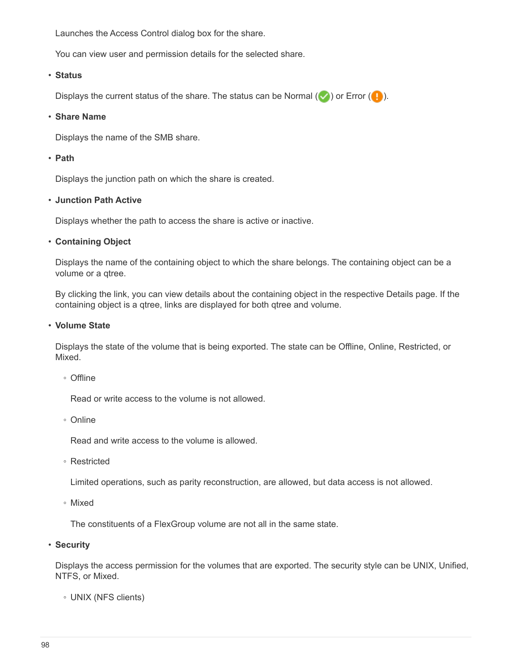Launches the Access Control dialog box for the share.

You can view user and permission details for the selected share.

#### • **Status**

Displays the current status of the share. The status can be Normal  $(\vee)$  or Error  $(\bullet)$ .

#### • **Share Name**

Displays the name of the SMB share.

## • **Path**

Displays the junction path on which the share is created.

## • **Junction Path Active**

Displays whether the path to access the share is active or inactive.

## • **Containing Object**

Displays the name of the containing object to which the share belongs. The containing object can be a volume or a qtree.

By clicking the link, you can view details about the containing object in the respective Details page. If the containing object is a qtree, links are displayed for both qtree and volume.

#### • **Volume State**

Displays the state of the volume that is being exported. The state can be Offline, Online, Restricted, or Mixed.

◦ Offline

Read or write access to the volume is not allowed.

◦ Online

Read and write access to the volume is allowed.

◦ Restricted

Limited operations, such as parity reconstruction, are allowed, but data access is not allowed.

◦ Mixed

The constituents of a FlexGroup volume are not all in the same state.

• **Security**

Displays the access permission for the volumes that are exported. The security style can be UNIX, Unified, NTFS, or Mixed.

◦ UNIX (NFS clients)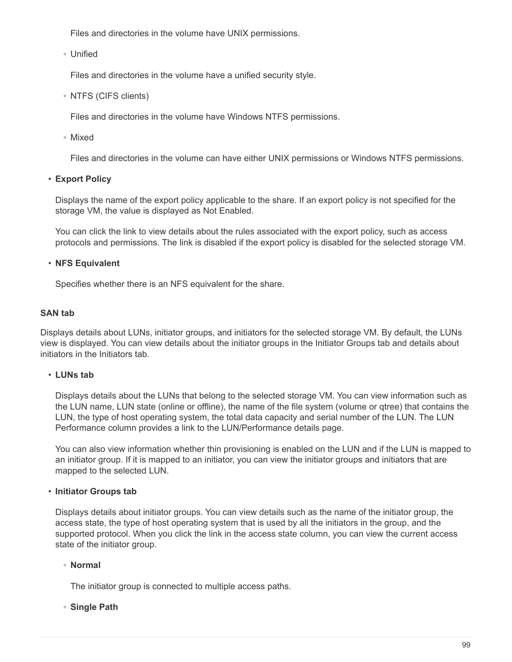Files and directories in the volume have UNIX permissions.

◦ Unified

Files and directories in the volume have a unified security style.

◦ NTFS (CIFS clients)

Files and directories in the volume have Windows NTFS permissions.

◦ Mixed

Files and directories in the volume can have either UNIX permissions or Windows NTFS permissions.

• **Export Policy**

Displays the name of the export policy applicable to the share. If an export policy is not specified for the storage VM, the value is displayed as Not Enabled.

You can click the link to view details about the rules associated with the export policy, such as access protocols and permissions. The link is disabled if the export policy is disabled for the selected storage VM.

# • **NFS Equivalent**

Specifies whether there is an NFS equivalent for the share.

## **SAN tab**

Displays details about LUNs, initiator groups, and initiators for the selected storage VM. By default, the LUNs view is displayed. You can view details about the initiator groups in the Initiator Groups tab and details about initiators in the Initiators tab.

#### • **LUNs tab**

Displays details about the LUNs that belong to the selected storage VM. You can view information such as the LUN name, LUN state (online or offline), the name of the file system (volume or qtree) that contains the LUN, the type of host operating system, the total data capacity and serial number of the LUN. The LUN Performance column provides a link to the LUN/Performance details page.

You can also view information whether thin provisioning is enabled on the LUN and if the LUN is mapped to an initiator group. If it is mapped to an initiator, you can view the initiator groups and initiators that are mapped to the selected LUN.

# • **Initiator Groups tab**

Displays details about initiator groups. You can view details such as the name of the initiator group, the access state, the type of host operating system that is used by all the initiators in the group, and the supported protocol. When you click the link in the access state column, you can view the current access state of the initiator group.

# ◦ **Normal**

The initiator group is connected to multiple access paths.

# ◦ **Single Path**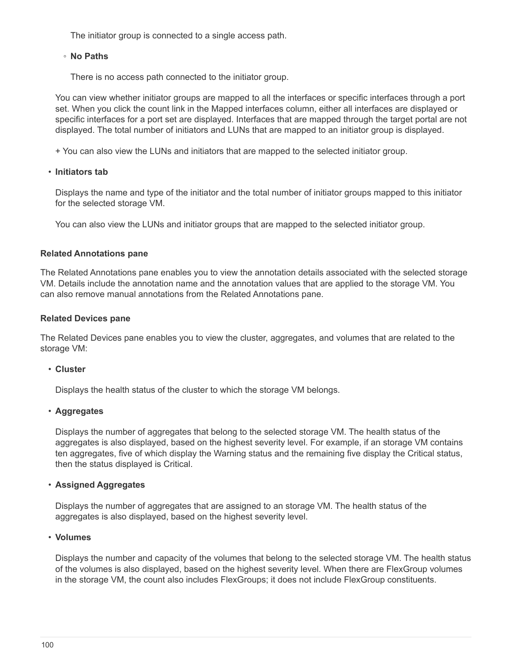The initiator group is connected to a single access path.

## ◦ **No Paths**

There is no access path connected to the initiator group.

You can view whether initiator groups are mapped to all the interfaces or specific interfaces through a port set. When you click the count link in the Mapped interfaces column, either all interfaces are displayed or specific interfaces for a port set are displayed. Interfaces that are mapped through the target portal are not displayed. The total number of initiators and LUNs that are mapped to an initiator group is displayed.

+ You can also view the LUNs and initiators that are mapped to the selected initiator group.

# • **Initiators tab**

Displays the name and type of the initiator and the total number of initiator groups mapped to this initiator for the selected storage VM.

You can also view the LUNs and initiator groups that are mapped to the selected initiator group.

# **Related Annotations pane**

The Related Annotations pane enables you to view the annotation details associated with the selected storage VM. Details include the annotation name and the annotation values that are applied to the storage VM. You can also remove manual annotations from the Related Annotations pane.

## **Related Devices pane**

The Related Devices pane enables you to view the cluster, aggregates, and volumes that are related to the storage VM:

#### • **Cluster**

Displays the health status of the cluster to which the storage VM belongs.

# • **Aggregates**

Displays the number of aggregates that belong to the selected storage VM. The health status of the aggregates is also displayed, based on the highest severity level. For example, if an storage VM contains ten aggregates, five of which display the Warning status and the remaining five display the Critical status, then the status displayed is Critical.

# • **Assigned Aggregates**

Displays the number of aggregates that are assigned to an storage VM. The health status of the aggregates is also displayed, based on the highest severity level.

#### • **Volumes**

Displays the number and capacity of the volumes that belong to the selected storage VM. The health status of the volumes is also displayed, based on the highest severity level. When there are FlexGroup volumes in the storage VM, the count also includes FlexGroups; it does not include FlexGroup constituents.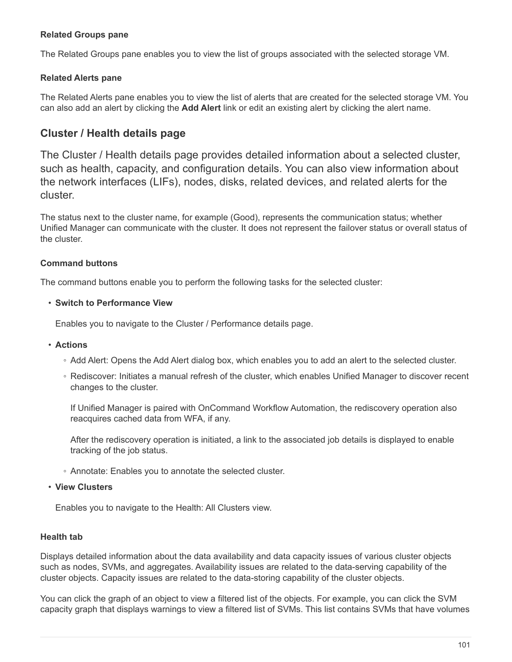# **Related Groups pane**

The Related Groups pane enables you to view the list of groups associated with the selected storage VM.

## **Related Alerts pane**

The Related Alerts pane enables you to view the list of alerts that are created for the selected storage VM. You can also add an alert by clicking the **Add Alert** link or edit an existing alert by clicking the alert name.

# **Cluster / Health details page**

The Cluster / Health details page provides detailed information about a selected cluster, such as health, capacity, and configuration details. You can also view information about the network interfaces (LIFs), nodes, disks, related devices, and related alerts for the cluster.

The status next to the cluster name, for example (Good), represents the communication status; whether Unified Manager can communicate with the cluster. It does not represent the failover status or overall status of the cluster.

## **Command buttons**

The command buttons enable you to perform the following tasks for the selected cluster:

#### • **Switch to Performance View**

Enables you to navigate to the Cluster / Performance details page.

- **Actions**
	- Add Alert: Opens the Add Alert dialog box, which enables you to add an alert to the selected cluster.
	- Rediscover: Initiates a manual refresh of the cluster, which enables Unified Manager to discover recent changes to the cluster.

If Unified Manager is paired with OnCommand Workflow Automation, the rediscovery operation also reacquires cached data from WFA, if any.

After the rediscovery operation is initiated, a link to the associated job details is displayed to enable tracking of the job status.

- Annotate: Enables you to annotate the selected cluster.
- **View Clusters**

Enables you to navigate to the Health: All Clusters view.

#### **Health tab**

Displays detailed information about the data availability and data capacity issues of various cluster objects such as nodes, SVMs, and aggregates. Availability issues are related to the data-serving capability of the cluster objects. Capacity issues are related to the data-storing capability of the cluster objects.

You can click the graph of an object to view a filtered list of the objects. For example, you can click the SVM capacity graph that displays warnings to view a filtered list of SVMs. This list contains SVMs that have volumes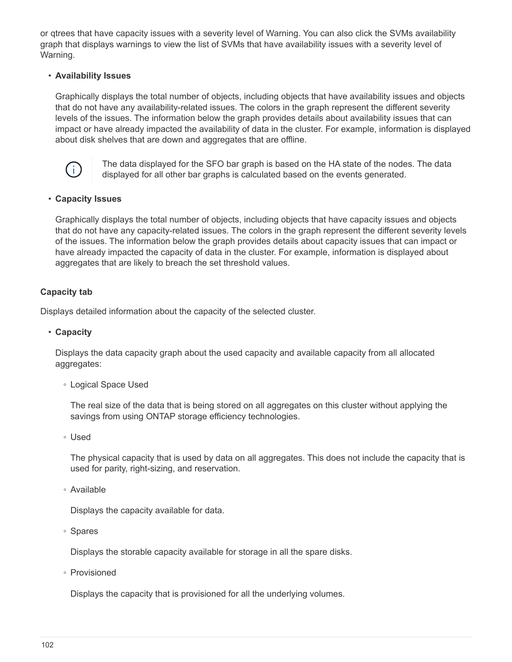or qtrees that have capacity issues with a severity level of Warning. You can also click the SVMs availability graph that displays warnings to view the list of SVMs that have availability issues with a severity level of Warning.

## • **Availability Issues**

Graphically displays the total number of objects, including objects that have availability issues and objects that do not have any availability-related issues. The colors in the graph represent the different severity levels of the issues. The information below the graph provides details about availability issues that can impact or have already impacted the availability of data in the cluster. For example, information is displayed about disk shelves that are down and aggregates that are offline.



The data displayed for the SFO bar graph is based on the HA state of the nodes. The data displayed for all other bar graphs is calculated based on the events generated.

#### • **Capacity Issues**

Graphically displays the total number of objects, including objects that have capacity issues and objects that do not have any capacity-related issues. The colors in the graph represent the different severity levels of the issues. The information below the graph provides details about capacity issues that can impact or have already impacted the capacity of data in the cluster. For example, information is displayed about aggregates that are likely to breach the set threshold values.

# **Capacity tab**

Displays detailed information about the capacity of the selected cluster.

#### • **Capacity**

Displays the data capacity graph about the used capacity and available capacity from all allocated aggregates:

◦ Logical Space Used

The real size of the data that is being stored on all aggregates on this cluster without applying the savings from using ONTAP storage efficiency technologies.

◦ Used

The physical capacity that is used by data on all aggregates. This does not include the capacity that is used for parity, right-sizing, and reservation.

◦ Available

Displays the capacity available for data.

◦ Spares

Displays the storable capacity available for storage in all the spare disks.

◦ Provisioned

Displays the capacity that is provisioned for all the underlying volumes.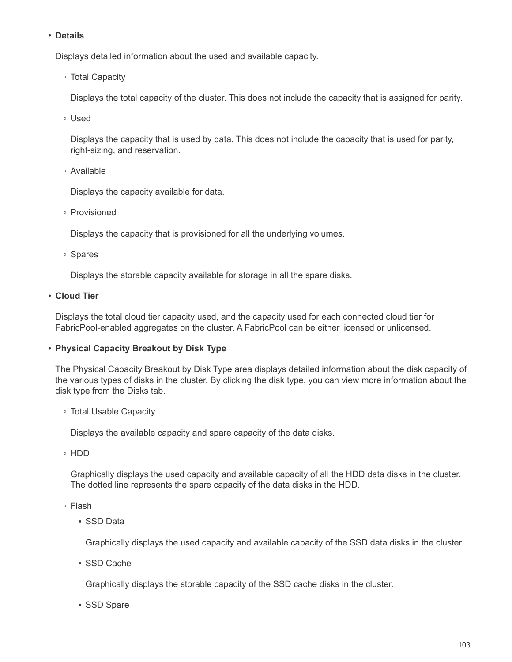## • **Details**

Displays detailed information about the used and available capacity.

◦ Total Capacity

Displays the total capacity of the cluster. This does not include the capacity that is assigned for parity.

◦ Used

Displays the capacity that is used by data. This does not include the capacity that is used for parity, right-sizing, and reservation.

◦ Available

Displays the capacity available for data.

◦ Provisioned

Displays the capacity that is provisioned for all the underlying volumes.

◦ Spares

Displays the storable capacity available for storage in all the spare disks.

• **Cloud Tier**

Displays the total cloud tier capacity used, and the capacity used for each connected cloud tier for FabricPool-enabled aggregates on the cluster. A FabricPool can be either licensed or unlicensed.

# • **Physical Capacity Breakout by Disk Type**

The Physical Capacity Breakout by Disk Type area displays detailed information about the disk capacity of the various types of disks in the cluster. By clicking the disk type, you can view more information about the disk type from the Disks tab.

◦ Total Usable Capacity

Displays the available capacity and spare capacity of the data disks.

◦ HDD

Graphically displays the used capacity and available capacity of all the HDD data disks in the cluster. The dotted line represents the spare capacity of the data disks in the HDD.

- Flash
	- SSD Data

Graphically displays the used capacity and available capacity of the SSD data disks in the cluster.

▪ SSD Cache

Graphically displays the storable capacity of the SSD cache disks in the cluster.

▪ SSD Spare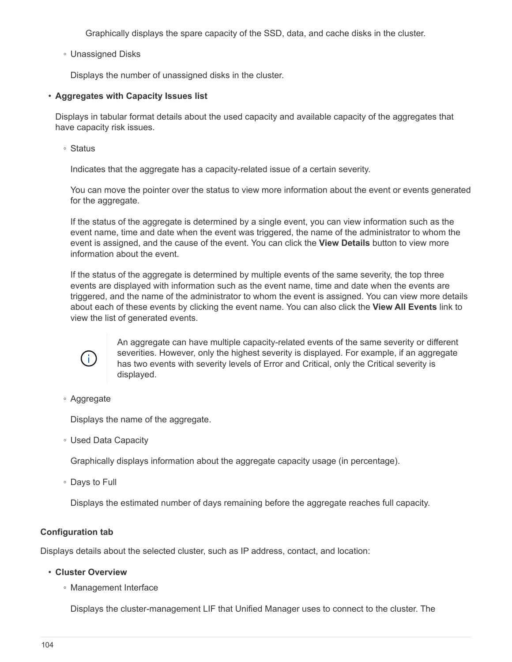Graphically displays the spare capacity of the SSD, data, and cache disks in the cluster.

◦ Unassigned Disks

Displays the number of unassigned disks in the cluster.

#### • **Aggregates with Capacity Issues list**

Displays in tabular format details about the used capacity and available capacity of the aggregates that have capacity risk issues.

◦ Status

Indicates that the aggregate has a capacity-related issue of a certain severity.

You can move the pointer over the status to view more information about the event or events generated for the aggregate.

If the status of the aggregate is determined by a single event, you can view information such as the event name, time and date when the event was triggered, the name of the administrator to whom the event is assigned, and the cause of the event. You can click the **View Details** button to view more information about the event.

If the status of the aggregate is determined by multiple events of the same severity, the top three events are displayed with information such as the event name, time and date when the events are triggered, and the name of the administrator to whom the event is assigned. You can view more details about each of these events by clicking the event name. You can also click the **View All Events** link to view the list of generated events.



An aggregate can have multiple capacity-related events of the same severity or different severities. However, only the highest severity is displayed. For example, if an aggregate has two events with severity levels of Error and Critical, only the Critical severity is displayed.

◦ Aggregate

Displays the name of the aggregate.

◦ Used Data Capacity

Graphically displays information about the aggregate capacity usage (in percentage).

◦ Days to Full

Displays the estimated number of days remaining before the aggregate reaches full capacity.

#### **Configuration tab**

Displays details about the selected cluster, such as IP address, contact, and location:

- **Cluster Overview**
	- Management Interface

Displays the cluster-management LIF that Unified Manager uses to connect to the cluster. The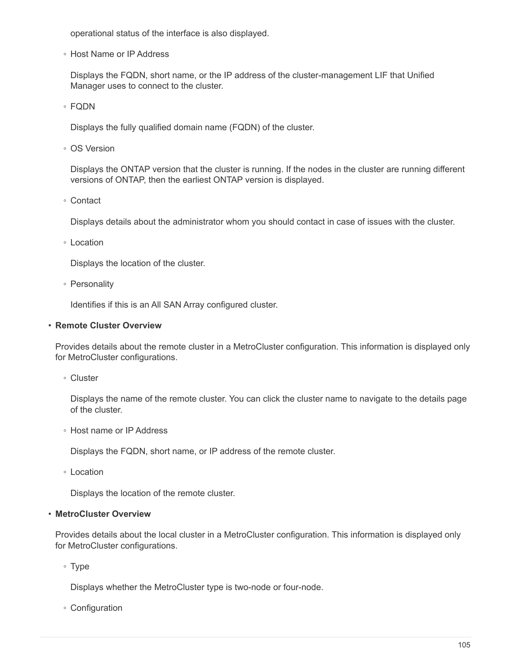operational status of the interface is also displayed.

◦ Host Name or IP Address

Displays the FQDN, short name, or the IP address of the cluster-management LIF that Unified Manager uses to connect to the cluster.

◦ FQDN

Displays the fully qualified domain name (FQDN) of the cluster.

◦ OS Version

Displays the ONTAP version that the cluster is running. If the nodes in the cluster are running different versions of ONTAP, then the earliest ONTAP version is displayed.

◦ Contact

Displays details about the administrator whom you should contact in case of issues with the cluster.

◦ Location

Displays the location of the cluster.

◦ Personality

Identifies if this is an All SAN Array configured cluster.

#### • **Remote Cluster Overview**

Provides details about the remote cluster in a MetroCluster configuration. This information is displayed only for MetroCluster configurations.

◦ Cluster

Displays the name of the remote cluster. You can click the cluster name to navigate to the details page of the cluster.

◦ Host name or IP Address

Displays the FQDN, short name, or IP address of the remote cluster.

◦ Location

Displays the location of the remote cluster.

#### • **MetroCluster Overview**

Provides details about the local cluster in a MetroCluster configuration. This information is displayed only for MetroCluster configurations.

◦ Type

Displays whether the MetroCluster type is two-node or four-node.

◦ Configuration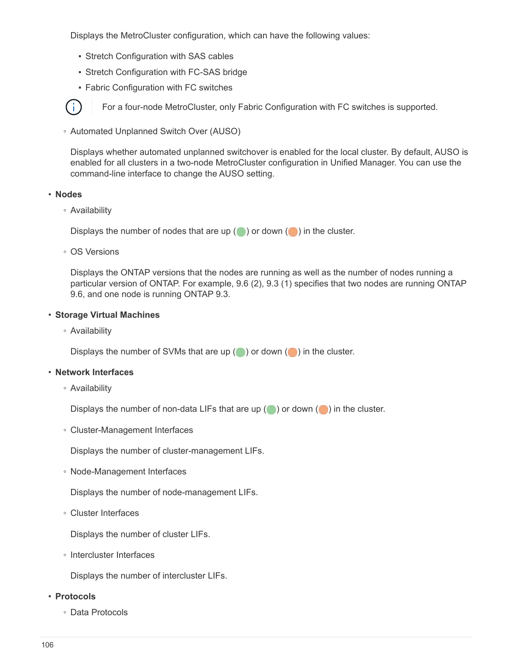Displays the MetroCluster configuration, which can have the following values:

- **Stretch Configuration with SAS cables**
- **Stretch Configuration with FC-SAS bridge**
- **Fabric Configuration with FC switches**

For a four-node MetroCluster, only Fabric Configuration with FC switches is supported.

◦ Automated Unplanned Switch Over (AUSO)

Displays whether automated unplanned switchover is enabled for the local cluster. By default, AUSO is enabled for all clusters in a two-node MetroCluster configuration in Unified Manager. You can use the command-line interface to change the AUSO setting.

#### • **Nodes**

 $\mathbf{d}$ 

◦ Availability

Displays the number of nodes that are up  $(\bullet)$  or down  $(\bullet)$  in the cluster.

◦ OS Versions

Displays the ONTAP versions that the nodes are running as well as the number of nodes running a particular version of ONTAP. For example, 9.6 (2), 9.3 (1) specifies that two nodes are running ONTAP 9.6, and one node is running ONTAP 9.3.

#### • **Storage Virtual Machines**

◦ Availability

Displays the number of SVMs that are up  $($  ) or down  $($  ) in the cluster.

#### • **Network Interfaces**

◦ Availability

Displays the number of non-data LIFs that are up  $(\bullet)$  or down  $(\bullet)$  in the cluster.

◦ Cluster-Management Interfaces

Displays the number of cluster-management LIFs.

◦ Node-Management Interfaces

Displays the number of node-management LIFs.

◦ Cluster Interfaces

Displays the number of cluster LIFs.

◦ Intercluster Interfaces

Displays the number of intercluster LIFs.

#### • **Protocols**

◦ Data Protocols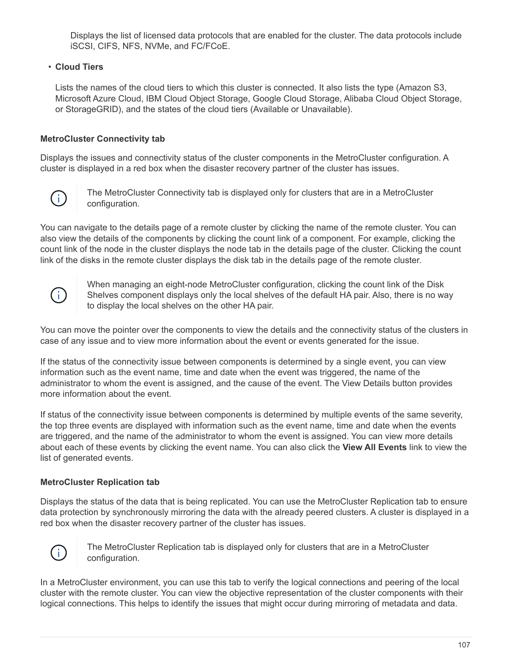Displays the list of licensed data protocols that are enabled for the cluster. The data protocols include iSCSI, CIFS, NFS, NVMe, and FC/FCoE.

# • **Cloud Tiers**

Lists the names of the cloud tiers to which this cluster is connected. It also lists the type (Amazon S3, Microsoft Azure Cloud, IBM Cloud Object Storage, Google Cloud Storage, Alibaba Cloud Object Storage, or StorageGRID), and the states of the cloud tiers (Available or Unavailable).

# **MetroCluster Connectivity tab**

Displays the issues and connectivity status of the cluster components in the MetroCluster configuration. A cluster is displayed in a red box when the disaster recovery partner of the cluster has issues.



The MetroCluster Connectivity tab is displayed only for clusters that are in a MetroCluster configuration.

You can navigate to the details page of a remote cluster by clicking the name of the remote cluster. You can also view the details of the components by clicking the count link of a component. For example, clicking the count link of the node in the cluster displays the node tab in the details page of the cluster. Clicking the count link of the disks in the remote cluster displays the disk tab in the details page of the remote cluster.



When managing an eight-node MetroCluster configuration, clicking the count link of the Disk Shelves component displays only the local shelves of the default HA pair. Also, there is no way to display the local shelves on the other HA pair.

You can move the pointer over the components to view the details and the connectivity status of the clusters in case of any issue and to view more information about the event or events generated for the issue.

If the status of the connectivity issue between components is determined by a single event, you can view information such as the event name, time and date when the event was triggered, the name of the administrator to whom the event is assigned, and the cause of the event. The View Details button provides more information about the event.

If status of the connectivity issue between components is determined by multiple events of the same severity, the top three events are displayed with information such as the event name, time and date when the events are triggered, and the name of the administrator to whom the event is assigned. You can view more details about each of these events by clicking the event name. You can also click the **View All Events** link to view the list of generated events.

# **MetroCluster Replication tab**

Displays the status of the data that is being replicated. You can use the MetroCluster Replication tab to ensure data protection by synchronously mirroring the data with the already peered clusters. A cluster is displayed in a red box when the disaster recovery partner of the cluster has issues.



The MetroCluster Replication tab is displayed only for clusters that are in a MetroCluster configuration.

In a MetroCluster environment, you can use this tab to verify the logical connections and peering of the local cluster with the remote cluster. You can view the objective representation of the cluster components with their logical connections. This helps to identify the issues that might occur during mirroring of metadata and data.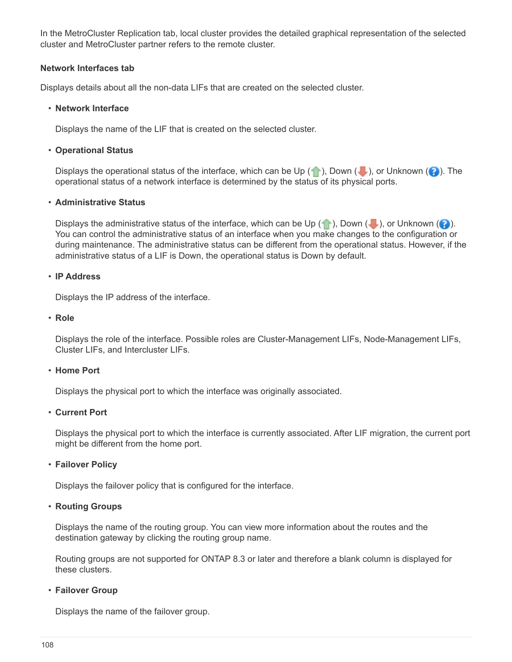In the MetroCluster Replication tab, local cluster provides the detailed graphical representation of the selected cluster and MetroCluster partner refers to the remote cluster.

### **Network Interfaces tab**

Displays details about all the non-data LIFs that are created on the selected cluster.

### • **Network Interface**

Displays the name of the LIF that is created on the selected cluster.

### • **Operational Status**

Displays the operational status of the interface, which can be Up  $(\bullet)$ , Down  $(\bullet)$ , or Unknown  $(\bullet)$ . The operational status of a network interface is determined by the status of its physical ports.

### • **Administrative Status**

Displays the administrative status of the interface, which can be Up ( $\langle \cdot \rangle$ ), Down ( $\langle \cdot \rangle$ ), or Unknown ( $\langle \cdot \rangle$ ). You can control the administrative status of an interface when you make changes to the configuration or during maintenance. The administrative status can be different from the operational status. However, if the administrative status of a LIF is Down, the operational status is Down by default.

### • **IP Address**

Displays the IP address of the interface.

• **Role**

Displays the role of the interface. Possible roles are Cluster-Management LIFs, Node-Management LIFs, Cluster LIFs, and Intercluster LIFs.

# • **Home Port**

Displays the physical port to which the interface was originally associated.

# • **Current Port**

Displays the physical port to which the interface is currently associated. After LIF migration, the current port might be different from the home port.

# • **Failover Policy**

Displays the failover policy that is configured for the interface.

# • **Routing Groups**

Displays the name of the routing group. You can view more information about the routes and the destination gateway by clicking the routing group name.

Routing groups are not supported for ONTAP 8.3 or later and therefore a blank column is displayed for these clusters.

### • **Failover Group**

Displays the name of the failover group.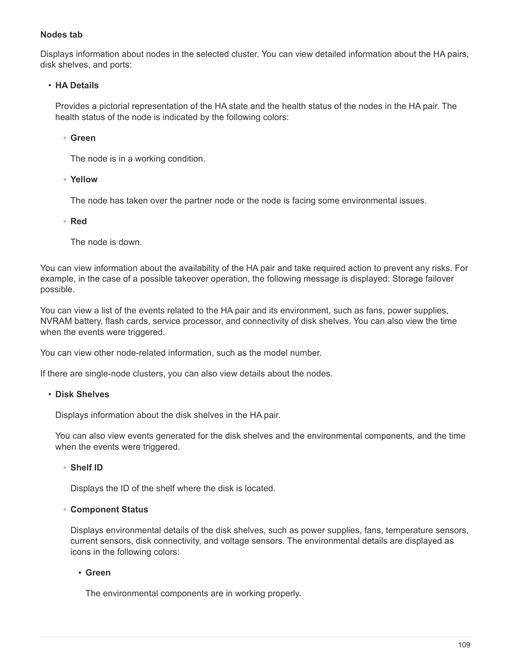## **Nodes tab**

Displays information about nodes in the selected cluster. You can view detailed information about the HA pairs, disk shelves, and ports:

### • **HA Details**

Provides a pictorial representation of the HA state and the health status of the nodes in the HA pair. The health status of the node is indicated by the following colors:

### ◦ **Green**

The node is in a working condition.

### ◦ **Yellow**

The node has taken over the partner node or the node is facing some environmental issues.

### ◦ **Red**

The node is down.

You can view information about the availability of the HA pair and take required action to prevent any risks. For example, in the case of a possible takeover operation, the following message is displayed: Storage failover possible.

You can view a list of the events related to the HA pair and its environment, such as fans, power supplies, NVRAM battery, flash cards, service processor, and connectivity of disk shelves. You can also view the time when the events were triggered.

You can view other node-related information, such as the model number.

If there are single-node clusters, you can also view details about the nodes.

### • **Disk Shelves**

Displays information about the disk shelves in the HA pair.

You can also view events generated for the disk shelves and the environmental components, and the time when the events were triggered.

### ◦ **Shelf ID**

Displays the ID of the shelf where the disk is located.

### ◦ **Component Status**

Displays environmental details of the disk shelves, such as power supplies, fans, temperature sensors, current sensors, disk connectivity, and voltage sensors. The environmental details are displayed as icons in the following colors:

### ▪ **Green**

The environmental components are in working properly.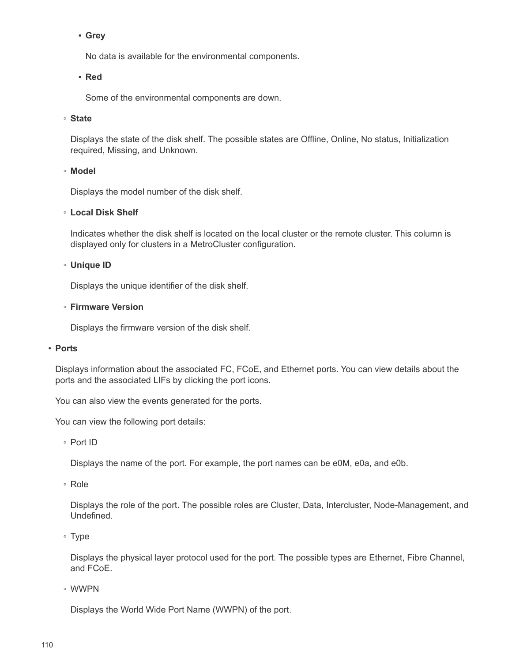# ▪ **Grey**

No data is available for the environmental components.

### ▪ **Red**

Some of the environmental components are down.

### ◦ **State**

Displays the state of the disk shelf. The possible states are Offline, Online, No status, Initialization required, Missing, and Unknown.

### ◦ **Model**

Displays the model number of the disk shelf.

### ◦ **Local Disk Shelf**

Indicates whether the disk shelf is located on the local cluster or the remote cluster. This column is displayed only for clusters in a MetroCluster configuration.

### ◦ **Unique ID**

Displays the unique identifier of the disk shelf.

### ◦ **Firmware Version**

Displays the firmware version of the disk shelf.

### • **Ports**

Displays information about the associated FC, FCoE, and Ethernet ports. You can view details about the ports and the associated LIFs by clicking the port icons.

You can also view the events generated for the ports.

You can view the following port details:

◦ Port ID

Displays the name of the port. For example, the port names can be e0M, e0a, and e0b.

◦ Role

Displays the role of the port. The possible roles are Cluster, Data, Intercluster, Node-Management, and Undefined.

◦ Type

Displays the physical layer protocol used for the port. The possible types are Ethernet, Fibre Channel, and FCoE.

◦ WWPN

Displays the World Wide Port Name (WWPN) of the port.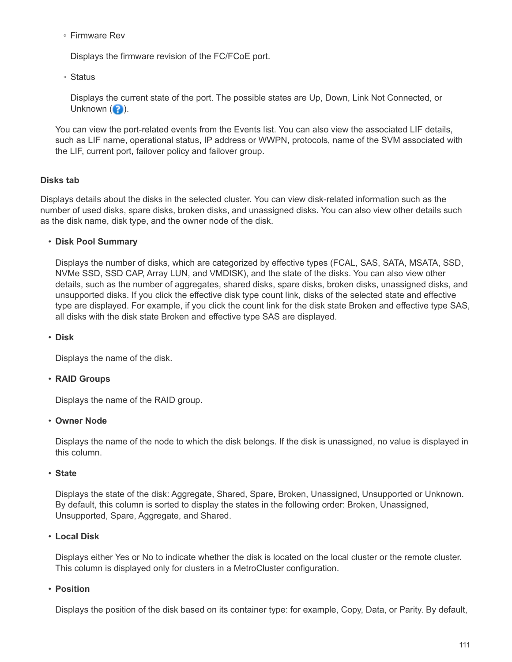◦ Firmware Rev

Displays the firmware revision of the FC/FCoE port.

◦ Status

Displays the current state of the port. The possible states are Up, Down, Link Not Connected, or Unknown  $\left( \bullet \right)$ .

You can view the port-related events from the Events list. You can also view the associated LIF details, such as LIF name, operational status, IP address or WWPN, protocols, name of the SVM associated with the LIF, current port, failover policy and failover group.

# **Disks tab**

Displays details about the disks in the selected cluster. You can view disk-related information such as the number of used disks, spare disks, broken disks, and unassigned disks. You can also view other details such as the disk name, disk type, and the owner node of the disk.

# • **Disk Pool Summary**

Displays the number of disks, which are categorized by effective types (FCAL, SAS, SATA, MSATA, SSD, NVMe SSD, SSD CAP, Array LUN, and VMDISK), and the state of the disks. You can also view other details, such as the number of aggregates, shared disks, spare disks, broken disks, unassigned disks, and unsupported disks. If you click the effective disk type count link, disks of the selected state and effective type are displayed. For example, if you click the count link for the disk state Broken and effective type SAS, all disks with the disk state Broken and effective type SAS are displayed.

### • **Disk**

Displays the name of the disk.

# • **RAID Groups**

Displays the name of the RAID group.

### • **Owner Node**

Displays the name of the node to which the disk belongs. If the disk is unassigned, no value is displayed in this column.

### • **State**

Displays the state of the disk: Aggregate, Shared, Spare, Broken, Unassigned, Unsupported or Unknown. By default, this column is sorted to display the states in the following order: Broken, Unassigned, Unsupported, Spare, Aggregate, and Shared.

# • **Local Disk**

Displays either Yes or No to indicate whether the disk is located on the local cluster or the remote cluster. This column is displayed only for clusters in a MetroCluster configuration.

### • **Position**

Displays the position of the disk based on its container type: for example, Copy, Data, or Parity. By default,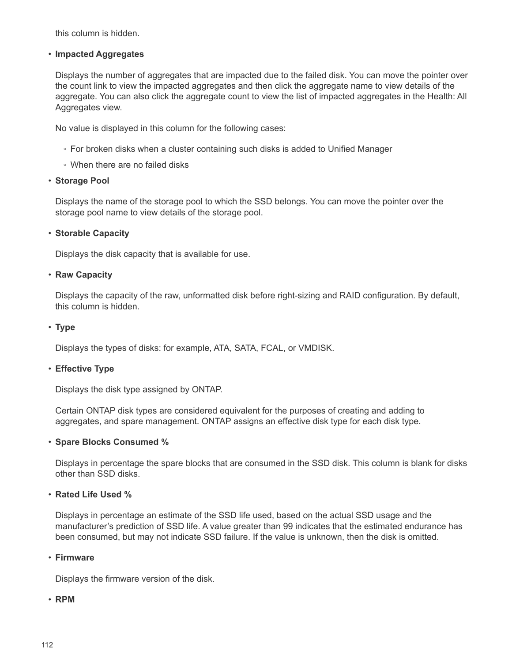this column is hidden.

### • **Impacted Aggregates**

Displays the number of aggregates that are impacted due to the failed disk. You can move the pointer over the count link to view the impacted aggregates and then click the aggregate name to view details of the aggregate. You can also click the aggregate count to view the list of impacted aggregates in the Health: All Aggregates view.

No value is displayed in this column for the following cases:

- For broken disks when a cluster containing such disks is added to Unified Manager
- When there are no failed disks

#### • **Storage Pool**

Displays the name of the storage pool to which the SSD belongs. You can move the pointer over the storage pool name to view details of the storage pool.

#### • **Storable Capacity**

Displays the disk capacity that is available for use.

#### • **Raw Capacity**

Displays the capacity of the raw, unformatted disk before right-sizing and RAID configuration. By default, this column is hidden.

#### • **Type**

Displays the types of disks: for example, ATA, SATA, FCAL, or VMDISK.

### • **Effective Type**

Displays the disk type assigned by ONTAP.

Certain ONTAP disk types are considered equivalent for the purposes of creating and adding to aggregates, and spare management. ONTAP assigns an effective disk type for each disk type.

#### • **Spare Blocks Consumed %**

Displays in percentage the spare blocks that are consumed in the SSD disk. This column is blank for disks other than SSD disks.

### • **Rated Life Used %**

Displays in percentage an estimate of the SSD life used, based on the actual SSD usage and the manufacturer's prediction of SSD life. A value greater than 99 indicates that the estimated endurance has been consumed, but may not indicate SSD failure. If the value is unknown, then the disk is omitted.

#### • **Firmware**

Displays the firmware version of the disk.

### • **RPM**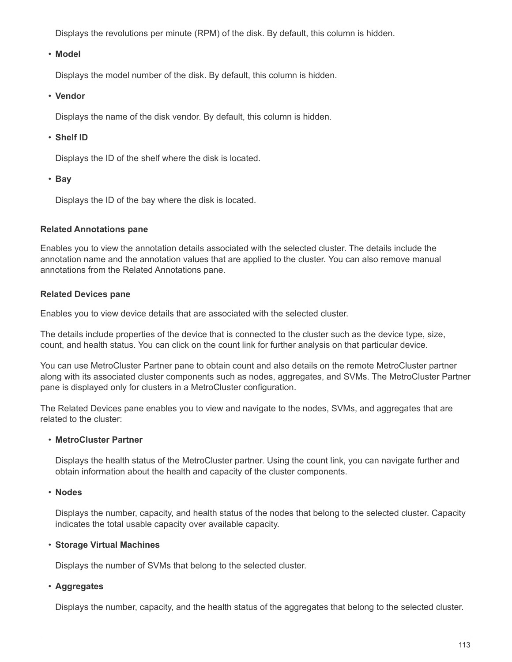Displays the revolutions per minute (RPM) of the disk. By default, this column is hidden.

## • **Model**

Displays the model number of the disk. By default, this column is hidden.

• **Vendor**

Displays the name of the disk vendor. By default, this column is hidden.

# • **Shelf ID**

Displays the ID of the shelf where the disk is located.

• **Bay**

Displays the ID of the bay where the disk is located.

### **Related Annotations pane**

Enables you to view the annotation details associated with the selected cluster. The details include the annotation name and the annotation values that are applied to the cluster. You can also remove manual annotations from the Related Annotations pane.

# **Related Devices pane**

Enables you to view device details that are associated with the selected cluster.

The details include properties of the device that is connected to the cluster such as the device type, size, count, and health status. You can click on the count link for further analysis on that particular device.

You can use MetroCluster Partner pane to obtain count and also details on the remote MetroCluster partner along with its associated cluster components such as nodes, aggregates, and SVMs. The MetroCluster Partner pane is displayed only for clusters in a MetroCluster configuration.

The Related Devices pane enables you to view and navigate to the nodes, SVMs, and aggregates that are related to the cluster:

### • **MetroCluster Partner**

Displays the health status of the MetroCluster partner. Using the count link, you can navigate further and obtain information about the health and capacity of the cluster components.

### • **Nodes**

Displays the number, capacity, and health status of the nodes that belong to the selected cluster. Capacity indicates the total usable capacity over available capacity.

# • **Storage Virtual Machines**

Displays the number of SVMs that belong to the selected cluster.

# • **Aggregates**

Displays the number, capacity, and the health status of the aggregates that belong to the selected cluster.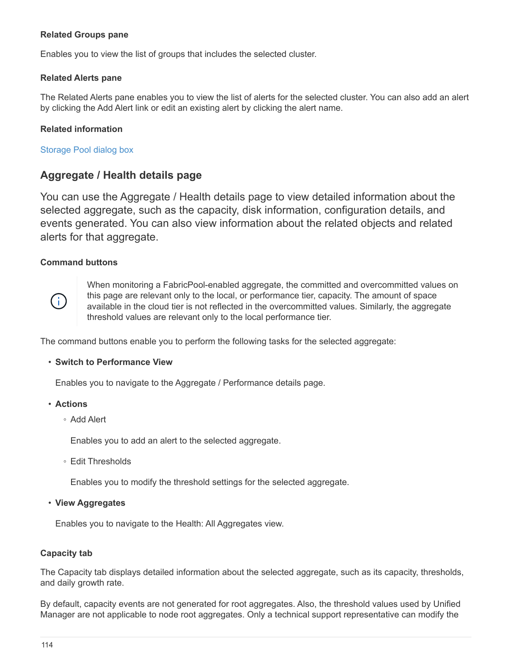# **Related Groups pane**

Enables you to view the list of groups that includes the selected cluster.

### **Related Alerts pane**

The Related Alerts pane enables you to view the list of alerts for the selected cluster. You can also add an alert by clicking the Add Alert link or edit an existing alert by clicking the alert name.

### **Related information**

Storage Pool dialog box

# **Aggregate / Health details page**

You can use the Aggregate / Health details page to view detailed information about the selected aggregate, such as the capacity, disk information, configuration details, and events generated. You can also view information about the related objects and related alerts for that aggregate.

### **Command buttons**



When monitoring a FabricPool-enabled aggregate, the committed and overcommitted values on this page are relevant only to the local, or performance tier, capacity. The amount of space available in the cloud tier is not reflected in the overcommitted values. Similarly, the aggregate threshold values are relevant only to the local performance tier.

The command buttons enable you to perform the following tasks for the selected aggregate:

#### • **Switch to Performance View**

Enables you to navigate to the Aggregate / Performance details page.

- **Actions**
	- Add Alert

Enables you to add an alert to the selected aggregate.

◦ Edit Thresholds

Enables you to modify the threshold settings for the selected aggregate.

• **View Aggregates**

Enables you to navigate to the Health: All Aggregates view.

### **Capacity tab**

The Capacity tab displays detailed information about the selected aggregate, such as its capacity, thresholds, and daily growth rate.

By default, capacity events are not generated for root aggregates. Also, the threshold values used by Unified Manager are not applicable to node root aggregates. Only a technical support representative can modify the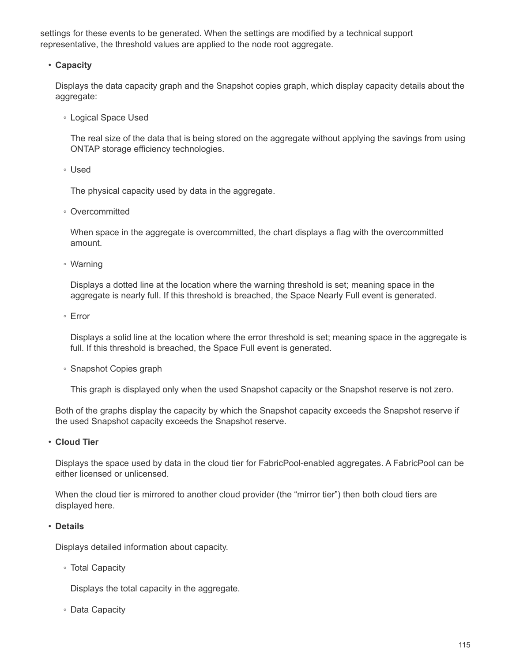settings for these events to be generated. When the settings are modified by a technical support representative, the threshold values are applied to the node root aggregate.

### • **Capacity**

Displays the data capacity graph and the Snapshot copies graph, which display capacity details about the aggregate:

◦ Logical Space Used

The real size of the data that is being stored on the aggregate without applying the savings from using ONTAP storage efficiency technologies.

◦ Used

The physical capacity used by data in the aggregate.

◦ Overcommitted

When space in the aggregate is overcommitted, the chart displays a flag with the overcommitted amount.

◦ Warning

Displays a dotted line at the location where the warning threshold is set; meaning space in the aggregate is nearly full. If this threshold is breached, the Space Nearly Full event is generated.

◦ Error

Displays a solid line at the location where the error threshold is set; meaning space in the aggregate is full. If this threshold is breached, the Space Full event is generated.

◦ Snapshot Copies graph

This graph is displayed only when the used Snapshot capacity or the Snapshot reserve is not zero.

Both of the graphs display the capacity by which the Snapshot capacity exceeds the Snapshot reserve if the used Snapshot capacity exceeds the Snapshot reserve.

• **Cloud Tier**

Displays the space used by data in the cloud tier for FabricPool-enabled aggregates. A FabricPool can be either licensed or unlicensed.

When the cloud tier is mirrored to another cloud provider (the "mirror tier") then both cloud tiers are displayed here.

### • **Details**

Displays detailed information about capacity.

◦ Total Capacity

Displays the total capacity in the aggregate.

◦ Data Capacity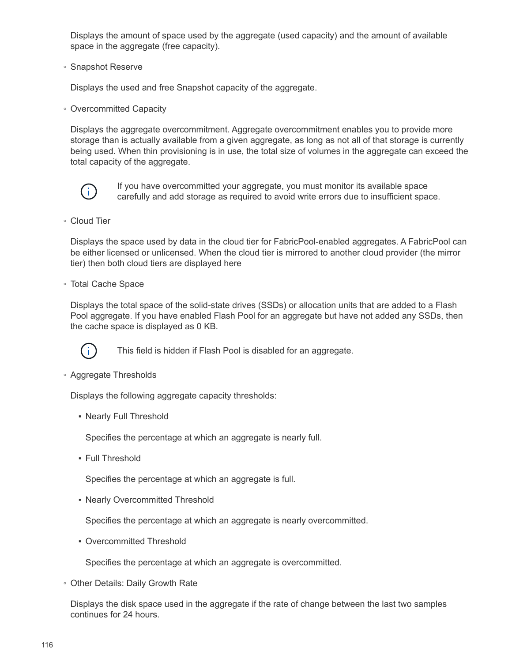Displays the amount of space used by the aggregate (used capacity) and the amount of available space in the aggregate (free capacity).

◦ Snapshot Reserve

Displays the used and free Snapshot capacity of the aggregate.

◦ Overcommitted Capacity

Displays the aggregate overcommitment. Aggregate overcommitment enables you to provide more storage than is actually available from a given aggregate, as long as not all of that storage is currently being used. When thin provisioning is in use, the total size of volumes in the aggregate can exceed the total capacity of the aggregate.



If you have overcommitted your aggregate, you must monitor its available space carefully and add storage as required to avoid write errors due to insufficient space.

◦ Cloud Tier

Displays the space used by data in the cloud tier for FabricPool-enabled aggregates. A FabricPool can be either licensed or unlicensed. When the cloud tier is mirrored to another cloud provider (the mirror tier) then both cloud tiers are displayed here

◦ Total Cache Space

Displays the total space of the solid-state drives (SSDs) or allocation units that are added to a Flash Pool aggregate. If you have enabled Flash Pool for an aggregate but have not added any SSDs, then the cache space is displayed as 0 KB.



This field is hidden if Flash Pool is disabled for an aggregate.

◦ Aggregate Thresholds

Displays the following aggregate capacity thresholds:

• Nearly Full Threshold

Specifies the percentage at which an aggregate is nearly full.

• Full Threshold

Specifies the percentage at which an aggregate is full.

• Nearly Overcommitted Threshold

Specifies the percentage at which an aggregate is nearly overcommitted.

• Overcommitted Threshold

Specifies the percentage at which an aggregate is overcommitted.

◦ Other Details: Daily Growth Rate

Displays the disk space used in the aggregate if the rate of change between the last two samples continues for 24 hours.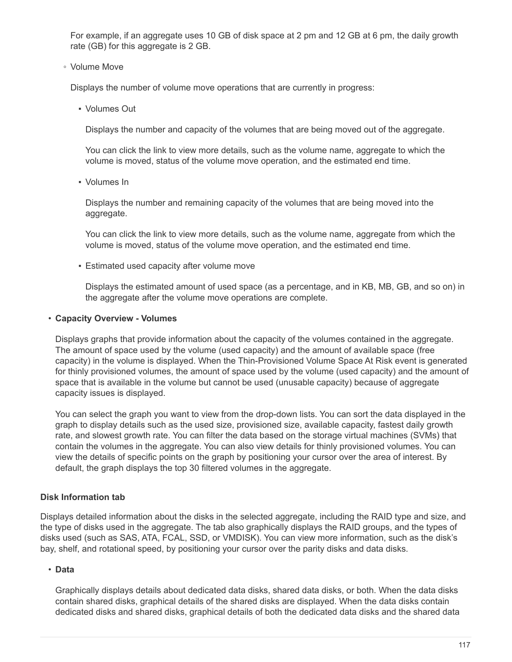For example, if an aggregate uses 10 GB of disk space at 2 pm and 12 GB at 6 pm, the daily growth rate (GB) for this aggregate is 2 GB.

◦ Volume Move

Displays the number of volume move operations that are currently in progress:

▪ Volumes Out

Displays the number and capacity of the volumes that are being moved out of the aggregate.

You can click the link to view more details, such as the volume name, aggregate to which the volume is moved, status of the volume move operation, and the estimated end time.

▪ Volumes In

Displays the number and remaining capacity of the volumes that are being moved into the aggregate.

You can click the link to view more details, such as the volume name, aggregate from which the volume is moved, status of the volume move operation, and the estimated end time.

**Estimated used capacity after volume move** 

Displays the estimated amount of used space (as a percentage, and in KB, MB, GB, and so on) in the aggregate after the volume move operations are complete.

### • **Capacity Overview - Volumes**

Displays graphs that provide information about the capacity of the volumes contained in the aggregate. The amount of space used by the volume (used capacity) and the amount of available space (free capacity) in the volume is displayed. When the Thin-Provisioned Volume Space At Risk event is generated for thinly provisioned volumes, the amount of space used by the volume (used capacity) and the amount of space that is available in the volume but cannot be used (unusable capacity) because of aggregate capacity issues is displayed.

You can select the graph you want to view from the drop-down lists. You can sort the data displayed in the graph to display details such as the used size, provisioned size, available capacity, fastest daily growth rate, and slowest growth rate. You can filter the data based on the storage virtual machines (SVMs) that contain the volumes in the aggregate. You can also view details for thinly provisioned volumes. You can view the details of specific points on the graph by positioning your cursor over the area of interest. By default, the graph displays the top 30 filtered volumes in the aggregate.

# **Disk Information tab**

Displays detailed information about the disks in the selected aggregate, including the RAID type and size, and the type of disks used in the aggregate. The tab also graphically displays the RAID groups, and the types of disks used (such as SAS, ATA, FCAL, SSD, or VMDISK). You can view more information, such as the disk's bay, shelf, and rotational speed, by positioning your cursor over the parity disks and data disks.

# • **Data**

Graphically displays details about dedicated data disks, shared data disks, or both. When the data disks contain shared disks, graphical details of the shared disks are displayed. When the data disks contain dedicated disks and shared disks, graphical details of both the dedicated data disks and the shared data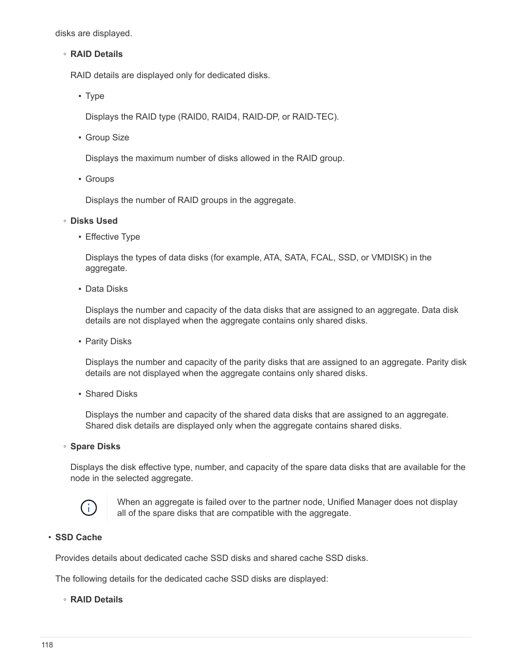disks are displayed.

#### ◦ **RAID Details**

RAID details are displayed only for dedicated disks.

▪ Type

Displays the RAID type (RAID0, RAID4, RAID-DP, or RAID-TEC).

**• Group Size** 

Displays the maximum number of disks allowed in the RAID group.

▪ Groups

Displays the number of RAID groups in the aggregate.

#### ◦ **Disks Used**

**Effective Type** 

Displays the types of data disks (for example, ATA, SATA, FCAL, SSD, or VMDISK) in the aggregate.

▪ Data Disks

Displays the number and capacity of the data disks that are assigned to an aggregate. Data disk details are not displayed when the aggregate contains only shared disks.

**• Parity Disks** 

Displays the number and capacity of the parity disks that are assigned to an aggregate. Parity disk details are not displayed when the aggregate contains only shared disks.

■ Shared Disks

Displays the number and capacity of the shared data disks that are assigned to an aggregate. Shared disk details are displayed only when the aggregate contains shared disks.

◦ **Spare Disks**

Displays the disk effective type, number, and capacity of the spare data disks that are available for the node in the selected aggregate.



When an aggregate is failed over to the partner node, Unified Manager does not display all of the spare disks that are compatible with the aggregate.

### • **SSD Cache**

Provides details about dedicated cache SSD disks and shared cache SSD disks.

The following details for the dedicated cache SSD disks are displayed:

#### ◦ **RAID Details**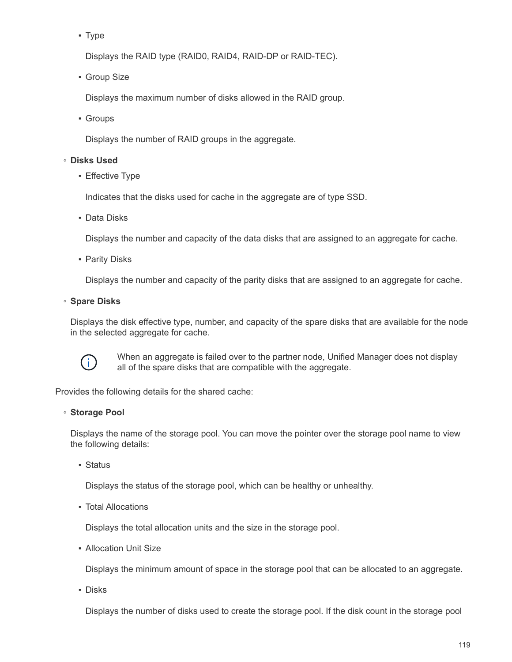▪ Type

Displays the RAID type (RAID0, RAID4, RAID-DP or RAID-TEC).

**• Group Size** 

Displays the maximum number of disks allowed in the RAID group.

▪ Groups

Displays the number of RAID groups in the aggregate.

### ◦ **Disks Used**

**Effective Type** 

Indicates that the disks used for cache in the aggregate are of type SSD.

▪ Data Disks

Displays the number and capacity of the data disks that are assigned to an aggregate for cache.

**• Parity Disks** 

Displays the number and capacity of the parity disks that are assigned to an aggregate for cache.

◦ **Spare Disks**

Displays the disk effective type, number, and capacity of the spare disks that are available for the node in the selected aggregate for cache.



When an aggregate is failed over to the partner node, Unified Manager does not display all of the spare disks that are compatible with the aggregate.

Provides the following details for the shared cache:

### ◦ **Storage Pool**

Displays the name of the storage pool. You can move the pointer over the storage pool name to view the following details:

▪ Status

Displays the status of the storage pool, which can be healthy or unhealthy.

▪ Total Allocations

Displays the total allocation units and the size in the storage pool.

**• Allocation Unit Size** 

Displays the minimum amount of space in the storage pool that can be allocated to an aggregate.

▪ Disks

Displays the number of disks used to create the storage pool. If the disk count in the storage pool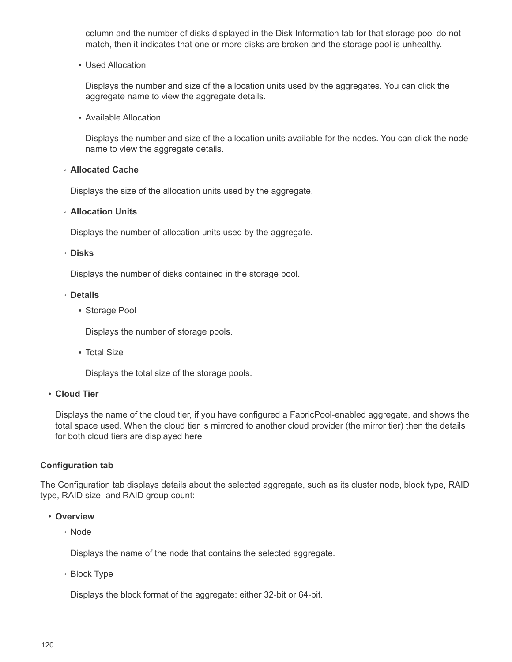column and the number of disks displayed in the Disk Information tab for that storage pool do not match, then it indicates that one or more disks are broken and the storage pool is unhealthy.

**· Used Allocation** 

Displays the number and size of the allocation units used by the aggregates. You can click the aggregate name to view the aggregate details.

▪ Available Allocation

Displays the number and size of the allocation units available for the nodes. You can click the node name to view the aggregate details.

### ◦ **Allocated Cache**

Displays the size of the allocation units used by the aggregate.

### ◦ **Allocation Units**

Displays the number of allocation units used by the aggregate.

### ◦ **Disks**

Displays the number of disks contained in the storage pool.

### ◦ **Details**

**• Storage Pool** 

Displays the number of storage pools.

▪ Total Size

Displays the total size of the storage pools.

### • **Cloud Tier**

Displays the name of the cloud tier, if you have configured a FabricPool-enabled aggregate, and shows the total space used. When the cloud tier is mirrored to another cloud provider (the mirror tier) then the details for both cloud tiers are displayed here

# **Configuration tab**

The Configuration tab displays details about the selected aggregate, such as its cluster node, block type, RAID type, RAID size, and RAID group count:

### • **Overview**

◦ Node

Displays the name of the node that contains the selected aggregate.

◦ Block Type

Displays the block format of the aggregate: either 32-bit or 64-bit.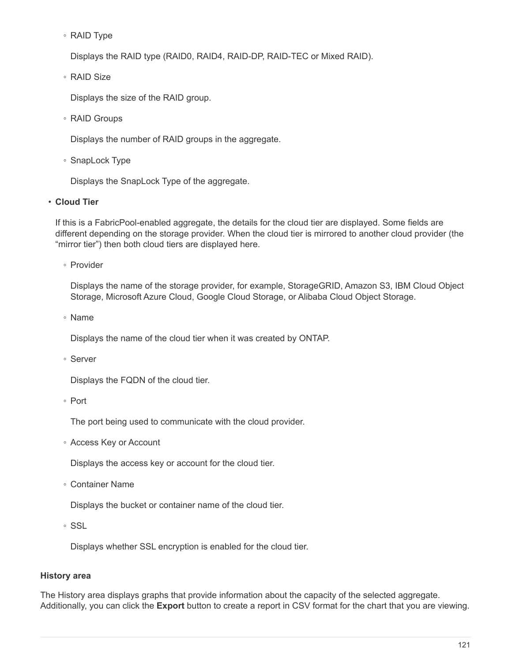◦ RAID Type

Displays the RAID type (RAID0, RAID4, RAID-DP, RAID-TEC or Mixed RAID).

◦ RAID Size

Displays the size of the RAID group.

◦ RAID Groups

Displays the number of RAID groups in the aggregate.

◦ SnapLock Type

Displays the SnapLock Type of the aggregate.

### • **Cloud Tier**

If this is a FabricPool-enabled aggregate, the details for the cloud tier are displayed. Some fields are different depending on the storage provider. When the cloud tier is mirrored to another cloud provider (the "mirror tier") then both cloud tiers are displayed here.

◦ Provider

Displays the name of the storage provider, for example, StorageGRID, Amazon S3, IBM Cloud Object Storage, Microsoft Azure Cloud, Google Cloud Storage, or Alibaba Cloud Object Storage.

◦ Name

Displays the name of the cloud tier when it was created by ONTAP.

◦ Server

Displays the FQDN of the cloud tier.

◦ Port

The port being used to communicate with the cloud provider.

◦ Access Key or Account

Displays the access key or account for the cloud tier.

◦ Container Name

Displays the bucket or container name of the cloud tier.

◦ SSL

Displays whether SSL encryption is enabled for the cloud tier.

# **History area**

The History area displays graphs that provide information about the capacity of the selected aggregate. Additionally, you can click the **Export** button to create a report in CSV format for the chart that you are viewing.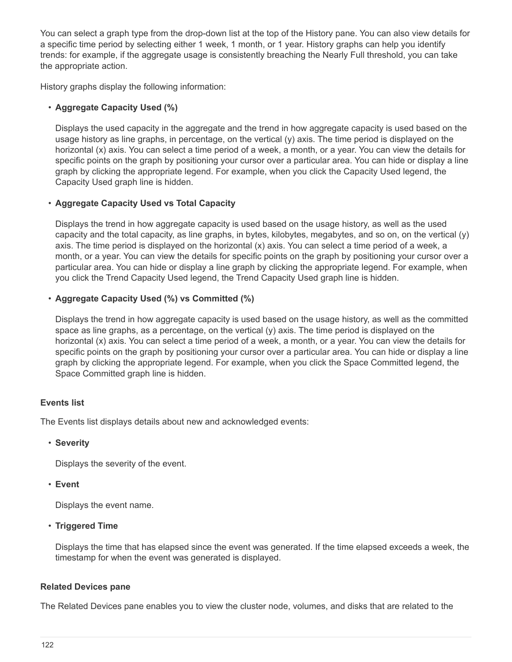You can select a graph type from the drop-down list at the top of the History pane. You can also view details for a specific time period by selecting either 1 week, 1 month, or 1 year. History graphs can help you identify trends: for example, if the aggregate usage is consistently breaching the Nearly Full threshold, you can take the appropriate action.

History graphs display the following information:

# • **Aggregate Capacity Used (%)**

Displays the used capacity in the aggregate and the trend in how aggregate capacity is used based on the usage history as line graphs, in percentage, on the vertical (y) axis. The time period is displayed on the horizontal (x) axis. You can select a time period of a week, a month, or a year. You can view the details for specific points on the graph by positioning your cursor over a particular area. You can hide or display a line graph by clicking the appropriate legend. For example, when you click the Capacity Used legend, the Capacity Used graph line is hidden.

# • **Aggregate Capacity Used vs Total Capacity**

Displays the trend in how aggregate capacity is used based on the usage history, as well as the used capacity and the total capacity, as line graphs, in bytes, kilobytes, megabytes, and so on, on the vertical (y) axis. The time period is displayed on the horizontal (x) axis. You can select a time period of a week, a month, or a year. You can view the details for specific points on the graph by positioning your cursor over a particular area. You can hide or display a line graph by clicking the appropriate legend. For example, when you click the Trend Capacity Used legend, the Trend Capacity Used graph line is hidden.

# • **Aggregate Capacity Used (%) vs Committed (%)**

Displays the trend in how aggregate capacity is used based on the usage history, as well as the committed space as line graphs, as a percentage, on the vertical  $(y)$  axis. The time period is displayed on the horizontal (x) axis. You can select a time period of a week, a month, or a year. You can view the details for specific points on the graph by positioning your cursor over a particular area. You can hide or display a line graph by clicking the appropriate legend. For example, when you click the Space Committed legend, the Space Committed graph line is hidden.

# **Events list**

The Events list displays details about new and acknowledged events:

### • **Severity**

Displays the severity of the event.

### • **Event**

Displays the event name.

# • **Triggered Time**

Displays the time that has elapsed since the event was generated. If the time elapsed exceeds a week, the timestamp for when the event was generated is displayed.

# **Related Devices pane**

The Related Devices pane enables you to view the cluster node, volumes, and disks that are related to the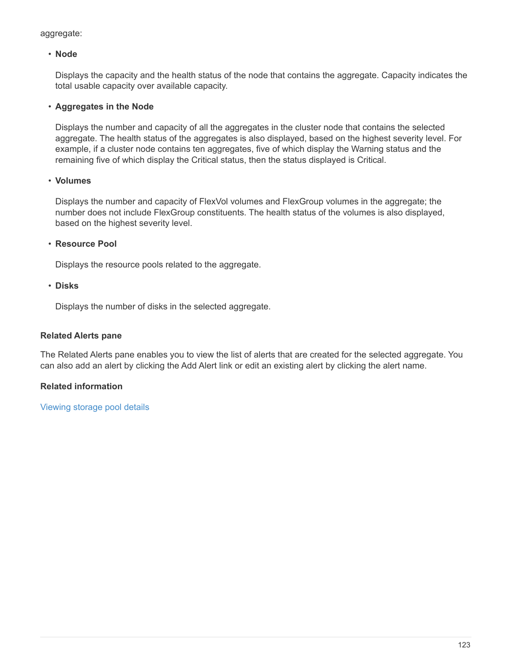aggregate:

# • **Node**

Displays the capacity and the health status of the node that contains the aggregate. Capacity indicates the total usable capacity over available capacity.

# • **Aggregates in the Node**

Displays the number and capacity of all the aggregates in the cluster node that contains the selected aggregate. The health status of the aggregates is also displayed, based on the highest severity level. For example, if a cluster node contains ten aggregates, five of which display the Warning status and the remaining five of which display the Critical status, then the status displayed is Critical.

### • **Volumes**

Displays the number and capacity of FlexVol volumes and FlexGroup volumes in the aggregate; the number does not include FlexGroup constituents. The health status of the volumes is also displayed, based on the highest severity level.

# • **Resource Pool**

Displays the resource pools related to the aggregate.

### • **Disks**

Displays the number of disks in the selected aggregate.

## **Related Alerts pane**

The Related Alerts pane enables you to view the list of alerts that are created for the selected aggregate. You can also add an alert by clicking the Add Alert link or edit an existing alert by clicking the alert name.

# **Related information**

[Viewing storage pool details](https://docs.netapp.com/us-en/active-iq-unified-manager-910/health-checker/task_view_storage_pool_details.html)